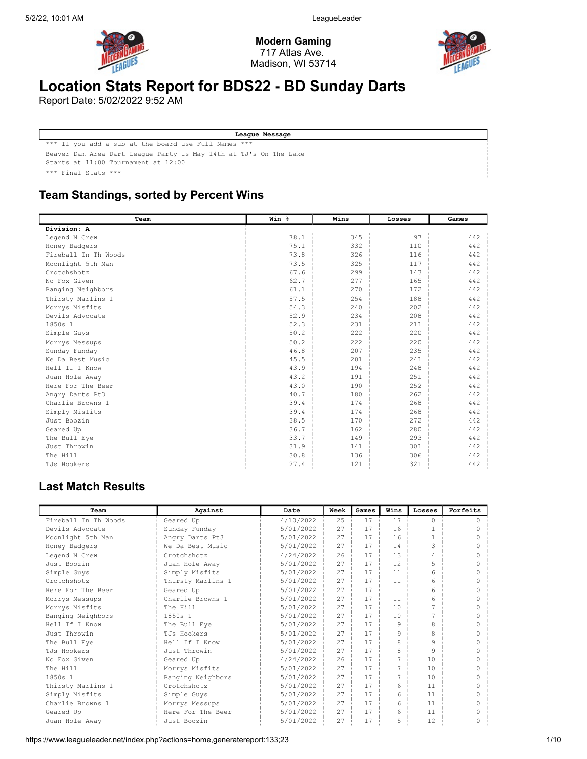

Modern Gaming 717 Atlas Ave. Madison, WI 53714



# Location Stats Report for BDS22 - BD Sunday Darts

Report Date: 5/02/2022 9:52 AM

League Message \*\*\* If you add a sub at the board use Full Names \*\*\* Beaver Dam Area Dart League Party is May 14th at TJ's On The Lake Starts at 11:00 Tournament at 12:00 \*\*\* Final Stats \*\*\*

## Team Standings, sorted by Percent Wins

| Team                 | Win % | Wins | Losses | Games |
|----------------------|-------|------|--------|-------|
| Division: A          |       |      |        |       |
| Legend N Crew        | 78.1  | 345  | 97     | 442   |
| Honey Badgers        | 75.1  | 332  | 110    | 442   |
| Fireball In Th Woods | 73.8  | 326  | 116    | 442   |
| Moonlight 5th Man    | 73.5  | 325  | 117    | 442   |
| Crotchshotz          | 67.6  | 299  | 143    | 442   |
| No Fox Given         | 62.7  | 277  | 165    | 442   |
| Banging Neighbors    | 61.1  | 270  | 172    | 442   |
| Thirsty Marlins 1    | 57.5  | 254  | 188    | 442   |
| Morrys Misfits       | 54.3  | 240  | 202    | 442   |
| Devils Advocate      | 52.9  | 234  | 208    | 442   |
| 1850s 1              | 52.3  | 231  | 211    | 442   |
| Simple Guys          | 50.2  | 222  | 220    | 442   |
| Morrys Messups       | 50.2  | 222  | 220    | 442   |
| Sunday Funday        | 46.8  | 207  | 235    | 442   |
| We Da Best Music     | 45.5  | 201  | 241    | 442   |
| Hell If I Know       | 43.9  | 194  | 248    | 442   |
| Juan Hole Away       | 43.2  | 191  | 251    | 442   |
| Here For The Beer    | 43.0  | 190  | 252    | 442   |
| Angry Darts Pt3      | 40.7  | 180  | 262    | 442   |
| Charlie Browns 1     | 39.4  | 174  | 268    | 442   |
| Simply Misfits       | 39.4  | 174  | 268    | 442   |
| Just Boozin          | 38.5  | 170  | 272    | 442   |
| Geared Up            | 36.7  | 162  | 280    | 442   |
| The Bull Eye         | 33.7  | 149  | 293    | 442   |
| Just Throwin         | 31.9  | 141  | 301    | 442   |
| The Hill             | 30.8  | 136  | 306    | 442   |
| TJs Hookers          | 27.4  | 121  | 321    | 442   |

## Last Match Results

| Team                 | Against           | Date      | Week | Games | Wins | Losses        | Forfeits |
|----------------------|-------------------|-----------|------|-------|------|---------------|----------|
| Fireball In Th Woods | Geared Up         | 4/10/2022 | 25   | 17    | 17   | $\Omega$      |          |
| Devils Advocate      | Sunday Funday     | 5/01/2022 | 27   | 17    | 16   | $\mathbf{1}$  |          |
| Moonlight 5th Man    | Angry Darts Pt3   | 5/01/2022 | 27   | 17    | 16   |               |          |
| Honey Badgers        | We Da Best Music  | 5/01/2022 | 27   | 17    | 14   | $\mathcal{L}$ |          |
| Legend N Crew        | Crotchshotz       | 4/24/2022 | 26   | 17    | 13   | 4             |          |
| Just Boozin          | Juan Hole Away    | 5/01/2022 | 27   | 17    | 12   | 5             |          |
| Simple Guys          | Simply Misfits    | 5/01/2022 | 27   | 17    | 11   | 6             |          |
| Crotchshotz          | Thirsty Marlins 1 | 5/01/2022 | 27   | 17    | 11   | 6             |          |
| Here For The Beer    | Geared Up         | 5/01/2022 | 27   | 17    | 11   | 6             |          |
| Morrys Messups       | Charlie Browns 1  | 5/01/2022 | 27   | 17    | 11   | 6             |          |
| Morrys Misfits       | The Hill          | 5/01/2022 | 27   | 17    | 10   |               |          |
| Banging Neighbors    | 1850s 1           | 5/01/2022 | 27   | 17    | 10   |               |          |
| Hell If I Know       | The Bull Eye      | 5/01/2022 | 27   | 17    | 9    | 8             |          |
| Just Throwin         | TJs Hookers       | 5/01/2022 | 27   | 17    | 9    | 8             |          |
| The Bull Eye         | Hell If I Know    | 5/01/2022 | 27   | 17    | 8    | $\mathsf{Q}$  |          |
| TJs Hookers          | Just Throwin      | 5/01/2022 | 27   | 17    | 8    | 9             |          |
| No Fox Given         | Geared Up         | 4/24/2022 | 26   | 17    |      | 10            |          |
| The Hill             | Morrys Misfits    | 5/01/2022 | 27   | 17    |      | 10            |          |
| 1850s 1              | Banging Neighbors | 5/01/2022 | 27   | 17    |      | 10            |          |
| Thirsty Marlins 1    | Crotchshotz       | 5/01/2022 | 27   | 17    | 6    | 11            |          |
| Simply Misfits       | Simple Guys       | 5/01/2022 | 27   | 17    | 6    | 11            |          |
| Charlie Browns 1     | Morrys Messups    | 5/01/2022 | 27   | 17    | 6    | 11            |          |
| Geared Up            | Here For The Beer | 5/01/2022 | 27   | 17    | 6    | 11            |          |
| Juan Hole Away       | Just Boozin       | 5/01/2022 | 27   | 17    | 5    | 12            |          |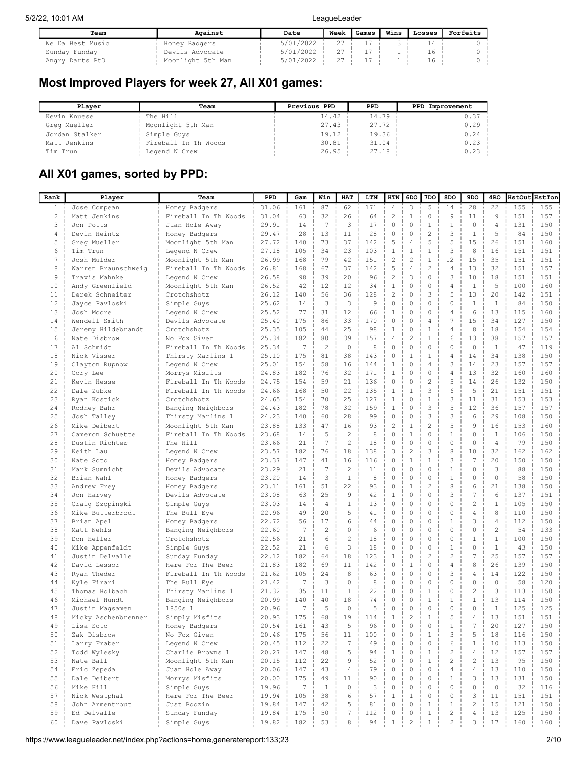| Team             | Against           | Date      | Week | Games | Wins | Losses | Forfeits |
|------------------|-------------------|-----------|------|-------|------|--------|----------|
| We Da Best Music | Honey Badgers     | 5/01/2022 |      |       |      |        |          |
| Sunday Funday    | Devils Advocate   | 5/01/2022 |      |       |      | ⊥6.    |          |
| Angry Darts Pt3  | Moonlight 5th Man | 5/01/2022 | 27   |       |      | T 6    |          |

## Most Improved Players for week 27, All X01 games:

| Plaver         | Team                 | Previous PPD | PPD   | PPD Improvement |
|----------------|----------------------|--------------|-------|-----------------|
| Kevin Knuese   | The Hill             | 14.42        | 14.79 | 0.37            |
| Greg Mueller   | Moonlight 5th Man    | 27.43        | 27.72 | 0.29            |
| Jordan Stalker | Simple Guys          | 19.12        | 19.36 | 0.24            |
| Matt Jenkins   | Fireball In Th Woods | 30.81        | 31.04 | 0.23            |
| Tim Trun       | Legend N Crew        | 26.95        | 27.18 | 0.23            |

# All X01 games, sorted by PPD:

| Rank            | Player              | Team                 | PPD   | Gam             | Win             | HAT                 | LTN | HTN            | 6DO            | 7DO            | 8DO            | 9DO            | 4RO            | HstOut HstTon |     |
|-----------------|---------------------|----------------------|-------|-----------------|-----------------|---------------------|-----|----------------|----------------|----------------|----------------|----------------|----------------|---------------|-----|
| $\mathbf{1}$    | Jose Compean        | Honey Badgers        | 31.06 | 161             | 87              | 62                  | 171 | $\overline{4}$ | 3              | 5              | 14             | 28             | 22             | 155           | 155 |
| $\mathbf{2}$    | Matt Jenkins        | Fireball In Th Woods | 31.04 | 63              | 32              | 26                  | 64  | $\overline{c}$ | $\,1$          | 0              | 9              | 11             | $\overline{9}$ | 151           | 157 |
| 3               | Jon Potts           | Juan Hole Away       | 29.91 | 14              | $7\phantom{.0}$ | 3                   | 17  | $\circ$        | $\mathbf 0$    | $1\,$          | $\mathbf{1}$   | $\mathbf 0$    | 4              | 131           | 150 |
| $\overline{4}$  | Devin Heintz        | Honey Badgers        | 29.47 | 28              | 13              | 11                  | 28  | $\mathbf 0$    | $\mathbf 0$    | $\overline{c}$ | 3              | $1\,$          | 5              | 84            | 150 |
| 5               | Greg Mueller        | Moonlight 5th Man    | 27.72 | 140             | 73              | 37                  | 142 | 5              | 4              | 5              | 5              | 15             | 26             | 151           | 160 |
| 6               | Tim Trun            | Legend N Crew        | 27.18 | 105             | 34              | 23                  | 103 | $\mathbf{1}$   | $\,1\,$        | $\mathbf{1}$   | 3              | 8              | 16             | 151           | 151 |
| $7\phantom{.0}$ | Josh Mulder         | Moonlight 5th Man    | 26.99 | 168             | 79              | 42                  | 151 | $\overline{c}$ | $\overline{c}$ | $\mathbf{1}$   | 12             | 15             | 35             | 151           | 151 |
| 8               | Warren Braunschweig | Fireball In Th Woods | 26.81 | 168             | 67              | 37                  | 142 | 5              | $\sqrt{4}$     | $\overline{c}$ | 4              | 13             | 32             | 151           | 157 |
| 9               | Travis Mahnke       | Legend N Crew        | 26.58 | 98              | 39              | 20                  | 96  | $\sqrt{2}$     | 3              | $\Omega$       | 3              | 10             | 18             | 151           | 151 |
| 10              | Andy Greenfield     | Moonlight 5th Man    | 26.52 | 42              | 12              | 12                  | 34  | $\mathbf{1}$   | 0              | $\Omega$       | $\overline{4}$ | $\mathbf{1}$   | 5              | 100           | 160 |
| 11              | Derek Schneiter     | Crotchshotz          | 26.12 | 140             | 56              | 36                  | 128 | $\overline{c}$ | 0              | 3              | 5              | 13             | 20             | 142           | 151 |
| 12              | Jayce Pavloski      | Simple Guys          | 25.62 | 14              | 3               | 3                   | 9   | $\mathbb O$    | 0              | $\Omega$       | 0              | $\mathbf{1}$   | 1              | 84            | 150 |
| 13              | Josh Moore          | Legend N Crew        | 25.52 | 77              | 31              | 12                  | 66  | 1              | 0              | $\mathbf{0}$   | 4              | 6              | 13             | 115           | 160 |
| 14              | Wendell Smith       | Devils Advocate      | 25.40 | 175             | 86              | 33                  | 170 | 0              | 0              | $\overline{4}$ | 7              | 15             | 34             | 127           | 150 |
| 15              | Jeremy Hildebrandt  | Crotchshotz          | 25.35 | 105             | 44              | 25                  | 98  | $\mathbf{1}$   | 0              | $1\,$          | $\overline{4}$ | 8              | 18             | 154           | 154 |
| 16              | Nate Disbrow        | No Fox Given         | 25.34 | 182             | 80              | 39                  | 157 | $\overline{4}$ | $\overline{c}$ | $\mathbf{1}$   | 6              | 13             | 38             | 157           | 157 |
| 17              | Al Schmidt          | Fireball In Th Woods | 25.34 | 7               | $\overline{c}$  | $\mathbf{0}$        | 8   | $\mathbf 0$    | $\mathbf 0$    | $\mathbf{0}$   | $\Omega$       | $\circ$        | <sup>1</sup>   | 47            | 119 |
| 18              | Nick Visser         | Thirsty Marlins 1    | 25.10 | 175             | 81              | 38                  | 143 | $\circ$        | $\,1\,$        | $\mathbf{1}$   | $\overline{4}$ | 14             | 34             | 138           | 150 |
| 19              | Clayton Rupnow      | Legend N Crew        | 25.01 | 154             | 58              | 16                  | 144 | $1\,$          | $\mathbf 0$    | $\overline{4}$ | 3              | 14             | 23             | 157           | 157 |
| 20              | Cory Lee            | Morrys Misfits       | 24.83 | 182             | 76              | 32                  | 171 | $\mathbf{1}$   | $\mathbf 0$    | $\circ$        | $\overline{4}$ | 13             | 32             | 160           | 160 |
| 21              | Kevin Hesse         | Fireball In Th Woods | 24.75 | 154             | 59              | 21                  | 136 | $\circ$        | 0              | $\overline{c}$ | 5              | 14             | 26             | 132           | 150 |
| 22              | Dale Zubke          | Fireball In Th Woods | 24.66 | 168             | 50              | 22                  | 135 | $\mathbf{1}$   | $\,1\,$        | 3              | 6              | 5              | 21             | 151           | 151 |
| 23              | Ryan Kostick        | Crotchshotz          | 24.65 | 154             | 70              | 25                  | 127 | $1\,$          | $\mathbf 0$    | $\,1$          | 3              | 11             | 31             | 153           | 153 |
| 24              | Rodney Bahr         | Banging Neighbors    | 24.43 | 182             | 78              | 32                  | 159 | $\mathbf{1}$   | $\mathbf 0$    | 3              | 5              | 12             | 36             | 157           | 157 |
| 25              | Josh Talley         | Thirsty Marlins 1    | 24.23 | 140             | 60              | 28                  | 99  | $\mathbb O$    | 0              | 3              | 3              | 6              | 29             | 108           | 150 |
| 26              | Mike Deibert        | Moonlight 5th Man    | 23.88 | 133             | 47              | 16                  | 93  | $\mathbf{2}$   | $\,1\,$        | $\overline{c}$ | 5              | 9              | 16             | 153           | 160 |
| 27              | Cameron Schuette    | Fireball In Th Woods | 23.68 | 14              | 5               | $\overline{c}$      | 8   | $\circ$        | $\,1\,$        | $\mathbf{0}$   | 1              | $\mathbb O$    | 1              | 106           | 150 |
| 28              | Dustin Richter      | The Hill             | 23.66 | 21              | $\overline{7}$  | $\overline{c}$      | 18  | $\mathbf 0$    | 0              | $\Omega$       | 0              | $\mathbb O$    | $\overline{4}$ | 79            | 150 |
| 29              | Keith Lau           | Legend N Crew        | 23.57 | 182             | 76              | 18                  | 138 | 3              | $\overline{c}$ | 3              | 8              | 10             | 32             | 162           | 162 |
| 30              | Nate Soto           | Honey Badgers        | 23.37 | 147             | 41              | 16                  | 116 | $\circ$        | $\mathbf{1}$   | $\mathbf{1}$   | 3              | 7              | 20             | 150           | 150 |
| 31              | Mark Sumnicht       | Devils Advocate      | 23.29 | 21              | $\overline{7}$  | $\overline{c}$      | 11  | $\mathbb O$    | $\mathbf 0$    | $\circ$        | $\mathbf{1}$   | $\mathbb O$    | 3              | 88            | 150 |
| 32              | Brian Wahl          | Honey Badgers        | 23.20 | 14              | 3               | $\mathbf 1$         | 8   | $\mathbf 0$    | 0              | $\mathbf{0}$   | $\mathbf{1}$   | $\circ$        | $\mathbf{0}$   | 58            | 150 |
| 33              | Andrew Frey         | Honey Badgers        | 23.11 | 161             | 51              | 22                  | 93  | $\circ$        | $\mathbf 1$    | $\overline{c}$ | 8              | 6              | 21             | 138           | 150 |
| 34              | Jon Harvey          | Devils Advocate      | 23.08 | 63              | 25              | 9                   | 42  | $\mathbf{1}$   | $\mathbf 0$    | $\Omega$       | 3              | 7              | 6              | 137           | 151 |
| 35              | Craig Szopinski     | Simple Guys          | 23.03 | 14              | $\overline{4}$  | 1                   | 13  | $\mathbf 0$    | 0              | $\mathbf{0}$   | $\Omega$       | $\overline{c}$ | $\mathbf{1}$   | 105           | 150 |
| 36              | Mike Butterbrodt    | The Bull Eye         | 22.96 | 49              | 20              | 5                   | 41  | $\Omega$       | 0              | $\Omega$       | $\Omega$       | $\overline{4}$ | 8              | 110           | 150 |
| 37              | Brian Apel          | Honey Badgers        | 22.72 | 56              | 17              | 6                   | 44  | $\circ$        | 0              | $\Omega$       | $\mathbf{1}$   | 3              | $\sqrt{4}$     | 112           | 150 |
| 38              | Matt Nehls          | Banging Neighbors    | 22.60 | 7               | $\overline{c}$  | $\circ$             | 6   | $\circ$        | 0              | $\Omega$       | $\Omega$       | $\circ$        | $\overline{c}$ | 54            | 133 |
| 39              | Don Heller          | Crotchshotz          | 22.56 | 21              | 6               | $\overline{c}$      | 18  | $\circ$        | 0              | $\Omega$       | 0              | $\mathbf{1}$   | $\mathbf{1}$   | 100           | 150 |
| 40              | Mike Appenfeldt     | Simple Guys          | 22.52 | 21              | 6               | 3                   | 18  | $\circ$        | 0              | $\Omega$       | $\mathbf{1}$   | $\circ$        | 1              | 43            | 150 |
| 41              | Justin Delvalle     | Sunday Funday        | 22.12 | 182             | 64              | 18                  | 123 | 1              | 0              | $\overline{c}$ | $\overline{c}$ | 7              | 25             | 157           | 157 |
| 42              | David Lessor        | Here For The Beer    | 21.83 | 182             | 69              | 11                  | 142 | $\circ$        | $1\,$          | $\Omega$       | 4              | 8              | 26             | 139           | 150 |
| 43              | Ryan Theder         | Fireball In Th Woods | 21.62 | 105             | 24              | 8                   | 63  | 0              | 0              | $\Omega$       | 3              | $\overline{4}$ | 14             | 122           | 150 |
| 44              | Kyle Firari         | The Bull Eye         | 21.42 | 7               | 3               | $\circ$             | 8   | $\circ$        | 0              | $\mathbf{0}$   | 0              | $\circ$        | $\circ$        | 58            | 120 |
| 45              | Thomas Holbach      | Thirsty Marlins 1    | 21.32 | 35              | 11              | 1                   | 22  | 0              | 0              | $\mathbf{1}$   | 0              | $\overline{c}$ | 3              | 113           | 150 |
| 46              | Michael Hundt       | Banging Neighbors    | 20.99 | 140             | 40              | 18                  | 74  | $\circ$        | 0              | $\mathbf{1}$   | 1              | $\mathbf{1}$   | 13             | 114           | 150 |
| 47              | Justin Magsamen     | 1850s 1              | 20.96 | 7               | 5               | $\circ$             | 5   | $\mathbf 0$    | 0              | $\circ$        | 0              | $\circ$        | $\mathbf{1}$   | 125           | 125 |
| 48              | Micky Aschenbrenner | Simply Misfits       | 20.93 | 175             | 68              | 19                  | 114 | $\mathbf{1}$   | $\overline{2}$ | $\mathbf{1}$   | 5              | 4              | 13             | 151           | 151 |
| 49              | Lisa Soto           | Honey Badgers        | 20.54 | 161             | 43              | 5                   | 96  | 0              | 0              | 0              | 1              |                | 20             | 127           | 150 |
| 50              | Zak Disbrow         | No Fox Given         | 20.46 | 175             | 56              | 11                  | 100 | $\mathbb O$    | $\mathbf 0$    | $\,1$          | 3              | 5              | 18             | 116           | 150 |
| 51              | Larry Fraber        | Legend N Crew        | 20.45 | 112             | 22              | $\overline{7}$      | 49  | $\circ$        | $\circ$        | $\circ$        | 6              | $\mathbf{1}$   | 10             | 113           | 150 |
| 52              | Todd Wylesky        | Charlie Browns 1     | 20.27 | 147             | 48              | 5                   | 94  | $\,1\,$        | 0              | $\,1\,$        | $\mathbf{2}$   | $\overline{4}$ | 12             | 157           | 157 |
| 53              | Nate Ball           | Moonlight 5th Man    | 20.15 | 112             | 22              | 9                   | 52  | $\circ$        | $\circ$        | $\mathbf{1}$   | $\overline{c}$ | $\overline{c}$ | 13             | 95            | 150 |
| 54              | Eric Zepeda         | Juan Hole Away       | 20.06 | 147             | 43              | $\overline{4}$      | 79  | $\circ$        | $\circ$        | $\circ$        | $\sqrt{4}$     | $\overline{4}$ | 13             | 110           | 150 |
| 55              | Dale Deibert        | Morrys Misfits       | 20.00 | 175             | 49              | 11                  | 90  | $\circ$        | $\circ$        | $\Omega$       | $\mathbf{1}$   | 3              | 13             | 131           | 150 |
| 56              | Mike Hill           | Simple Guys          | 19.96 | $7\phantom{.0}$ | $\mathbf{1}$    | $\mathsf{O}\xspace$ | 3   | $\circ$        | 0              | $\circ$        | $\circ$        | $\mathbb O$    | $\circ$        | 32            | 116 |
| 57              | Nick Westphal       | Here For The Beer    | 19.94 | 105             | 38              | 6                   | 57  | $1\,$          | $\mathbf{1}$   | $\mathbf 0$    | 0              | 3              | 11             | 151           | 151 |
| 58              | John Armentrout     | Just Boozin          | 19.84 | 147             | 42              | 5                   | 81  | $\circ$        | 0              | $\,1$          | $\mathbf{1}$   | $\sqrt{2}$     | 15             | 121           | 150 |
| 59              | Ed Delvalle         | Sunday Funday        | 19.84 | 175             | 50              | $\sqrt{ }$          | 112 | $\circ$        | 0              | $\mathbf{1}$   | 2              | $\overline{4}$ | 13             | 125           | 150 |
| 60              | Dave Pavloski       | Simple Guys          | 19.82 | 182             | 53              | 8                   | 94  | $\mathbf{1}$   | $\overline{2}$ | $\mathbf{1}$   | $\overline{2}$ | 3              | 17             | 160           | 160 |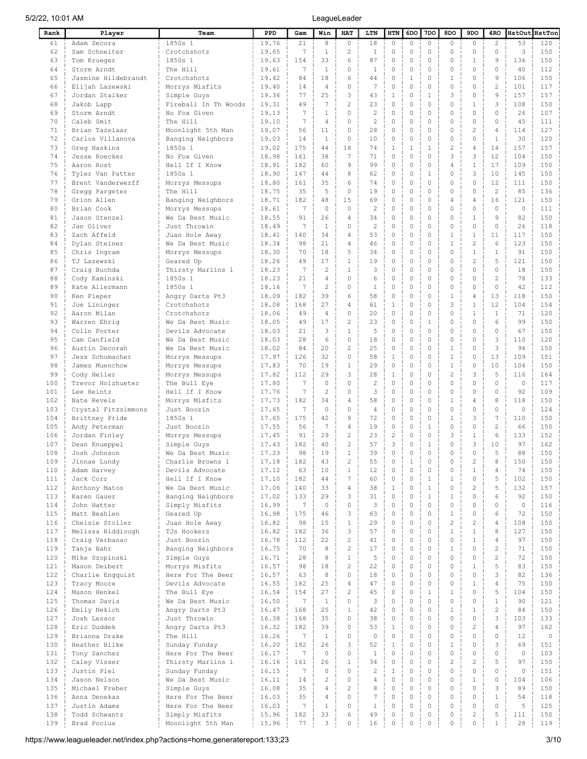| Rank       | Player                              | Team                                 | PPD            | Gam             | Win                       | HAT                        | LTN                              | HTN                         | 6DO                        | 7DO                     | 8DO                  | 9DO                         | 4RO                       | HstOut HstTon  |            |
|------------|-------------------------------------|--------------------------------------|----------------|-----------------|---------------------------|----------------------------|----------------------------------|-----------------------------|----------------------------|-------------------------|----------------------|-----------------------------|---------------------------|----------------|------------|
| 61         | Adam Secora                         | 1850s 1                              | 19.76          | 21              | 8                         | $\circ$                    | 18                               | $\circ$                     | 0                          | 0                       | $\circ$              | $\circ$                     | 2                         | 53             | 120        |
| 62         | Sam Schneiter                       | Crotchshotz                          | 19.65          | 7               | $\mathbf{1}$              | $\overline{c}$             | $\mathbf{1}$                     | $\mathbb O$                 | $\mathbb O$                | 0                       | 0                    | $\circ$                     | $\circ$                   | 3              | 150        |
| 63         | Tom Krueger                         | 1850s 1                              | 19.63          | 154             | 33                        | 6                          | 87                               | $\circ$                     | $\mathbf 0$                | $\Omega$                | $\Omega$             | $\mathbf{1}$                | 9                         | 136            | 150        |
| 64         | Storm Arndt                         | The Hill                             | 19.61          | 7               | 1                         | $\circ$                    | 1                                | 0                           | $\mathbf 0$                | 0                       | 0                    | $\circ$                     | $\circ$                   | 40             | 112        |
| 65         | Jasmine Hildebrandt                 | Crotchshotz                          | 19.42          | 84              | 18                        | 6                          | 44                               | $\circ$                     | 1                          | 0                       | 1                    | $\circ$                     | 9                         | 106            | 150        |
| 66<br>67   | Elijah Lazewski<br>Jordan Stalker   | Morrys Misfits<br>Simple Guys        | 19.40<br>19.36 | 14<br>77        | $\overline{4}$<br>25      | $\circ$<br>3               | 7<br>43                          | $\mathbb O$<br>$\mathbf{1}$ | $\mathbf 0$<br>$\mathbf 0$ | 0<br>1                  | 0<br>3               | $\circ$<br>$\circ$          | 2<br>9                    | 101<br>157     | 117<br>157 |
| 68         | Jakob Lapp                          | Fireball In Th Woods                 | 19.31          | 49              | 7                         | $\overline{c}$             | 23                               | $\mathbb O$                 | $\mathbf 0$                | $\circ$                 | 0                    | 1                           | 3                         | 108            | 150        |
| 69         | Storm Arndt                         | No Fox Given                         | 19.13          | 7               | 1                         | $\circ$                    | 2                                | $\mathbf 0$                 | $\mathbf 0$                | $\circ$                 | $\Omega$             | $\circ$                     | $\circ$                   | 26             | 107        |
| 70         | Caleb Smit                          | The Hill                             | 19.10          | 7               | 4                         | $\circ$                    | 2                                | $\mathbf 0$                 | $\mathbf 0$                | $\circ$                 | 0                    | $\circ$                     | $\circ$                   | 45             | 111        |
| 71         | Brian Tazelaar                      | Moonlight 5th Man                    | 19.07          | 56              | 11                        | $\mathbf 0$                | 28                               | $\mathbb O$                 | $\mathbf 0$                | $\circ$                 | 0                    | $\overline{c}$              | $\overline{4}$            | 114            | 127        |
| 72         | Carlos Villanova                    | Banging Neighbors                    | 19.03          | 14              | $\mathbf{1}$              | $\mathbf 0$                | 10                               | $\mathbf 0$                 | $\mathbf 0$                | $\circ$                 | 0                    | $\circ$                     | $\mathbf{1}$              | 30             | 120        |
| 73         | Grea Haskins                        | 1850s 1                              | 19.02          | 175             | 44                        | 18                         | 74                               | $\mathbf{1}$                | $\mathbf{1}$               | $\mathbf{1}$            | $\overline{c}$       | $\overline{4}$              | 14                        | 157            | 157        |
| 74         | Jesse Roecker                       | No Fox Given                         | 18.98          | 161             | 38                        | 7                          | 71                               | $\mathbf 0$                 | $\mathbf 0$                | $\circ$                 | 3                    | 3                           | 12                        | 104            | 150        |
| 75         | Aaron Rost                          | Hell If I Know                       | 18.91          | 182             | 60                        | 9                          | 99                               | $\mathbf 0$                 | $\mathbf 0$                | $\mathbf{0}$            | 4                    | $1\,$                       | 17                        | 109            | 150        |
| 76         | Tyler Van Patter                    | 1850s 1                              | 18.90          | 147             | 44                        | 8                          | 62                               | $\mathbf 0$                 | $\mathbf 0$<br>$\mathbf 0$ | $\mathbf{1}$            | 0                    | 3                           | 10                        | 145            | 150        |
| 77<br>78   | Brent Vanderwerff<br>Gregg Pargeter | Morrys Messups<br>The Hill           | 18.80<br>18.75 | 161<br>35       | 35<br>5                   | 6<br>$\circ$               | 74<br>19                         | $\mathbf 0$<br>$\mathbf 0$  | $\mathbf 0$                | $\mathbf{0}$<br>$\circ$ | $\Omega$<br>0        | $\circ$<br>$\mathbb O$      | 12<br>2                   | 111<br>85      | 150<br>136 |
| 79         | Orion Allen                         | Banging Neighbors                    | 18.71          | 182             | 48                        | 15                         | 69                               | $\mathbb O$                 | $\mathbf 0$                | $\mathbf{0}$            | 4                    | $\sqrt{4}$                  | 16                        | 121            | 150        |
| 80         | Brian Cook                          | Morrys Messups                       | 18.61          | 7               | $\circ$                   | $\circ$                    | $\mathbf{2}$                     | $\mathbb O$                 | $\mathbf 0$                | $\mathbf{0}$            | 0                    | $\circ$                     | $\circ$                   | $\circ$        | 111        |
| 81         | Jason Stenzel                       | We Da Best Music                     | 18.55          | 91              | 26                        | 4                          | 34                               | $\mathbb O$                 | $\mathbf 0$                | $\mathbf{0}$            | 0                    | $\mathbf{1}$                | 9                         | 82             | 150        |
| 82         | Jan Oliver                          | Just Throwin                         | 18.49          | 7               | 1                         | 0                          | 2                                | $\mathbf 0$                 | $\mathbf 0$                | $\circ$                 | $\Omega$             | $\circ$                     | $\circ$                   | 26             | 118        |
| 83         | Zach Affeld                         | Juan Hole Away                       | 18.41          | 140             | 34                        | 4                          | 53                               | $\mathbb O$                 | $\mathbf 0$                | 0                       | 1                    | $\mathbf{1}$                | 11                        | 117            | 150        |
| 84         | Dylan Steiner                       | We Da Best Music                     | 18.34          | 98              | 21                        | 4                          | 46                               | $\circ$                     | $\mathbf 0$                | $\mathbf{0}$            | $\mathbf{1}$         | $\overline{c}$              | 6                         | 123            | 150        |
| 85         | Chris Ingram                        | Morrys Messups                       | 18.30          | 70              | 18                        | 5                          | 34                               | $\mathbb O$                 | $\mathbf 0$                | $\mathbf{0}$            | 0                    | $1\,$                       | $\mathbf{1}$              | 91             | 150        |
| 86         | TJ Lazewski                         | Geared Up                            | 18.26          | 49              | 17                        | $\mathbf 1$                | 19                               | $\circ$                     | $\mathbf 0$                | $\mathbf{0}$            | $\Omega$             | $\overline{c}$              | 5                         | 121            | 150        |
| 87         | Craig Buchda                        | Thirsty Marlins 1                    | 18.23          | 7               | $\mathbf{2}$              | $\mathbf{1}$               | 3                                | $\circ$                     | $\mathbf 0$                | 0                       | $\Omega$             | $\circ$                     | $\circ$                   | 18             | 150        |
| 88<br>89   | Cody Kaminski                       | 1850s 1                              | 18.23          | 21<br>7         | 4<br>$\overline{c}$       | $\circ$<br>$\circ$         | 6                                | $\circ$                     | $\mathbf 0$<br>$\mathbf 0$ | $\Omega$                | O<br>$\Omega$        | $\circ$<br>$\circ$          | $\overline{2}$<br>$\circ$ | 78             | 133        |
| 90         | Kate Allermann<br>Ken Pieper        | 1850s 1<br>Angry Darts Pt3           | 18.16<br>18.09 | 182             | 39                        | 6                          | 1<br>58                          | 0<br>0                      | $\mathbf 0$                | 0<br>0                  | $\mathbf{1}$         | $\overline{4}$              | 13                        | 42<br>118      | 112<br>150 |
| 91         | Joe Lininger                        | Crotchshotz                          | 18.08          | 168             | 27                        | 4                          | 61                               | 1                           | $\mathbf 0$                | $\Omega$                | 3                    | $\mathbf{1}$                | 12                        | 104            | 154        |
| 92         | Aaron Milan                         | Crotchshotz                          | 18.06          | 49              | 4                         | $\mathbf{0}$               | 20                               | $\mathbf 0$                 | $\mathbf 0$                | $\Omega$                | $\Omega$             | $\mathbf{1}$                | $\mathbf{1}$              | 71             | 120        |
| 93         | Warren Ehrig                        | We Da Best Music                     | 18.05          | 49              | 17                        | $\mathbf{2}$               | 23                               | 0                           | $\mathbf 0$                | 1                       | O                    | $\circ$                     | 6                         | 99             | 150        |
| 94         | Colin Porter                        | Devils Advocate                      | 18.03          | 21              | 3                         | $\mathbf{1}$               | 5                                | $\mathbb O$                 | $\mathbf 0$                | $\circ$                 | $\Omega$             | $\circ$                     | $\circ$                   | 67             | 150        |
| 95         | Cam Canfield                        | We Da Best Music                     | 18.03          | 28              | 6                         | $\circ$                    | 18                               | 0                           | $\mathbf 0$                | 0                       | 0                    | $\circ$                     | 3                         | 110            | 120        |
| 96         | Austin Decorah                      | We Da Best Music                     | 18.02          | 84              | 20                        | $\mathbf{2}$               | 25                               | $\mathbb O$                 | $\mathbf 0$                | $\Omega$                | $\mathbf{1}$         | $\circ$                     | 3                         | 94             | 150        |
| 97         | Jess Schumacher                     | Morrys Messups                       | 17.97          | 126             | 32                        | 0                          | 58                               | 1                           | $\mathbf 0$                | 0                       | 1                    | $\circ$                     | 13                        | 109            | 151        |
| 98         | James Muenchow                      | Morrys Messups                       | 17.83          | 70              | 19                        | $\mathbf 1$                | 29                               | $\mathbb O$                 | $\mathbf 0$                | 0                       | $1\,$                | $\circ$                     | 10                        | 104            | 150        |
| 99<br>100  | Cody Heller                         | Morrys Messups                       | 17.82<br>17.80 | 112<br>7        | 29<br>$\circ$             | 3<br>$\circ$               | 28<br>$\mathbf{2}$               | $\mathbf{1}$<br>$\circ$     | $\mathbf 0$<br>$\mathbf 0$ | $\circ$<br>$\circ$      | $\overline{2}$<br>0  | 3<br>$\circ$                | 5<br>$\circ$              | 116<br>$\circ$ | 164        |
| 101        | Trevor Holzhueter<br>Lee Heintz     | The Bull Eye<br>Hell If I Know       | 17.76          | 7               | 2                         | $\circ$                    | 3                                | $\mathbb O$                 | $\mathbf 0$                | $\circ$                 | 0                    | $\circ$                     | $\circ$                   | 92             | 117<br>109 |
| 102        | Nate Revels                         | Morrys Misfits                       | 17.73          | 182             | 34                        | $\sqrt{4}$                 | 58                               | $\circ$                     | $\mathbf 0$                | 0                       | 1                    | $\overline{4}$              | 8                         | 118            | 150        |
| 103        | Crystal Fitzsimmons                 | Just Boozin                          | 17.65          | 7               | $\circ$                   | $\mathbf 0$                | 4                                | $\circ$                     | $\mathbf 0$                | $\circ$                 | 0                    | $\circ$                     | $\circ$                   | $\mathbf 0$    | 124        |
| 104        | Brittney Pride                      | 1850s 1                              | 17.65          | 175             | 42                        | 9                          | 72                               | $\circ$                     | $\mathbf 0$                | $\mathbf{0}$            | $\mathbf{1}$         | 3                           | $7\phantom{.0}$           | 110            | 150        |
| 105        | Andy Peterman                       | Just Boozin                          | 17.55          | 56              | $7\phantom{.0}$           | 4                          | 19                               | $\circ$                     | $\mathbf 0$                | $\mathbf{1}$            | 0                    | $\circ$                     | 2                         | 66             | 150        |
| 106        | Jordan Finley                       | Morrys Messups                       | 17.45          | 91              | 29                        | $\mathbf{2}$               | 23                               | $\overline{c}$              | $\mathbf 0$                | $\circ$                 | 3                    | $\mathbf{1}$                | 6                         | 133            | 152        |
| 107        | Dean Knueppel                       | Simple Guys                          | 17.43          | 182             | 40                        | $\overline{c}$             | 57                               | 3                           | $\mathbf 0$                | $\mathbf{1}$            | 0                    | 3                           | 10                        | 97             | 162        |
| 108        | Josh Johnson                        | We Da Best Music                     | 17.23          | 98              | 19                        | $\mathbf 1$                | 39                               | $\Omega$                    | $\Omega$                   | $\Omega$                | $\cap$               | $\Omega$                    | 5                         | 88             | 150        |
| 109        | Jinnae Lundy                        | Charlie Browns 1                     | 17.18          | 182             | 43                        | 2                          | 55                               | 0                           | 1                          | 0                       | 0                    | 2                           | 8                         | 150            | 150        |
| 110        | Adam Harvey                         | Devils Advocate                      | 17.12          | 63              | $10$                      | $\,1$<br>$7\overline{ }$   | 12                               | $\circ$                     | $\circ$<br>$\mathbf 0$     | 0<br>$\mathbf{1}$       | 0                    | $1\,$<br>$\mathbb O$        | $\overline{4}$            | 74             | 150        |
| 111<br>112 | Jack Corr<br>Anthony Matos          | Hell If I Know<br>We Da Best Music   | 17.10<br>17.06 | 182<br>140      | $4\,4$<br>33              | $\overline{4}$             | 60<br>38                         | $\mathbb O$<br>$1\,$        | $\circ$                    | $1\,$                   | $\mathbf 1$<br>0     | $\overline{c}$              | 5<br>5                    | 102<br>132     | 150<br>157 |
| 113        | Karen Gauer                         | Banging Neighbors                    | 17.02          | 133             | 29                        | 3                          | 31                               | $\mathbb O$                 | $\mathbf 0$                | $\mathbf{1}$            | $\mathbf{1}$         | $\mathbb O$                 | 6                         | 92             | 150        |
| 114        | John Hatter                         | Simply Misfits                       | 16.99          | $7\phantom{.0}$ | $\circ$                   | $\circ$                    | 3                                | $\mathbf 0$                 | $\mathbf 0$                | $\circ$                 | 0                    | $\circ$                     | $\circ$                   | $\circ$        | 116        |
| 115        | Matt Beahlen                        | Geared Up                            | 16.98          | 175             | 46                        | 3                          | 63                               | $\mathbb O$                 | $\mathbf 0$                | $\mathbf{0}$            | $\mathbf{1}$         | $\circ$                     | 6                         | 72             | 150        |
| 116        | Chelsie Stoller                     | Juan Hole Away                       | 16.82          | 98              | 15                        | $1\,$                      | 29                               | $\mathbb O$                 | $\mathbf 0$                | $\circ$                 | $\overline{c}$       | $\overline{c}$              | $\overline{4}$            | 108            | 150        |
| 117        | Melissa Riddiough                   | TJs Hookers                          | 16.82          | 182             | 36                        | 3                          | 57                               | $\mathbf 0$                 | $\mathbf 0$                | $\mathbf{0}$            | $\mathbf{1}$         | $\mathbf{1}$                | 8                         | 127            | 150        |
| 118        | Craig Verbanac                      | Just Boozin                          | 16.78          | 112             | 22                        | $\overline{c}$             | 41                               | $\mathbf 0$                 | $\mathbf 0$                | $\mathbf{0}$            | 0                    | $\mathbf{1}$                | $\overline{4}$            | 97             | 150        |
| 119        | Tanja Bahr                          | Banging Neighbors                    | 16.75          | 70              | 8                         | $\overline{c}$             | 17                               | $\mathbf 0$                 | $\mathbf 0$                | $\mathbf{0}$            | $\mathbf{1}$         | $\circ$                     | $\mathbf{2}$              | 71             | 150        |
| 120        | Mike Szopinski                      | Simple Guys                          | 16.71          | 28              | 8                         | $1\,$                      | 5                                | $\mathbf 0$                 | $\mathbf 0$                | $\mathbf{0}$            | $\Omega$             | $\circ$                     | $\overline{c}$            | 72             | 150        |
| 121        | Mason Deibert                       | Morrys Misfits                       | 16.57          | 98              | 18                        | $\overline{c}$             | 22                               | $\mathbf 0$                 | $\mathbf 0$                | $\Omega$                | $\Omega$             | $\mathbf{1}$                | 5                         | 83             | 150        |
| 122<br>123 | Charlie Engquist                    | Here For The Beer<br>Devils Advocate | 16.57<br>16.55 | 63<br>182       | 8<br>25                   | $\circ$<br>$\overline{4}$  | 18<br>47                         | $\mathbb O$<br>$\mathbf 0$  | $\mathbf 0$<br>$\mathbf 0$ | 0<br>$\circ$            | $\Omega$<br>$\Omega$ | $\circ$<br>$\mathbf{1}$     | 3<br>$\overline{4}$       | 82<br>75       | 136<br>150 |
| 124        | Tracy Moore<br>Mason Henkel         | The Bull Eye                         | 16.54          | 154             | 27                        | $\sqrt{2}$                 | 45                               | $\mathbb O$                 | $\mathbf 0$                | 1                       | $1\,$                | $\circ$                     | 5                         | 104            | 150        |
| 125        | Thomas Davis                        | We Da Best Music                     | 16.50          | 7               | $\mathbf{1}$              | $\circ$                    | 3                                | $\mathbb O$                 | $\mathbf 0$                | $\circ$                 | 0                    | $\circ$                     | $1\,$                     | 90             | 121        |
| 126        | Emily Nekich                        | Angry Darts Pt3                      | 16.47          | 168             | 25                        | $\mathbf{1}$               | 42                               | $\mathbb O$                 | $\mathbf 0$                | $\circ$                 | $1\,$                | $1\,$                       | $\mathbf{2}$              | 84             | 150        |
| 127        | Josh Lessor                         | Just Throwin                         | 16.38          | 168             | 35                        | $\circ$                    | 38                               | $\mathbb O$                 | $\mathbf 0$                | $\circ$                 | $\Omega$             | $\circ$                     | 3                         | 103            | 133        |
| 128        | Eric Duddek                         | Angry Darts Pt3                      | 16.32          | 182             | 39                        | 0                          | 53                               | $\mathbf{1}$                | $\mathbf 0$                | $\circ$                 | 0                    | $\overline{c}$              | $\overline{4}$            | 97             | 162        |
| 129        | Brianna Drake                       | The Hill                             | 16.26          | 7               | $\mathbf{1}$              | $\mathbf 0$                | $\circ$                          | $\mathbb O$                 | $\mathbf 0$                | $\circ$                 | 0                    | $\circ$                     | $\circ$                   | 12             | $\circ$    |
| 130        | Heather Bilke                       | Sunday Funday                        | 16.20          | 182             | 26                        | 3                          | 52                               | $\mathbf{1}$                | $\mathbf 0$                | $\circ$                 | $\mathbf{1}$         | $\circ$                     | 3                         | 69             | 151        |
| 131        | Tony Sanchez                        | Here For The Beer                    | 16.17          | 7               | $\circ$                   | $\mathbf 0$                | $\mathbf{1}$                     | $\circ$                     | $\mathbf 0$                | $\mathbf 0$             | 0                    | $\mathbb O$                 | $\circ$                   | $\circ$        | 103        |
| 132        | Caley Visser                        | Thirsty Marlins 1                    | 16.16          | 161             | 26                        | $1\,$                      | 34                               | $\mathbb O$                 | $\mathbf 0$                | $\mathbf 0$             | $\overline{c}$       | $\overline{c}$              | 5                         | 97             | 150        |
| 133        | Justin Piel<br>Jason Nelson         | Sunday Funday<br>We Da Best Music    | 16.15          | 7<br>14         | $\circ$<br>$\overline{c}$ | $\mathbf 0$<br>$\mathbf 0$ | $\overline{c}$<br>$\overline{4}$ | $\,1\,$<br>$\mathbf 0$      | $\mathbf 0$<br>$\mathbf 0$ | $\mathbf 0$<br>$\circ$  | 0<br>0               | $\mathbb O$<br>$\mathbf{1}$ | $\circ$<br>$\circ$        | $\circ$<br>104 | 151<br>106 |
| 134<br>135 | Michael Freber                      | Simple Guys                          | 16.11<br>16.08 | 35              | 4                         | $\overline{c}$             | 8                                | $\mathbf 0$                 | $\mathbf 0$                | $\mathbf 0$             | 0                    | $\mathbb O$                 | 3                         | 89             | 150        |
| 136        | Anna Denekas                        | Here For The Beer                    | 16.03          | 35              | 4                         | $\mathbf 0$                | 7                                | $\mathbf 0$                 | $\mathbf 0$                | $\mathbf 0$             | 0                    | $\circ$                     | $\mathbf{1}$              | 54             | 118        |
| 137        | Justin Adams                        | Here For The Beer                    | 16.03          | $7\phantom{.0}$ | $\mathbf{1}$              | $\mathbf 0$                | $\mathbf{1}$                     | $\mathbb O$                 | $\mathbf 0$                | $\mathbf 0$             | 0                    | $\circ$                     | $\circ$                   | 5              | 125        |
| 138        | Todd Schwantz                       | Simply Misfits                       | 15.96          | 182             | 33                        | 6                          | 49                               | $\mathbf 0$                 | $\mathbf 0$                | $\mathbf 0$             | 0                    | $\sqrt{2}$                  | 5                         | 111            | 150        |
| 139        | Brad Pocius                         | Moonlight 5th Man                    | 15.96          | 77              | 3                         | $\mathbb O$                | 16                               | $\mathbb O$                 | $\circ$                    | $\mathbb O$             | 0                    | $\mathbb O$                 | $\mathbf{1}$              | 28             | 119        |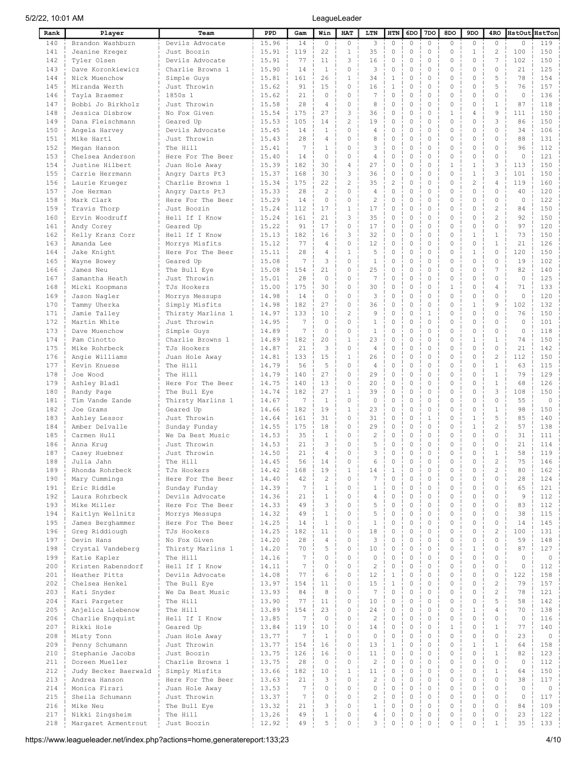| Rank       | Player                                | Team                                | PPD            | Gam             | Win            | HAT                     | LTN                  | HTN                        | 6DO                        | 7DO                     | 8DO                 | 9DO                           | 4RO                            | HstOut HstTon |            |
|------------|---------------------------------------|-------------------------------------|----------------|-----------------|----------------|-------------------------|----------------------|----------------------------|----------------------------|-------------------------|---------------------|-------------------------------|--------------------------------|---------------|------------|
| 140        | Brandon Washburn                      | Devils Advocate                     | 15.96          | 14              | $\circ$        | $\circ$                 | 3                    | $\circ$                    | $\mathbb O$                | $\mathbb O$             | $\circ$             | 0                             | $\circ$                        | $\circ$       | 119        |
| 141        | Jeanine Kreger                        | Just Boozin                         | 15.91          | 119             | 22             | $\mathbf{1}$            | 35                   | 0                          | $\mathbb O$                | $\circ$                 | $\circ$             | $\mathbf{1}$                  | 2                              | 100           | 150        |
| 142        | Tyler Olsen                           | Devils Advocate                     | 15.91          | 77              | 11             | 3                       | 16                   | 0                          | $\mathbf 0$                | $\circ$                 | $\circ$             | $\circ$                       | 7                              | 102           | 150        |
| 143        | Dave Koronkiewicz                     | Charlie Browns 1                    | 15.90          | 14              | $\mathbf{1}$   | $\circ$                 | 3                    | $\mathbf 0$                | $\mathbf 0$                | $\circ$                 | 0                   | $\mathbf 0$                   | $\mathbf 0$                    | 21            | 125        |
| 144        | Nick Muenchow                         | Simple Guys                         | 15.81          | 161             | 26             | $\mathbf 1$             | 34                   | 1                          | $\Omega$                   | $\circ$                 | $\circ$             | $\mathbf 0$                   | 5                              | 78            | 154        |
| 145        | Miranda Werth                         | Just Throwin                        | 15.62          | 91              | 15             | $\circ$                 | 16                   | 1                          | $\mathbf 0$                | $\circ$                 | $\circ$             | $\mathbf 0$                   | 5                              | 76            | 157        |
| 146        | Tayla Braemer                         | 1850s 1                             | 15.62          | 21              | $\circ$        | $\circ$                 | 7                    | 0                          | $\mathbf 0$<br>$\mathbf 0$ | $\circ$                 | $\circ$             | $\mathbf 0$                   | $\mathbf{0}$                   | $\circ$       | 136        |
| 147<br>148 | Bobbi Jo Birkholz<br>Jessica Disbrow  | Just Throwin<br>No Fox Given        | 15.58<br>15.54 | 28<br>175       | 4<br>27        | $\circ$<br>3            | 8<br>36              | 0<br>0                     | $\mathbf 0$                | $\circ$<br>$\circ$      | 0<br>1              | $\mathbf 0$<br>$\overline{4}$ | $\mathbf{1}$<br>$\overline{9}$ | 87<br>111     | 118<br>150 |
| 149        | Dana Fleischmann                      | Geared Up                           | 15.53          | 105             | 14             | $\mathbf{2}$            | 19                   | 0                          | $\mathbf 0$                | $\circ$                 | $\circ$             | $\mathbf 0$                   | 3                              | 86            | 150        |
| 150        | Angela Harvey                         | Devils Advocate                     | 15.45          | 14              | $\mathbf{1}$   | $\circ$                 | 4                    | 0                          | $\mathbf 0$                | $\Omega$                | $\circ$             | $\mathbf 0$                   | $\Omega$                       | 34            | 106        |
| 151        | Mike Hartl                            | Just Throwin                        | 15.43          | 28              | 4              | $\mathbf{0}$            | 8                    | 0                          | $\mathbf 0$                | $\circ$                 | $\circ$             | $\mathbf 0$                   | $\Omega$                       | 88            | 131        |
| 152        | Megan Hanson                          | The Hill                            | 15.41          | 7               | 1              | $\circ$                 | 3                    | 0                          | $\circ$                    | $\Omega$                | $\Omega$            | $\Omega$                      | $\Omega$                       | 96            | 112        |
| 153        | Chelsea Anderson                      | Here For The Beer                   | 15.40          | 14              | $\Omega$       | $\mathbf{0}$            | $\overline{4}$       | 0                          | $\mathbf 0$                | $\Omega$                | $\circ$             | $\mathbf 0$                   | $\Omega$                       | $\Omega$      | 121        |
| 154        | Justine Hilbert                       | Juan Hole Away                      | 15.39          | 182             | 30             | $\sqrt{4}$              | 27                   | 0                          | $\mathbf 0$                | $\circ$                 | 1                   | 1                             | 3                              | 113           | 150        |
| 155        | Carrie Herrmann                       | Angry Darts Pt3                     | 15.37          | 168             | 30             | 3                       | 36                   | 0                          | $\mathbf 0$                | $\circ$                 | $\circ$             | $\mathbf{1}$                  | 3                              | 101           | 150        |
| 156        | Laurie Krueger                        | Charlie Browns 1                    | 15.34          | 175             | 22             | $\overline{c}$          | 35                   | $\overline{2}$             | $\mathbf 0$                | $\circ$                 | $\circ$             | $\mathbf{2}$                  | 4                              | 119           | 160        |
| 157        | Joe Herman                            | Angry Darts Pt3                     | 15.33          | 28              | 2              | $\circ$                 | $\overline{4}$       | 0                          | $\mathbf 0$                | $\circ$                 | $\circ$             | $\circ$                       | $\circ$                        | 40            | 120        |
| 158        | Mark Clark                            | Here For The Beer                   | 15.29          | 14              | $\circ$        | $\circ$                 | $\overline{2}$       | 0                          | $\mathbf 0$                | $\circ$                 | $\circ$             | $\mathbf 0$                   | $\circ$                        | $\circ$       | 122        |
| 159        | Travis Thorp                          | Just Boozin                         | 15.24          | 112             | 17             | $\mathbf 1$             | 17                   | 0                          | $\mathbf 0$                | $\circ$                 | $\circ$             | $\mathbf 0$                   | $\overline{c}$                 | 84            | 150        |
| 160        | Ervin Woodruff                        | Hell If I Know                      | 15.24          | 161             | 21             | 3                       | 35                   | 0                          | $\mathbb O$                | $\circ$                 | $\circ$             | $\mathbf 0$                   | $\overline{c}$                 | 92            | 150        |
| 161        | Andy Corey                            | Geared Up                           | 15.22          | 91              | 17             | $\circ$                 | 17                   | 0                          | $\mathbf 0$                | $\circ$                 | $\circ$             | $\mathbf 0$                   | $\circ$                        | 97            | 120        |
| 162        | Kelly Kranz Corr                      | Hell If I Know                      | 15.13          | 182             | 16             | 3                       | 32                   | $\mathbf 0$                | $\mathbf 0$                | $\circ$                 | $\circ$             | $\mathbf{1}$                  | $\mathbf{1}$                   | 73            | 150        |
| 163        | Amanda Lee                            | Morrys Misfits                      | 15.12          | 77              | 4              | $\circ$                 | 12                   | 0                          | $\mathbf 0$                | $\circ$                 | $\circ$             | $\mathbf 0$                   | $\mathbf{1}$                   | 21            | 126        |
| 164        | Jake Knight                           | Here For The Beer                   | 15.11          | 28<br>7         | 4<br>3         | $1\,$<br>$\circ$        | 5                    | $\mathbf 0$<br>0           | $\mathbf 0$<br>$\mathbf 0$ | $\circ$<br>$\circ$      | $\circ$<br>$\circ$  | $\mathbf{1}$<br>$\mathbf 0$   | $\circ$<br>$\circ$             | 120<br>19     | 150<br>102 |
| 165<br>166 | Wayne Bowey<br>James Neu              | Geared Up                           | 15.08<br>15.08 | 154             | 21             | $\circ$                 | $\mathbf{1}$<br>25   | 0                          | $\mathbf 0$                | $\circ$                 | $\theta$            | $\mathbf 0$                   | $\overline{7}$                 | 82            | 140        |
| 167        | Samantha Heath                        | The Bull Eye<br>Just Throwin        | 15.01          | 28              | $\circ$        | $\circ$                 | 7                    | 0                          | $\mathbf 0$                | $\Omega$                | $\circ$             | $\mathbf 0$                   | $\Omega$                       | $\circ$       | 125        |
| 168        | Micki Koopmans                        | TJs Hookers                         | 15.00          | 175             | 30             | $\circ$                 | 30                   | 0                          | $\mathbf 0$                | $\circ$                 | 1                   | $\mathbf 0$                   | 4                              | 71            | 133        |
| 169        | Jason Nagler                          | Morrys Messups                      | 14.98          | 14              | $\circ$        | $\circ$                 | 3                    | 0                          | $\mathbf 0$                | $\Omega$                | $\circ$             | $\mathbf 0$                   | $\Omega$                       | $\circ$       | 120        |
| 170        | Tammy Uherka                          | Simply Misfits                      | 14.98          | 182             | 27             | $\circ$                 | 36                   | 0                          | $\mathbf 0$                | $\circ$                 | $\circ$             | $\mathbf{1}$                  | $\overline{9}$                 | 102           | 132        |
| 171        | Jamie Talley                          | Thirsty Marlins 1                   | 14.97          | 133             | 10             | 2                       | 9                    | 0                          | $\mathbf 0$                | $\mathbf{1}$            | $\circ$             | $\circ$                       | $\circ$                        | 76            | 150        |
| 172        | Martin White                          | Just Throwin                        | 14.95          | $7\phantom{.0}$ | $\circ$        | $\circ$                 | 1                    | 0                          | $\mathbf 0$                | $\circ$                 | 0                   | $\mathbf 0$                   | $\Omega$                       | $\circ$       | 101        |
| 173        | Dave Muenchow                         | Simple Guys                         | 14.89          | 7               | $\circ$        | $\circ$                 | 1                    | 0                          | $\mathbf 0$                | $\circ$                 | $\circ$             | $\mathbf 0$                   | $\mathbf 0$                    | $\circ$       | 118        |
| 174        | Pam Cinotto                           | Charlie Browns 1                    | 14.89          | 182             | 20             | $\mathbf 1$             | 23                   | 0                          | $\mathbf 0$                | $\circ$                 | $\circ$             | $\mathbf{1}$                  | $\mathbf{1}$                   | 74            | 150        |
| 175        | Mike Rohrbeck                         | TJs Hookers                         | 14.87          | 21              | 3              | $\circ$                 | 4                    | 0                          | $\mathbf 0$                | $\circ$                 | $\circ$             | $\circ$                       | $\circ$                        | 21            | 142        |
| 176        | Angie Williams                        | Juan Hole Away                      | 14.81          | 133             | 15             | $\mathbf{1}$            | 26                   | 0                          | $\mathbf 0$                | $\circ$                 | $\circ$             | $\mathbf 0$                   | $\overline{c}$                 | 112           | 150        |
| 177        | Kevin Knuese                          | The Hill                            | 14.79          | 56              | 5              | $\circ$                 | 4                    | 0                          | $\circ$                    | $\circ$                 | $\Omega$            | $\mathbf 0$                   | $\mathbf{1}$                   | 63            | 115        |
| 178        | Joe Wood                              | The Hill                            | 14.79          | 140             | 27             | $\circ$                 | 29                   | 0                          | $\mathbf 0$                | $\circ$                 | $\circ$             | $\mathbf 0$                   | $\mathbf{1}$                   | 79            | 129        |
| 179        | Ashley Bladl                          | Here For The Beer                   | 14.75          | 140             | 13             | $\circ$                 | 20                   | 0                          | $\mathbf 0$                | $\Omega$                | $\circ$             | $\mathbf 0$                   | $\mathbf{1}$                   | 68            | 126        |
| 180        | Randy Page                            | The Bull Eye                        | 14.74          | 182             | 27             | $\mathbf{1}$            | 39                   | 0                          | $\mathbf 0$                | $\circ$                 | $\circ$             | $\mathbf 0$                   | 3                              | 108           | 150        |
| 181        | Tim Vande Zande                       | Thirsty Marlins 1                   | 14.67          | 7               | 1              | $\circ$                 | $\circ$              | 0                          | $\circ$                    | $\Omega$                | $\Omega$            | $\Omega$                      | $\Omega$                       | 55            | $\circ$    |
| 182<br>183 | Joe Grams                             | Geared Up<br>Just Throwin           | 14.66<br>14.64 | 182<br>161      | 19<br>31       | $\mathbf{1}$<br>$\circ$ | 23<br>31             | 0<br>0                     | $\mathbf 0$<br>$\circ$     | $\circ$<br>$\mathbf{1}$ | $\circ$<br>$\Omega$ | $\mathbf 0$<br>$\mathbf{1}$   | $\mathbf{1}$<br>5              | 98<br>85      | 150<br>140 |
| 184        | Ashley Lessor<br>Amber Delvalle       | Sunday Funday                       | 14.55          | 175             | 18             | $\circ$                 | 29                   | 0                          | $\mathbf 0$                | $\circ$                 | $\circ$             | $\mathbf{1}$                  | 2                              | 57            | 138        |
| 185        | Carmen Hull                           | We Da Best Music                    | 14.53          | 35              | 1              | $\circ$                 | $\mathbf{2}$         | 0                          | $\circ$                    | $\circ$                 | $\circ$             | $\Omega$                      | $\Omega$                       | 31            | 111        |
| 186        | Anna Krug                             | Just Throwin                        | 14.53          | 21              | 3              | $\circ$                 | 5                    | 0                          | $\circ$                    | $\circ$                 | $\circ$             | $\mathbf 0$                   | $\circ$                        | 21            | 114        |
| 187        | Casey Huebner                         | Just Throwin                        | 14.50          | 21              | $\overline{4}$ | $\circ$                 | 3                    | 0                          | $\circ$                    | $\circ$                 | 0                   | $\mathbf 0$                   | $\mathbf{1}$                   | 58            | 119        |
| 188        | Julia Jahn                            | The Hill                            | 14.45          | 56              | 14             | 0                       | 6                    | 0                          |                            |                         | 0                   | 0                             | 2                              | 75            | 146        |
| 189        | Rhonda Rohrbeck                       | TJs Hookers                         | 14.42          | 168             | 19             | $\mathbf 1$             | 14                   | $\mathbf{1}$               | $\circ$                    | $\circ$                 | $\mathbf 0$         | $\mathbf 0$                   | $\mathbf{2}$                   | 80            | 162        |
| 190        | Mary Cummings                         | Here For The Beer                   | 14.40          | 42              | $\mathbf{2}$   | $\circ$                 | 7                    | $\mathbb O$                | $\mathbf 0$                | $\circ$                 | $\circ$             | $\mathbf 0$                   | $\circ$                        | 28            | 124        |
| 191        | Eric Riddle                           | Sunday Funday                       | 14.39          | 7               | $\mathbf{1}$   | $\circ$                 | $\mathbf{1}$         | $\mathbb O$                | $\mathbb O$                | $\mathbb O$             | $\circ$             | $\mathbf 0$                   | $\circ$                        | 65            | 121        |
| 192        | Laura Rohrbeck                        | Devils Advocate                     | 14.36          | 21              | $\mathbf{1}$   | $\circ$                 | 4                    | $\mathbb O$                | $\mathbf 0$                | $\circ$                 | $\circ$             | $\mathbf 0$                   | $\circ$                        | $\mathcal{G}$ | 112        |
| 193        | Mike Miller                           | Here For The Beer                   | 14.33          | 49              | 3              | $\circ$                 | 5                    | $\mathbf 0$                | $\mathbf 0$                | $\circ$                 | $\circ$             | $\mathbf 0$                   | $\circ$                        | 83            | 112        |
| 194        | Kaitlyn Wellnitz                      | Morrys Messups                      | 14.32          | 49              | $\mathbf{1}$   | $\circ$                 | 5                    | $\mathbf 0$                | $\mathbf 0$                | $\circ$                 | $\circ$             | $\mathbf 0$                   | $\circ$                        | 38            | 115        |
| 195        | James Berghammer                      | Here For The Beer                   | 14.25          | 14              | $\mathbf{1}$   | $\circ$                 | $\mathbf{1}$         | $\mathbf 0$                | $\mathbf 0$<br>$\mathbf 0$ | $\circ$<br>$\circ$      | $\circ$             | $\mathbf 0$<br>$\mathbf 0$    | $\circ$<br>$\overline{c}$      | 14            | 145        |
| 196<br>197 | Greg Riddiough<br>Devin Hans          | TJs Hookers<br>No Fox Given         | 14.25<br>14.20 | 182<br>28       | 11<br>4        | $\circ$<br>$\mathbf 0$  | 18<br>3              | $\mathbb O$<br>$\mathbb O$ | $\mathbf 0$                | $\circ$                 | $\circ$<br>$\circ$  | $\mathbf 0$                   | $\circ$                        | 100<br>59     | 131<br>148 |
| 198        | Crystal Vandeberg                     | Thirsty Marlins 1                   | 14.20          | 70              | 5              | $\circ$                 | 10                   | $\mathbf 0$                | $\mathbf 0$                | $\circ$                 | $\circ$             | $\mathbf{1}$                  | $\circ$                        | 87            | 127        |
| 199        | Katie Kapler                          | The Hill                            | 14.16          | 7               | $\circ$        | $\mathbf{0}$            | 0                    | $\mathsf{O}\xspace$        | $\mathbf 0$                | $\circ$                 | $\circ$             | $\mathbf 0$                   | $\Omega$                       | $\circ$       | $\circ$    |
| 200        | Kristen Rabensdorf                    | Hell If I Know                      | 14.11          | $7\phantom{.0}$ | $\circ$        | $\circ$                 | $\mathbf{2}$         | $\mathsf{O}\xspace$        | $\mathbf 0$                | $\circ$                 | $\circ$             | $\mathbf 0$                   | $\circ$                        | $\circ$       | 112        |
| 201        | Heather Pitts                         | Devils Advocate                     | 14.08          | 77              | 6              | $\circ$                 | 12                   | $\mathbf 1$                | $\mathbf 0$                | $\circ$                 | 0                   | $\mathbf 0$                   | $\circ$                        | 122           | 158        |
| 202        | Chelsea Henkel                        | The Bull Eye                        | 13.97          | 154             | 11             | $\circ$                 | 15                   | $1\,$                      | $\mathbf 0$                | $\circ$                 | $\circ$             | $\mathbf 0$                   | $\mathbf{2}$                   | 79            | 157        |
| 203        | Kati Snyder                           | We Da Best Music                    | 13.93          | 84              | 8              | $\circ$                 | $7\phantom{.0}$      | $\mathsf{O}\xspace$        | $\mathbf 0$                | $\circ$                 | 0                   | $\mathbf 0$                   | $\mathbf{2}$                   | 78            | 121        |
| 204        | Kari Pargeter                         | The Hill                            | 13.90          | 77              | 11             | $\circ$                 | 10                   | $\mathbf 0$                | $\mathbf 0$                | $\circ$                 | $\circ$             | $\mathbf 0$                   | 5                              | 58            | 142        |
| 205        | Anjelica Liebenow                     | The Hill                            | 13.89          | 154             | 23             | $\circ$                 | 24                   | $\mathsf{O}\xspace$        | $\mathbf 0$                | $\circ$                 | $\circ$             | $1\,$                         | 4                              | 70            | 138        |
| 206        | Charlie Engquist                      | Hell If I Know                      | 13.85          | $7\phantom{.0}$ | $\circ$        | $\circ$                 | $\overline{2}$       | $\mathbf 0$                | $\mathbf 0$                | $\circ$                 | $\circ$             | $\circ$                       | $\circ$                        | $\circ$       | 116        |
| 207        | Rikki Hole                            | Geared Up                           | 13.84          | 119             | 10             | $\circ$                 | 14                   | $\mathsf{O}\xspace$        | $\mathbf 0$                | $\circ$                 | $\mathbf{1}$        | $\mathbf 0$                   | $\mathbf{1}$                   | 77            | 140        |
| 208        | Misty Tonn                            | Juan Hole Away                      | 13.77          | 7               | $\mathbf{1}$   | $\circ$                 | $\circ$              | $\mathbf 0$                | $\mathbf 0$                | $\circ$                 | $\mathbf 0$         | $\mathbf 0$                   | $\circ$                        | 23            | $\circ$    |
| 209        | Penny Schumann                        | Just Throwin                        | 13.77          | 154             | 16             | $\circ$                 | 13                   | $\mathbf 1$                | $\mathbf 0$                | $\circ$                 | $\circ$             | $1\,$                         | $\mathbf{1}$                   | 64            | 158        |
| 210        | Stephanie Jacobs                      | Just Boozin                         | 13.75          | 126             | 16             | $\circ$                 | 11                   | $\mathbf 0$                | $\mathbf 0$                | $\circ$                 | $\mathbf 0$         | $\mathbf 0$                   | $\mathbf{1}$                   | 82            | 123        |
| 211        | Doreen Mueller                        | Charlie Browns 1                    | 13.75          | 28              | $\circ$        | $\circ$                 | $\mathbf{2}$         | $\mathbf 0$<br>$\mathbf 0$ | $\mathbf 0$<br>$\mathbf 0$ | $\circ$<br>$\Omega$     | $\circ$<br>$\Omega$ | $\mathbf 0$<br>$\mathbf 0$    | $\circ$                        | $\circ$       | 112        |
| 212<br>213 | Judy Becker Baerwald<br>Andrea Hanson | Simply Misfits<br>Here For The Beer | 13.66<br>13.63 | 182<br>21       | 10<br>3        | $1\,$<br>$\circ$        | 11<br>$\overline{c}$ | 0                          | $\mathbf 0$                | $\circ$                 | $\circ$             | $\mathbf 0$                   | $\mathbf{1}$<br>$\circ$        | 64<br>38      | 150<br>117 |
| 214        | Monica Firari                         | Juan Hole Away                      | 13.53          | 7               | $\Omega$       | $\circ$                 | $\Omega$             | $\mathbb O$                | $\mathbf 0$                | $\Omega$                | $\Omega$            | $\mathbf 0$                   | $\Omega$                       | $\circ$       | $\circ$    |
| 215        | Sheila Schumann                       | Just Throwin                        | 13.37          | $7\phantom{.0}$ | 0              | $\mathbb O$             | $\overline{c}$       | 0                          | $\mathbf 0$                | $\circ$                 | $\mathbb O$         | $\circ$                       | $\circ$                        | $\circ$       | 117        |
| 216        | Mike Neu                              | The Bull Eye                        | 13.32          | 21              | 3              | $\circ$                 | $1\,$                | $\mathbb O$                | $\mathbf 0$                | $\circ$                 | $\circ$             | $\mathbf 0$                   | $\circ$                        | 84            | 109        |
| 217        | Nikki Zingsheim                       | The Hill                            | 13.26          | 49              | $\mathbf{1}$   | $\circ$                 | 4                    | 0                          | $\mathbb O$                | $\circ$                 | $\circ$             | $\mathbb O$                   | 0                              | 23            | 122        |
| 218        | Margaret Armentrout                   | Just Boozin                         | 12.92          | 49              | 5              | $\circ$                 | 3                    | $\mathbb O$                | $\mathbb O$                | 0                       | $\circ$             | $\mathbb O$                   | $\mathbf{1}$                   | 35            | 133        |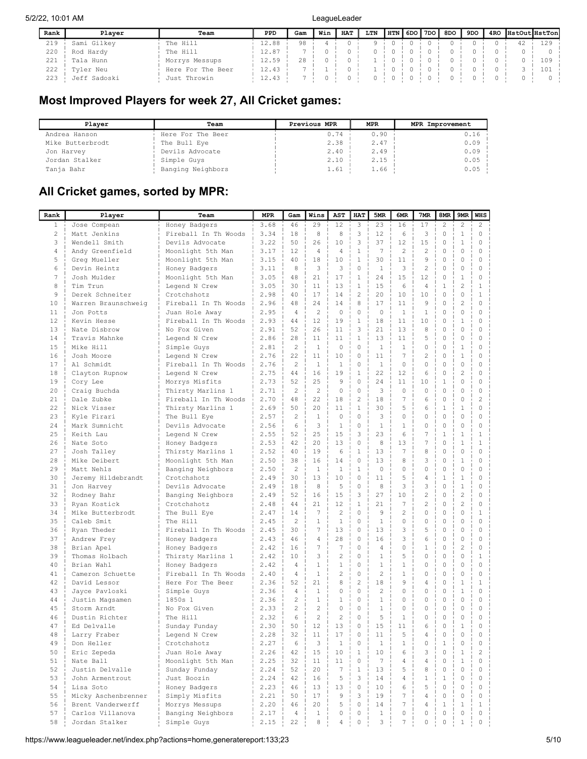| Rank | Plaver       | Team              | PPD   | Gam | Win | <b>HAT</b> | LTN | HTN | 6DO I | 7DO | 8DO | 9DO | 4RO | HstOut HstTon |
|------|--------------|-------------------|-------|-----|-----|------------|-----|-----|-------|-----|-----|-----|-----|---------------|
| 219  | Sami Gilkey  | The Hill          | 12.88 | 98  |     |            |     |     |       |     |     |     |     | 12S           |
| 220  | Rod Hardy    | The Hill          | 12.87 |     |     |            |     |     |       |     |     |     |     |               |
| 221  | Tala Hunn    | Morrys Messups    | 12.59 | 28  |     |            |     |     |       |     |     |     |     | 109           |
| 222  | Tyler Neu    | Here For The Beer | 12.43 |     |     |            |     |     |       |     |     |     |     | 101           |
| 223  | Jeff Sadoski | Just Throwin      | 12.43 |     |     |            |     |     |       |     |     |     |     |               |

## Most Improved Players for week 27, All Cricket games:

| Plaver           | Team              | Previous MPR | <b>MPR</b> | MPR Improvement |
|------------------|-------------------|--------------|------------|-----------------|
| Andrea Hanson    | Here For The Beer | 0.74         | 0.90       | 0.16            |
| Mike Butterbrodt | The Bull Eye      | 2.38         | 2.47       | 0.09            |
| Jon Harvey       | Devils Advocate   | 2.40         | 2.49       | 0.09            |
| Jordan Stalker   | Simple Guys       | 2.10         | 2.15       | 0.05            |
| Tanja Bahr       | Banging Neighbors | 1.61         | 1.66       | 0.05            |

# All Cricket games, sorted by MPR:

| 3.68<br>29<br>12<br>3<br>23<br>17<br>$\mathbf{2}$<br>$\mathbf{2}$<br>$\mathbf{2}$<br>$\mathbf{1}$<br>46<br>16<br>Jose Compean<br>Honey Badgers<br>3<br>2<br>3.34<br>18<br>8<br>8<br>12<br>6<br>3<br>$\mathbb O$<br>$\mathbf{1}$<br>$\mathbb O$<br>Matt Jenkins<br>Fireball In Th Woods<br>3<br>10<br>3<br>37<br>15<br>$\circ$<br>3.22<br>50<br>26<br>12<br>$\mathbf{1}$<br>0<br>Wendell Smith<br>Devils Advocate<br>$\overline{4}$<br>3.17<br>12<br>$\mathbf{1}$<br>7<br>$\overline{c}$<br>$\overline{c}$<br>$\circ$<br>$\circ$<br>0<br>Andy Greenfield<br>Moonlight 5th Man<br>4<br>4<br>$\mathbf{1}$<br>30<br>9<br>$\circ$<br>5<br>3.15<br>40<br>18<br>10<br>11<br>$\circ$<br>0<br>Greg Mueller<br>Moonlight 5th Man<br>3<br>$\mathbf 0$<br>3<br>$\overline{c}$<br>6<br>8<br>3<br>$\mathbf{1}$<br>$\circ$<br>$\circ$<br>0<br>Devin Heintz<br>3.11<br>Honey Badgers<br>7<br>24<br>12<br>3.05<br>48<br>21<br>17<br>$\mathbf{1}$<br>15<br>$\circ$<br>$\mathbf{1}$<br>0<br>Josh Mulder<br>Moonlight 5th Man<br>$\overline{c}$<br>8<br>$\mathbf{1}$<br>15<br>$1\,$<br>$1\,$<br>30<br>11<br>13<br>6<br>$\overline{4}$<br>Tim Trun<br>Legend N Crew<br>3.05<br>$\overline{c}$<br>20<br>$\circ$<br>$\mathbf 0$<br>$\mathbf{1}$<br>9<br>2.98<br>17<br>14<br>10<br>Derek Schneiter<br>Crotchshotz<br>40<br>10<br>$\overline{c}$<br>8<br>$\circ$<br>$\circ$<br>10<br>2.96<br>48<br>24<br>14<br>17<br>11<br>9<br>Warren Braunschweig<br>Fireball In Th Woods<br>$\overline{c}$<br>$\mathbf 0$<br>$\circ$<br>$\mathbf 0$<br>2.95<br>$\overline{4}$<br>$\Omega$<br>$\mathbf 0$<br>1<br>$\mathbf{1}$<br>0<br>11<br>Jon Potts<br>Juan Hole Away<br>$\mathbf{1}$<br>$\circ$<br>$\mathbf{1}$<br>12<br>Fireball In Th Woods<br>2.93<br>44<br>12<br>19<br>18<br>11<br>10<br>0<br>Kevin Hesse<br>3<br>$\mathbf 0$<br>$\mathbf 0$<br>13<br>2.91<br>52<br>26<br>21<br>13<br>8<br>0<br>Nate Disbrow<br>No Fox Given<br>11<br>$\mathbf{1}$<br>$\circ$<br>$\mathbf 0$<br>14<br>2.86<br>28<br>11<br>11<br>13<br>11<br>5<br>0<br>Travis Mahnke<br>Legend N Crew<br>$\overline{c}$<br>$\mathbf 0$<br>$\mathbb O$<br>$1\,$<br>15<br>$\mathbf{1}$<br>$\circ$<br>$\mathbf{1}$<br>$\mathbf{1}$<br>0<br>0<br>Mike Hill<br>Simple Guys<br>2.81<br>22<br>$\mathbf 0$<br>$\overline{7}$<br>$\overline{c}$<br>$\circ$<br>$1\,$<br>16<br>2.76<br>11<br>10<br>11<br>0<br>Josh Moore<br>Legend N Crew<br>$\overline{c}$<br>0<br>$\mathbb O$<br>17<br>2.76<br>$\mathbf{1}$<br>$\mathbf{1}$<br>$\mathbf{1}$<br>$\circ$<br>0<br>0<br>0<br>Al Schmidt<br>Fireball In Th Woods<br>$\mathbf{1}$<br>22<br>$\overline{c}$<br>2.75<br>44<br>16<br>19<br>12<br>6<br>$\mathbb O$<br>0<br>18<br>Clayton Rupnow<br>Legend N Crew<br>9<br>0<br>24<br>$\mathbf 0$<br>$\circ$<br>19<br>2.73<br>52<br>25<br>11<br>10<br>$1\,$<br>Cory Lee<br>Morrys Misfits<br>2.71<br>$\overline{c}$<br>$\overline{2}$<br>$\mathbf 0$<br>$\mathbf 0$<br>3<br>$\Omega$<br>$\mathbf 0$<br>$\circ$<br>$\mathbf 0$<br>$\circ$<br>20<br>Craig Buchda<br>Thirsty Marlins 1<br>48<br>22<br>$\overline{c}$<br>18<br>$\overline{7}$<br>$\circ$<br>$\mathbf 0$<br>$\overline{c}$<br>21<br>2.70<br>18<br>6<br>Dale Zubke<br>Fireball In Th Woods<br>30<br>$\mathbf 0$<br>22<br>2.69<br>50<br>20<br>$\mathbf{1}$<br>5<br>6<br>$1\,$<br>$\mathbf{1}$<br>Nick Visser<br>Thirsty Marlins 1<br>11<br>23<br>$\overline{c}$<br>0<br>3<br>0<br>$\circ$<br>$\mathbf 0$<br>2.57<br>$\mathbf{1}$<br>$\circ$<br>$\Omega$<br>0<br>Kyle Firari<br>The Bull Eye<br>6<br>3<br>$\mathbf{1}$<br>$\mathbf 0$<br>$\mathbf{1}$<br>0<br>$\circ$<br>24<br>2.56<br>$\mathbf{1}$<br>$\circ$<br>0<br>Mark Sumnicht<br>Devils Advocate<br>23<br>2.55<br>52<br>3<br>7<br>$1\,$<br>25<br>25<br>15<br>6<br>$1\,$<br>$1\,$<br>Keith Lau<br>Legend N Crew<br>$\mathbf 0$<br>8<br>7<br>$\circ$<br>$\mathbf{1}$<br>26<br>2.53<br>42<br>20<br>13<br>13<br>$\mathbf{1}$<br>Nate Soto<br>Honey Badgers<br>13<br>7<br>$\mathbf 0$<br>$\mathbf 0$<br>27<br>2.52<br>40<br>19<br>6<br>$\mathbf{1}$<br>8<br>0<br>Josh Talley<br>Thirsty Marlins 1<br>$\Omega$<br>$\mathbf 0$<br>2.50<br>38<br>16<br>14<br>13<br>8<br>3<br>$\mathbf{1}$<br>$\Omega$<br>28<br>Mike Deibert<br>Moonlight 5th Man<br>$\circ$<br>$\mathbf 0$<br>29<br>2.50<br>$\overline{c}$<br>$\mathbf{1}$<br>$\mathbf{1}$<br>$\mathbf{1}$<br>$\circ$<br>$\Omega$<br>0<br>0<br>Matt Nehls<br>Banging Neighbors<br>10<br>30<br>2.49<br>30<br>13<br>$\circ$<br>11<br>5<br>4<br>$1\,$<br>$\mathbf{1}$<br>0<br>Jeremy Hildebrandt<br>Crotchshotz<br>8<br>3<br>3<br>$\circ$<br>31<br>2.49<br>18<br>8<br>5<br>$\circ$<br>$\mathbf{1}$<br>0<br>Devils Advocate<br>Jon Harvey<br>3<br>27<br>$\overline{c}$<br>$\circ$<br>$\overline{c}$<br>32<br>2.49<br>52<br>16<br>15<br>10<br>0<br>Banging Neighbors<br>Rodney Bahr<br>$\overline{c}$<br>$\overline{c}$<br>33<br>44<br>21<br>12<br>$\mathbf{1}$<br>21<br>7<br>$\circ$<br>0<br>2.48<br>Ryan Kostick<br>Crotchshotz<br>$\overline{c}$<br>$\mathbf 0$<br>9<br>$\overline{c}$<br>0<br>$\mathbf 0$<br>34<br>2.47<br>14<br>7<br>$\circ$<br>$\mathbf{1}$<br>Mike Butterbrodt<br>The Bull Eye<br>$\overline{c}$<br>$\mathbf 0$<br>$\mathbf{1}$<br>$\mathbf 0$<br>$\circ$<br>$\mathbf 0$<br>35<br>2.45<br>$\mathbf{1}$<br>$\mathbf{1}$<br>$\Omega$<br>$\circ$<br>Caleb Smit<br>The Hill<br>7<br>13<br>$\mathbf 0$<br>3<br>5<br>$\circ$<br>$\mathbf 0$<br>36<br>30<br>13<br>0<br>Ryan Theder<br>Fireball In Th Woods<br>2.45<br>$\mathbf 0$<br>16<br>3<br>6<br>$\circ$<br>$\circ$<br>37<br>46<br>$\overline{4}$<br>28<br>0<br>Andrew Frey<br>Honey Badgers<br>2.43<br>$\overline{7}$<br>$7\phantom{.0}$<br>$\mathbf 0$<br>$\circ$<br>$\overline{c}$<br>2.42<br>16<br>4<br>$\Omega$<br>1<br>0<br>38<br>Brian Apel<br>Honey Badgers<br>3<br>$\overline{c}$<br>$\mathbf 0$<br>$\mathbf{1}$<br>5<br>$\circ$<br>$\circ$<br>$\mathbf{1}$<br>2.42<br>10<br>0<br>39<br>Thomas Holbach<br>Thirsty Marlins 1<br>$\mathbf{1}$<br>$\mathbf 0$<br>$\mathbf{1}$<br>$\circ$<br>$\mathbf 0$<br>$\circ$<br>40<br>2.42<br>$\overline{4}$<br>$\mathbf{1}$<br>$\mathbf{1}$<br>0<br>Brian Wahl<br>Honey Badgers<br>$\overline{c}$<br>$\mathbf{1}$<br>$\overline{c}$<br>$\mathbf 0$<br>$\mathbf{1}$<br>$\circ$<br>$\mathbf 0$<br>$\circ$<br>$\overline{4}$<br>0<br>41<br>Cameron Schuette<br>Fireball In Th Woods<br>2.40<br>$\overline{c}$<br>8<br>18<br>9<br>$\mathbf 0$<br>42<br>Here For The Beer<br>2.36<br>52<br>21<br>4<br>$\mathbf{1}$<br>$\mathbf{1}$<br>David Lessor<br>$\mathbf 0$<br>$\overline{c}$<br>$\circ$<br>$\mathbf{1}$<br>$\circ$<br>2.36<br>$\overline{4}$<br>$\mathbf{1}$<br>0<br>$\Omega$<br>0<br>43<br>Jayce Pavloski<br>Simple Guys<br>$\overline{c}$<br>$\mathbf 0$<br>$\mathbf 0$<br>$\mathbf 0$<br>2.36<br>$\mathbf{1}$<br>$\mathbf{1}$<br>$\mathbf{1}$<br>$\Omega$<br>0<br>0<br>44<br>1850s 1<br>Justin Magsamen<br>$\overline{c}$<br>2.33<br>2<br>0<br>$\circ$<br>$\mathbf{1}$<br>$\Omega$<br>0<br>$\circ$<br>$\circ$<br>0<br>45<br>Storm Arndt<br>No Fox Given<br>6<br>$\overline{c}$<br>$\overline{c}$<br>5<br>46<br>Dustin Richter<br>2.32<br>0<br>$\mathbf{1}$<br>0<br>0<br>0<br>0<br>The Hill<br>47<br>2.30<br>50<br>12<br>13<br>0<br>15<br>11<br>6<br>0<br>$\mathbf{1}$<br>0<br>Ed Delvalle<br>Sunday Funday<br>32<br>0<br>48<br>2.28<br>11<br>17<br>11<br>5<br>4<br>0<br>$\mathbf{0}$<br>0<br>Legend N Crew<br>Larry Fraber<br>49<br>Don Heller<br>Crotchshotz<br>2.27<br>6<br>3<br>$1\,$<br>$\mathbb O$<br>$1\,$<br>$\mathbf{1}$<br>0<br>$1\,$<br>0<br>$\mathbb O$<br>$\,1\,$<br>10<br>3<br>$\mathbb O$<br>$\sqrt{2}$<br>50<br>2.26<br>42<br>15<br>10<br>6<br>$\mathbf{1}$<br>Eric Zepeda<br>Juan Hole Away<br>$\circ$<br>$7\phantom{.0}$<br>$\circ$<br>$1\,$<br>$\circ$<br>Nate Ball<br>Moonlight 5th Man<br>2.25<br>32<br>11<br>11<br>4<br>4<br>51<br>$\mathbb O$<br>52<br>Justin Delvalle<br>2.24<br>52<br>20<br>$7\phantom{.0}$<br>$\mathbf{1}$<br>13<br>5<br>8<br>$\circ$<br>$\mathbb O$<br>Sunday Funday<br>3<br>53<br>John Armentrout<br>Just Boozin<br>2.24<br>42<br>16<br>5<br>14<br>$\mathbf{1}$<br>$\mathbf{1}$<br>$\circ$<br>0<br>4<br>5<br>$\circ$<br>54<br>Lisa Soto<br>Honey Badgers<br>2.23<br>46<br>13<br>13<br>$\circ$<br>10<br>6<br>$\circ$<br>$\circ$<br>3<br>$\mathbf 0$<br>Simply Misfits<br>2.21<br>50<br>17<br>$\mathcal{G}$<br>19<br>7<br>4<br>$\circ$<br>$\circ$<br>55<br>Micky Aschenbrenner<br>5<br>$\circ$<br>$\,1\,$<br>56<br>Brent Vanderwerff<br>2.20<br>46<br>20<br>14<br>7<br>4<br>$\mathbf{1}$<br>$\mathbf{1}$<br>Morrys Messups<br>$\mathbb O$<br>57<br>2.17<br>$\mathbb O$<br>$\,1$<br>$\mathbb O$<br>Carlos Villanova<br>Banging Neighbors<br>$\overline{4}$<br>0<br>0<br>$\circ$<br>$\mathbf{1}$<br>0<br>3<br>22<br>7<br>58<br>2.15<br>8<br>4<br>$\mathbf 0$<br>0<br>0<br>$\circ$<br>Jordan Stalker<br>Simple Guys<br>$\mathbf{1}$ | Rank | Player | Team | <b>MPR</b> | Gam | Wins | AST | <b>HAT</b> | 5MR | 6MR | 7MR | 8MR | 9MR | <b>WHS</b> |
|-------------------------------------------------------------------------------------------------------------------------------------------------------------------------------------------------------------------------------------------------------------------------------------------------------------------------------------------------------------------------------------------------------------------------------------------------------------------------------------------------------------------------------------------------------------------------------------------------------------------------------------------------------------------------------------------------------------------------------------------------------------------------------------------------------------------------------------------------------------------------------------------------------------------------------------------------------------------------------------------------------------------------------------------------------------------------------------------------------------------------------------------------------------------------------------------------------------------------------------------------------------------------------------------------------------------------------------------------------------------------------------------------------------------------------------------------------------------------------------------------------------------------------------------------------------------------------------------------------------------------------------------------------------------------------------------------------------------------------------------------------------------------------------------------------------------------------------------------------------------------------------------------------------------------------------------------------------------------------------------------------------------------------------------------------------------------------------------------------------------------------------------------------------------------------------------------------------------------------------------------------------------------------------------------------------------------------------------------------------------------------------------------------------------------------------------------------------------------------------------------------------------------------------------------------------------------------------------------------------------------------------------------------------------------------------------------------------------------------------------------------------------------------------------------------------------------------------------------------------------------------------------------------------------------------------------------------------------------------------------------------------------------------------------------------------------------------------------------------------------------------------------------------------------------------------------------------------------------------------------------------------------------------------------------------------------------------------------------------------------------------------------------------------------------------------------------------------------------------------------------------------------------------------------------------------------------------------------------------------------------------------------------------------------------------------------------------------------------------------------------------------------------------------------------------------------------------------------------------------------------------------------------------------------------------------------------------------------------------------------------------------------------------------------------------------------------------------------------------------------------------------------------------------------------------------------------------------------------------------------------------------------------------------------------------------------------------------------------------------------------------------------------------------------------------------------------------------------------------------------------------------------------------------------------------------------------------------------------------------------------------------------------------------------------------------------------------------------------------------------------------------------------------------------------------------------------------------------------------------------------------------------------------------------------------------------------------------------------------------------------------------------------------------------------------------------------------------------------------------------------------------------------------------------------------------------------------------------------------------------------------------------------------------------------------------------------------------------------------------------------------------------------------------------------------------------------------------------------------------------------------------------------------------------------------------------------------------------------------------------------------------------------------------------------------------------------------------------------------------------------------------------------------------------------------------------------------------------------------------------------------------------------------------------------------------------------------------------------------------------------------------------------------------------------------------------------------------------------------------------------------------------------------------------------------------------------------------------------------------------------------------------------------------------------------------------------------------------------------------------------------------------------------------------------------------------------------------------------------------------------------------------------------------------------------------------------------------------------------------------------------------------------------------------------------------------------------------------------------------------------------------------------------------------------------------------------------------------------------------------------------------------------------------------------------------------------------------------------------------------------------------------------------------------------------------------------------------------------------------------------------------------------------------------------------------------------------------------------------------------------------------------------------------------------------------------------------------------------------------------------------------------------------------------------------------------------------------------------------------------------------------------------------------------------------------------------------------------------------------------------------------------------------------------------------------------------------------------------------------------------------------------------------------------------------------------------------------------------------------------------------------------------------------------------------------------------------------------------------------------------------------------------------------------------------------------------------------------------------------------------------------------------------------------------------------------------------------------------------------------------------------------------------------------------------------------------------------------------------------------------------------------------------------------------------------------------------------------------------------------------------------------------------------------------------------------------------------------------------------------------------------------------------------------------------------------------------------------------------------------------------------|------|--------|------|------------|-----|------|-----|------------|-----|-----|-----|-----|-----|------------|
|                                                                                                                                                                                                                                                                                                                                                                                                                                                                                                                                                                                                                                                                                                                                                                                                                                                                                                                                                                                                                                                                                                                                                                                                                                                                                                                                                                                                                                                                                                                                                                                                                                                                                                                                                                                                                                                                                                                                                                                                                                                                                                                                                                                                                                                                                                                                                                                                                                                                                                                                                                                                                                                                                                                                                                                                                                                                                                                                                                                                                                                                                                                                                                                                                                                                                                                                                                                                                                                                                                                                                                                                                                                                                                                                                                                                                                                                                                                                                                                                                                                                                                                                                                                                                                                                                                                                                                                                                                                                                                                                                                                                                                                                                                                                                                                                                                                                                                                                                                                                                                                                                                                                                                                                                                                                                                                                                                                                                                                                                                                                                                                                                                                                                                                                                                                                                                                                                                                                                                                                                                                                                                                                                                                                                                                                                                                                                                                                                                                                                                                                                                                                                                                                                                                                                                                                                                                                                                                                                                                                                                                                                                                                                                                                                                                                                                                                                                                                                                                                                                                                                                                                                                                                                                                                                                                                                                                                                                                                                                                                                                                                                                                                                                                                                                                                                                                                                                                                                                                                                                                                                                                                                                                                                                                                                             |      |        |      |            |     |      |     |            |     |     |     |     |     |            |
|                                                                                                                                                                                                                                                                                                                                                                                                                                                                                                                                                                                                                                                                                                                                                                                                                                                                                                                                                                                                                                                                                                                                                                                                                                                                                                                                                                                                                                                                                                                                                                                                                                                                                                                                                                                                                                                                                                                                                                                                                                                                                                                                                                                                                                                                                                                                                                                                                                                                                                                                                                                                                                                                                                                                                                                                                                                                                                                                                                                                                                                                                                                                                                                                                                                                                                                                                                                                                                                                                                                                                                                                                                                                                                                                                                                                                                                                                                                                                                                                                                                                                                                                                                                                                                                                                                                                                                                                                                                                                                                                                                                                                                                                                                                                                                                                                                                                                                                                                                                                                                                                                                                                                                                                                                                                                                                                                                                                                                                                                                                                                                                                                                                                                                                                                                                                                                                                                                                                                                                                                                                                                                                                                                                                                                                                                                                                                                                                                                                                                                                                                                                                                                                                                                                                                                                                                                                                                                                                                                                                                                                                                                                                                                                                                                                                                                                                                                                                                                                                                                                                                                                                                                                                                                                                                                                                                                                                                                                                                                                                                                                                                                                                                                                                                                                                                                                                                                                                                                                                                                                                                                                                                                                                                                                                                             |      |        |      |            |     |      |     |            |     |     |     |     |     |            |
|                                                                                                                                                                                                                                                                                                                                                                                                                                                                                                                                                                                                                                                                                                                                                                                                                                                                                                                                                                                                                                                                                                                                                                                                                                                                                                                                                                                                                                                                                                                                                                                                                                                                                                                                                                                                                                                                                                                                                                                                                                                                                                                                                                                                                                                                                                                                                                                                                                                                                                                                                                                                                                                                                                                                                                                                                                                                                                                                                                                                                                                                                                                                                                                                                                                                                                                                                                                                                                                                                                                                                                                                                                                                                                                                                                                                                                                                                                                                                                                                                                                                                                                                                                                                                                                                                                                                                                                                                                                                                                                                                                                                                                                                                                                                                                                                                                                                                                                                                                                                                                                                                                                                                                                                                                                                                                                                                                                                                                                                                                                                                                                                                                                                                                                                                                                                                                                                                                                                                                                                                                                                                                                                                                                                                                                                                                                                                                                                                                                                                                                                                                                                                                                                                                                                                                                                                                                                                                                                                                                                                                                                                                                                                                                                                                                                                                                                                                                                                                                                                                                                                                                                                                                                                                                                                                                                                                                                                                                                                                                                                                                                                                                                                                                                                                                                                                                                                                                                                                                                                                                                                                                                                                                                                                                                                             |      |        |      |            |     |      |     |            |     |     |     |     |     |            |
|                                                                                                                                                                                                                                                                                                                                                                                                                                                                                                                                                                                                                                                                                                                                                                                                                                                                                                                                                                                                                                                                                                                                                                                                                                                                                                                                                                                                                                                                                                                                                                                                                                                                                                                                                                                                                                                                                                                                                                                                                                                                                                                                                                                                                                                                                                                                                                                                                                                                                                                                                                                                                                                                                                                                                                                                                                                                                                                                                                                                                                                                                                                                                                                                                                                                                                                                                                                                                                                                                                                                                                                                                                                                                                                                                                                                                                                                                                                                                                                                                                                                                                                                                                                                                                                                                                                                                                                                                                                                                                                                                                                                                                                                                                                                                                                                                                                                                                                                                                                                                                                                                                                                                                                                                                                                                                                                                                                                                                                                                                                                                                                                                                                                                                                                                                                                                                                                                                                                                                                                                                                                                                                                                                                                                                                                                                                                                                                                                                                                                                                                                                                                                                                                                                                                                                                                                                                                                                                                                                                                                                                                                                                                                                                                                                                                                                                                                                                                                                                                                                                                                                                                                                                                                                                                                                                                                                                                                                                                                                                                                                                                                                                                                                                                                                                                                                                                                                                                                                                                                                                                                                                                                                                                                                                                                             |      |        |      |            |     |      |     |            |     |     |     |     |     |            |
|                                                                                                                                                                                                                                                                                                                                                                                                                                                                                                                                                                                                                                                                                                                                                                                                                                                                                                                                                                                                                                                                                                                                                                                                                                                                                                                                                                                                                                                                                                                                                                                                                                                                                                                                                                                                                                                                                                                                                                                                                                                                                                                                                                                                                                                                                                                                                                                                                                                                                                                                                                                                                                                                                                                                                                                                                                                                                                                                                                                                                                                                                                                                                                                                                                                                                                                                                                                                                                                                                                                                                                                                                                                                                                                                                                                                                                                                                                                                                                                                                                                                                                                                                                                                                                                                                                                                                                                                                                                                                                                                                                                                                                                                                                                                                                                                                                                                                                                                                                                                                                                                                                                                                                                                                                                                                                                                                                                                                                                                                                                                                                                                                                                                                                                                                                                                                                                                                                                                                                                                                                                                                                                                                                                                                                                                                                                                                                                                                                                                                                                                                                                                                                                                                                                                                                                                                                                                                                                                                                                                                                                                                                                                                                                                                                                                                                                                                                                                                                                                                                                                                                                                                                                                                                                                                                                                                                                                                                                                                                                                                                                                                                                                                                                                                                                                                                                                                                                                                                                                                                                                                                                                                                                                                                                                                             |      |        |      |            |     |      |     |            |     |     |     |     |     |            |
|                                                                                                                                                                                                                                                                                                                                                                                                                                                                                                                                                                                                                                                                                                                                                                                                                                                                                                                                                                                                                                                                                                                                                                                                                                                                                                                                                                                                                                                                                                                                                                                                                                                                                                                                                                                                                                                                                                                                                                                                                                                                                                                                                                                                                                                                                                                                                                                                                                                                                                                                                                                                                                                                                                                                                                                                                                                                                                                                                                                                                                                                                                                                                                                                                                                                                                                                                                                                                                                                                                                                                                                                                                                                                                                                                                                                                                                                                                                                                                                                                                                                                                                                                                                                                                                                                                                                                                                                                                                                                                                                                                                                                                                                                                                                                                                                                                                                                                                                                                                                                                                                                                                                                                                                                                                                                                                                                                                                                                                                                                                                                                                                                                                                                                                                                                                                                                                                                                                                                                                                                                                                                                                                                                                                                                                                                                                                                                                                                                                                                                                                                                                                                                                                                                                                                                                                                                                                                                                                                                                                                                                                                                                                                                                                                                                                                                                                                                                                                                                                                                                                                                                                                                                                                                                                                                                                                                                                                                                                                                                                                                                                                                                                                                                                                                                                                                                                                                                                                                                                                                                                                                                                                                                                                                                                                             |      |        |      |            |     |      |     |            |     |     |     |     |     |            |
|                                                                                                                                                                                                                                                                                                                                                                                                                                                                                                                                                                                                                                                                                                                                                                                                                                                                                                                                                                                                                                                                                                                                                                                                                                                                                                                                                                                                                                                                                                                                                                                                                                                                                                                                                                                                                                                                                                                                                                                                                                                                                                                                                                                                                                                                                                                                                                                                                                                                                                                                                                                                                                                                                                                                                                                                                                                                                                                                                                                                                                                                                                                                                                                                                                                                                                                                                                                                                                                                                                                                                                                                                                                                                                                                                                                                                                                                                                                                                                                                                                                                                                                                                                                                                                                                                                                                                                                                                                                                                                                                                                                                                                                                                                                                                                                                                                                                                                                                                                                                                                                                                                                                                                                                                                                                                                                                                                                                                                                                                                                                                                                                                                                                                                                                                                                                                                                                                                                                                                                                                                                                                                                                                                                                                                                                                                                                                                                                                                                                                                                                                                                                                                                                                                                                                                                                                                                                                                                                                                                                                                                                                                                                                                                                                                                                                                                                                                                                                                                                                                                                                                                                                                                                                                                                                                                                                                                                                                                                                                                                                                                                                                                                                                                                                                                                                                                                                                                                                                                                                                                                                                                                                                                                                                                                                             |      |        |      |            |     |      |     |            |     |     |     |     |     |            |
|                                                                                                                                                                                                                                                                                                                                                                                                                                                                                                                                                                                                                                                                                                                                                                                                                                                                                                                                                                                                                                                                                                                                                                                                                                                                                                                                                                                                                                                                                                                                                                                                                                                                                                                                                                                                                                                                                                                                                                                                                                                                                                                                                                                                                                                                                                                                                                                                                                                                                                                                                                                                                                                                                                                                                                                                                                                                                                                                                                                                                                                                                                                                                                                                                                                                                                                                                                                                                                                                                                                                                                                                                                                                                                                                                                                                                                                                                                                                                                                                                                                                                                                                                                                                                                                                                                                                                                                                                                                                                                                                                                                                                                                                                                                                                                                                                                                                                                                                                                                                                                                                                                                                                                                                                                                                                                                                                                                                                                                                                                                                                                                                                                                                                                                                                                                                                                                                                                                                                                                                                                                                                                                                                                                                                                                                                                                                                                                                                                                                                                                                                                                                                                                                                                                                                                                                                                                                                                                                                                                                                                                                                                                                                                                                                                                                                                                                                                                                                                                                                                                                                                                                                                                                                                                                                                                                                                                                                                                                                                                                                                                                                                                                                                                                                                                                                                                                                                                                                                                                                                                                                                                                                                                                                                                                                             |      |        |      |            |     |      |     |            |     |     |     |     |     |            |
|                                                                                                                                                                                                                                                                                                                                                                                                                                                                                                                                                                                                                                                                                                                                                                                                                                                                                                                                                                                                                                                                                                                                                                                                                                                                                                                                                                                                                                                                                                                                                                                                                                                                                                                                                                                                                                                                                                                                                                                                                                                                                                                                                                                                                                                                                                                                                                                                                                                                                                                                                                                                                                                                                                                                                                                                                                                                                                                                                                                                                                                                                                                                                                                                                                                                                                                                                                                                                                                                                                                                                                                                                                                                                                                                                                                                                                                                                                                                                                                                                                                                                                                                                                                                                                                                                                                                                                                                                                                                                                                                                                                                                                                                                                                                                                                                                                                                                                                                                                                                                                                                                                                                                                                                                                                                                                                                                                                                                                                                                                                                                                                                                                                                                                                                                                                                                                                                                                                                                                                                                                                                                                                                                                                                                                                                                                                                                                                                                                                                                                                                                                                                                                                                                                                                                                                                                                                                                                                                                                                                                                                                                                                                                                                                                                                                                                                                                                                                                                                                                                                                                                                                                                                                                                                                                                                                                                                                                                                                                                                                                                                                                                                                                                                                                                                                                                                                                                                                                                                                                                                                                                                                                                                                                                                                                             |      |        |      |            |     |      |     |            |     |     |     |     |     |            |
|                                                                                                                                                                                                                                                                                                                                                                                                                                                                                                                                                                                                                                                                                                                                                                                                                                                                                                                                                                                                                                                                                                                                                                                                                                                                                                                                                                                                                                                                                                                                                                                                                                                                                                                                                                                                                                                                                                                                                                                                                                                                                                                                                                                                                                                                                                                                                                                                                                                                                                                                                                                                                                                                                                                                                                                                                                                                                                                                                                                                                                                                                                                                                                                                                                                                                                                                                                                                                                                                                                                                                                                                                                                                                                                                                                                                                                                                                                                                                                                                                                                                                                                                                                                                                                                                                                                                                                                                                                                                                                                                                                                                                                                                                                                                                                                                                                                                                                                                                                                                                                                                                                                                                                                                                                                                                                                                                                                                                                                                                                                                                                                                                                                                                                                                                                                                                                                                                                                                                                                                                                                                                                                                                                                                                                                                                                                                                                                                                                                                                                                                                                                                                                                                                                                                                                                                                                                                                                                                                                                                                                                                                                                                                                                                                                                                                                                                                                                                                                                                                                                                                                                                                                                                                                                                                                                                                                                                                                                                                                                                                                                                                                                                                                                                                                                                                                                                                                                                                                                                                                                                                                                                                                                                                                                                                             |      |        |      |            |     |      |     |            |     |     |     |     |     |            |
|                                                                                                                                                                                                                                                                                                                                                                                                                                                                                                                                                                                                                                                                                                                                                                                                                                                                                                                                                                                                                                                                                                                                                                                                                                                                                                                                                                                                                                                                                                                                                                                                                                                                                                                                                                                                                                                                                                                                                                                                                                                                                                                                                                                                                                                                                                                                                                                                                                                                                                                                                                                                                                                                                                                                                                                                                                                                                                                                                                                                                                                                                                                                                                                                                                                                                                                                                                                                                                                                                                                                                                                                                                                                                                                                                                                                                                                                                                                                                                                                                                                                                                                                                                                                                                                                                                                                                                                                                                                                                                                                                                                                                                                                                                                                                                                                                                                                                                                                                                                                                                                                                                                                                                                                                                                                                                                                                                                                                                                                                                                                                                                                                                                                                                                                                                                                                                                                                                                                                                                                                                                                                                                                                                                                                                                                                                                                                                                                                                                                                                                                                                                                                                                                                                                                                                                                                                                                                                                                                                                                                                                                                                                                                                                                                                                                                                                                                                                                                                                                                                                                                                                                                                                                                                                                                                                                                                                                                                                                                                                                                                                                                                                                                                                                                                                                                                                                                                                                                                                                                                                                                                                                                                                                                                                                                             |      |        |      |            |     |      |     |            |     |     |     |     |     |            |
|                                                                                                                                                                                                                                                                                                                                                                                                                                                                                                                                                                                                                                                                                                                                                                                                                                                                                                                                                                                                                                                                                                                                                                                                                                                                                                                                                                                                                                                                                                                                                                                                                                                                                                                                                                                                                                                                                                                                                                                                                                                                                                                                                                                                                                                                                                                                                                                                                                                                                                                                                                                                                                                                                                                                                                                                                                                                                                                                                                                                                                                                                                                                                                                                                                                                                                                                                                                                                                                                                                                                                                                                                                                                                                                                                                                                                                                                                                                                                                                                                                                                                                                                                                                                                                                                                                                                                                                                                                                                                                                                                                                                                                                                                                                                                                                                                                                                                                                                                                                                                                                                                                                                                                                                                                                                                                                                                                                                                                                                                                                                                                                                                                                                                                                                                                                                                                                                                                                                                                                                                                                                                                                                                                                                                                                                                                                                                                                                                                                                                                                                                                                                                                                                                                                                                                                                                                                                                                                                                                                                                                                                                                                                                                                                                                                                                                                                                                                                                                                                                                                                                                                                                                                                                                                                                                                                                                                                                                                                                                                                                                                                                                                                                                                                                                                                                                                                                                                                                                                                                                                                                                                                                                                                                                                                                             |      |        |      |            |     |      |     |            |     |     |     |     |     |            |
|                                                                                                                                                                                                                                                                                                                                                                                                                                                                                                                                                                                                                                                                                                                                                                                                                                                                                                                                                                                                                                                                                                                                                                                                                                                                                                                                                                                                                                                                                                                                                                                                                                                                                                                                                                                                                                                                                                                                                                                                                                                                                                                                                                                                                                                                                                                                                                                                                                                                                                                                                                                                                                                                                                                                                                                                                                                                                                                                                                                                                                                                                                                                                                                                                                                                                                                                                                                                                                                                                                                                                                                                                                                                                                                                                                                                                                                                                                                                                                                                                                                                                                                                                                                                                                                                                                                                                                                                                                                                                                                                                                                                                                                                                                                                                                                                                                                                                                                                                                                                                                                                                                                                                                                                                                                                                                                                                                                                                                                                                                                                                                                                                                                                                                                                                                                                                                                                                                                                                                                                                                                                                                                                                                                                                                                                                                                                                                                                                                                                                                                                                                                                                                                                                                                                                                                                                                                                                                                                                                                                                                                                                                                                                                                                                                                                                                                                                                                                                                                                                                                                                                                                                                                                                                                                                                                                                                                                                                                                                                                                                                                                                                                                                                                                                                                                                                                                                                                                                                                                                                                                                                                                                                                                                                                                                             |      |        |      |            |     |      |     |            |     |     |     |     |     |            |
|                                                                                                                                                                                                                                                                                                                                                                                                                                                                                                                                                                                                                                                                                                                                                                                                                                                                                                                                                                                                                                                                                                                                                                                                                                                                                                                                                                                                                                                                                                                                                                                                                                                                                                                                                                                                                                                                                                                                                                                                                                                                                                                                                                                                                                                                                                                                                                                                                                                                                                                                                                                                                                                                                                                                                                                                                                                                                                                                                                                                                                                                                                                                                                                                                                                                                                                                                                                                                                                                                                                                                                                                                                                                                                                                                                                                                                                                                                                                                                                                                                                                                                                                                                                                                                                                                                                                                                                                                                                                                                                                                                                                                                                                                                                                                                                                                                                                                                                                                                                                                                                                                                                                                                                                                                                                                                                                                                                                                                                                                                                                                                                                                                                                                                                                                                                                                                                                                                                                                                                                                                                                                                                                                                                                                                                                                                                                                                                                                                                                                                                                                                                                                                                                                                                                                                                                                                                                                                                                                                                                                                                                                                                                                                                                                                                                                                                                                                                                                                                                                                                                                                                                                                                                                                                                                                                                                                                                                                                                                                                                                                                                                                                                                                                                                                                                                                                                                                                                                                                                                                                                                                                                                                                                                                                                                             |      |        |      |            |     |      |     |            |     |     |     |     |     |            |
|                                                                                                                                                                                                                                                                                                                                                                                                                                                                                                                                                                                                                                                                                                                                                                                                                                                                                                                                                                                                                                                                                                                                                                                                                                                                                                                                                                                                                                                                                                                                                                                                                                                                                                                                                                                                                                                                                                                                                                                                                                                                                                                                                                                                                                                                                                                                                                                                                                                                                                                                                                                                                                                                                                                                                                                                                                                                                                                                                                                                                                                                                                                                                                                                                                                                                                                                                                                                                                                                                                                                                                                                                                                                                                                                                                                                                                                                                                                                                                                                                                                                                                                                                                                                                                                                                                                                                                                                                                                                                                                                                                                                                                                                                                                                                                                                                                                                                                                                                                                                                                                                                                                                                                                                                                                                                                                                                                                                                                                                                                                                                                                                                                                                                                                                                                                                                                                                                                                                                                                                                                                                                                                                                                                                                                                                                                                                                                                                                                                                                                                                                                                                                                                                                                                                                                                                                                                                                                                                                                                                                                                                                                                                                                                                                                                                                                                                                                                                                                                                                                                                                                                                                                                                                                                                                                                                                                                                                                                                                                                                                                                                                                                                                                                                                                                                                                                                                                                                                                                                                                                                                                                                                                                                                                                                                             |      |        |      |            |     |      |     |            |     |     |     |     |     |            |
|                                                                                                                                                                                                                                                                                                                                                                                                                                                                                                                                                                                                                                                                                                                                                                                                                                                                                                                                                                                                                                                                                                                                                                                                                                                                                                                                                                                                                                                                                                                                                                                                                                                                                                                                                                                                                                                                                                                                                                                                                                                                                                                                                                                                                                                                                                                                                                                                                                                                                                                                                                                                                                                                                                                                                                                                                                                                                                                                                                                                                                                                                                                                                                                                                                                                                                                                                                                                                                                                                                                                                                                                                                                                                                                                                                                                                                                                                                                                                                                                                                                                                                                                                                                                                                                                                                                                                                                                                                                                                                                                                                                                                                                                                                                                                                                                                                                                                                                                                                                                                                                                                                                                                                                                                                                                                                                                                                                                                                                                                                                                                                                                                                                                                                                                                                                                                                                                                                                                                                                                                                                                                                                                                                                                                                                                                                                                                                                                                                                                                                                                                                                                                                                                                                                                                                                                                                                                                                                                                                                                                                                                                                                                                                                                                                                                                                                                                                                                                                                                                                                                                                                                                                                                                                                                                                                                                                                                                                                                                                                                                                                                                                                                                                                                                                                                                                                                                                                                                                                                                                                                                                                                                                                                                                                                                             |      |        |      |            |     |      |     |            |     |     |     |     |     |            |
|                                                                                                                                                                                                                                                                                                                                                                                                                                                                                                                                                                                                                                                                                                                                                                                                                                                                                                                                                                                                                                                                                                                                                                                                                                                                                                                                                                                                                                                                                                                                                                                                                                                                                                                                                                                                                                                                                                                                                                                                                                                                                                                                                                                                                                                                                                                                                                                                                                                                                                                                                                                                                                                                                                                                                                                                                                                                                                                                                                                                                                                                                                                                                                                                                                                                                                                                                                                                                                                                                                                                                                                                                                                                                                                                                                                                                                                                                                                                                                                                                                                                                                                                                                                                                                                                                                                                                                                                                                                                                                                                                                                                                                                                                                                                                                                                                                                                                                                                                                                                                                                                                                                                                                                                                                                                                                                                                                                                                                                                                                                                                                                                                                                                                                                                                                                                                                                                                                                                                                                                                                                                                                                                                                                                                                                                                                                                                                                                                                                                                                                                                                                                                                                                                                                                                                                                                                                                                                                                                                                                                                                                                                                                                                                                                                                                                                                                                                                                                                                                                                                                                                                                                                                                                                                                                                                                                                                                                                                                                                                                                                                                                                                                                                                                                                                                                                                                                                                                                                                                                                                                                                                                                                                                                                                                                             |      |        |      |            |     |      |     |            |     |     |     |     |     |            |
|                                                                                                                                                                                                                                                                                                                                                                                                                                                                                                                                                                                                                                                                                                                                                                                                                                                                                                                                                                                                                                                                                                                                                                                                                                                                                                                                                                                                                                                                                                                                                                                                                                                                                                                                                                                                                                                                                                                                                                                                                                                                                                                                                                                                                                                                                                                                                                                                                                                                                                                                                                                                                                                                                                                                                                                                                                                                                                                                                                                                                                                                                                                                                                                                                                                                                                                                                                                                                                                                                                                                                                                                                                                                                                                                                                                                                                                                                                                                                                                                                                                                                                                                                                                                                                                                                                                                                                                                                                                                                                                                                                                                                                                                                                                                                                                                                                                                                                                                                                                                                                                                                                                                                                                                                                                                                                                                                                                                                                                                                                                                                                                                                                                                                                                                                                                                                                                                                                                                                                                                                                                                                                                                                                                                                                                                                                                                                                                                                                                                                                                                                                                                                                                                                                                                                                                                                                                                                                                                                                                                                                                                                                                                                                                                                                                                                                                                                                                                                                                                                                                                                                                                                                                                                                                                                                                                                                                                                                                                                                                                                                                                                                                                                                                                                                                                                                                                                                                                                                                                                                                                                                                                                                                                                                                                                             |      |        |      |            |     |      |     |            |     |     |     |     |     |            |
|                                                                                                                                                                                                                                                                                                                                                                                                                                                                                                                                                                                                                                                                                                                                                                                                                                                                                                                                                                                                                                                                                                                                                                                                                                                                                                                                                                                                                                                                                                                                                                                                                                                                                                                                                                                                                                                                                                                                                                                                                                                                                                                                                                                                                                                                                                                                                                                                                                                                                                                                                                                                                                                                                                                                                                                                                                                                                                                                                                                                                                                                                                                                                                                                                                                                                                                                                                                                                                                                                                                                                                                                                                                                                                                                                                                                                                                                                                                                                                                                                                                                                                                                                                                                                                                                                                                                                                                                                                                                                                                                                                                                                                                                                                                                                                                                                                                                                                                                                                                                                                                                                                                                                                                                                                                                                                                                                                                                                                                                                                                                                                                                                                                                                                                                                                                                                                                                                                                                                                                                                                                                                                                                                                                                                                                                                                                                                                                                                                                                                                                                                                                                                                                                                                                                                                                                                                                                                                                                                                                                                                                                                                                                                                                                                                                                                                                                                                                                                                                                                                                                                                                                                                                                                                                                                                                                                                                                                                                                                                                                                                                                                                                                                                                                                                                                                                                                                                                                                                                                                                                                                                                                                                                                                                                                                             |      |        |      |            |     |      |     |            |     |     |     |     |     |            |
|                                                                                                                                                                                                                                                                                                                                                                                                                                                                                                                                                                                                                                                                                                                                                                                                                                                                                                                                                                                                                                                                                                                                                                                                                                                                                                                                                                                                                                                                                                                                                                                                                                                                                                                                                                                                                                                                                                                                                                                                                                                                                                                                                                                                                                                                                                                                                                                                                                                                                                                                                                                                                                                                                                                                                                                                                                                                                                                                                                                                                                                                                                                                                                                                                                                                                                                                                                                                                                                                                                                                                                                                                                                                                                                                                                                                                                                                                                                                                                                                                                                                                                                                                                                                                                                                                                                                                                                                                                                                                                                                                                                                                                                                                                                                                                                                                                                                                                                                                                                                                                                                                                                                                                                                                                                                                                                                                                                                                                                                                                                                                                                                                                                                                                                                                                                                                                                                                                                                                                                                                                                                                                                                                                                                                                                                                                                                                                                                                                                                                                                                                                                                                                                                                                                                                                                                                                                                                                                                                                                                                                                                                                                                                                                                                                                                                                                                                                                                                                                                                                                                                                                                                                                                                                                                                                                                                                                                                                                                                                                                                                                                                                                                                                                                                                                                                                                                                                                                                                                                                                                                                                                                                                                                                                                                                             |      |        |      |            |     |      |     |            |     |     |     |     |     |            |
|                                                                                                                                                                                                                                                                                                                                                                                                                                                                                                                                                                                                                                                                                                                                                                                                                                                                                                                                                                                                                                                                                                                                                                                                                                                                                                                                                                                                                                                                                                                                                                                                                                                                                                                                                                                                                                                                                                                                                                                                                                                                                                                                                                                                                                                                                                                                                                                                                                                                                                                                                                                                                                                                                                                                                                                                                                                                                                                                                                                                                                                                                                                                                                                                                                                                                                                                                                                                                                                                                                                                                                                                                                                                                                                                                                                                                                                                                                                                                                                                                                                                                                                                                                                                                                                                                                                                                                                                                                                                                                                                                                                                                                                                                                                                                                                                                                                                                                                                                                                                                                                                                                                                                                                                                                                                                                                                                                                                                                                                                                                                                                                                                                                                                                                                                                                                                                                                                                                                                                                                                                                                                                                                                                                                                                                                                                                                                                                                                                                                                                                                                                                                                                                                                                                                                                                                                                                                                                                                                                                                                                                                                                                                                                                                                                                                                                                                                                                                                                                                                                                                                                                                                                                                                                                                                                                                                                                                                                                                                                                                                                                                                                                                                                                                                                                                                                                                                                                                                                                                                                                                                                                                                                                                                                                                                             |      |        |      |            |     |      |     |            |     |     |     |     |     |            |
|                                                                                                                                                                                                                                                                                                                                                                                                                                                                                                                                                                                                                                                                                                                                                                                                                                                                                                                                                                                                                                                                                                                                                                                                                                                                                                                                                                                                                                                                                                                                                                                                                                                                                                                                                                                                                                                                                                                                                                                                                                                                                                                                                                                                                                                                                                                                                                                                                                                                                                                                                                                                                                                                                                                                                                                                                                                                                                                                                                                                                                                                                                                                                                                                                                                                                                                                                                                                                                                                                                                                                                                                                                                                                                                                                                                                                                                                                                                                                                                                                                                                                                                                                                                                                                                                                                                                                                                                                                                                                                                                                                                                                                                                                                                                                                                                                                                                                                                                                                                                                                                                                                                                                                                                                                                                                                                                                                                                                                                                                                                                                                                                                                                                                                                                                                                                                                                                                                                                                                                                                                                                                                                                                                                                                                                                                                                                                                                                                                                                                                                                                                                                                                                                                                                                                                                                                                                                                                                                                                                                                                                                                                                                                                                                                                                                                                                                                                                                                                                                                                                                                                                                                                                                                                                                                                                                                                                                                                                                                                                                                                                                                                                                                                                                                                                                                                                                                                                                                                                                                                                                                                                                                                                                                                                                                             |      |        |      |            |     |      |     |            |     |     |     |     |     |            |
|                                                                                                                                                                                                                                                                                                                                                                                                                                                                                                                                                                                                                                                                                                                                                                                                                                                                                                                                                                                                                                                                                                                                                                                                                                                                                                                                                                                                                                                                                                                                                                                                                                                                                                                                                                                                                                                                                                                                                                                                                                                                                                                                                                                                                                                                                                                                                                                                                                                                                                                                                                                                                                                                                                                                                                                                                                                                                                                                                                                                                                                                                                                                                                                                                                                                                                                                                                                                                                                                                                                                                                                                                                                                                                                                                                                                                                                                                                                                                                                                                                                                                                                                                                                                                                                                                                                                                                                                                                                                                                                                                                                                                                                                                                                                                                                                                                                                                                                                                                                                                                                                                                                                                                                                                                                                                                                                                                                                                                                                                                                                                                                                                                                                                                                                                                                                                                                                                                                                                                                                                                                                                                                                                                                                                                                                                                                                                                                                                                                                                                                                                                                                                                                                                                                                                                                                                                                                                                                                                                                                                                                                                                                                                                                                                                                                                                                                                                                                                                                                                                                                                                                                                                                                                                                                                                                                                                                                                                                                                                                                                                                                                                                                                                                                                                                                                                                                                                                                                                                                                                                                                                                                                                                                                                                                                             |      |        |      |            |     |      |     |            |     |     |     |     |     |            |
|                                                                                                                                                                                                                                                                                                                                                                                                                                                                                                                                                                                                                                                                                                                                                                                                                                                                                                                                                                                                                                                                                                                                                                                                                                                                                                                                                                                                                                                                                                                                                                                                                                                                                                                                                                                                                                                                                                                                                                                                                                                                                                                                                                                                                                                                                                                                                                                                                                                                                                                                                                                                                                                                                                                                                                                                                                                                                                                                                                                                                                                                                                                                                                                                                                                                                                                                                                                                                                                                                                                                                                                                                                                                                                                                                                                                                                                                                                                                                                                                                                                                                                                                                                                                                                                                                                                                                                                                                                                                                                                                                                                                                                                                                                                                                                                                                                                                                                                                                                                                                                                                                                                                                                                                                                                                                                                                                                                                                                                                                                                                                                                                                                                                                                                                                                                                                                                                                                                                                                                                                                                                                                                                                                                                                                                                                                                                                                                                                                                                                                                                                                                                                                                                                                                                                                                                                                                                                                                                                                                                                                                                                                                                                                                                                                                                                                                                                                                                                                                                                                                                                                                                                                                                                                                                                                                                                                                                                                                                                                                                                                                                                                                                                                                                                                                                                                                                                                                                                                                                                                                                                                                                                                                                                                                                                             |      |        |      |            |     |      |     |            |     |     |     |     |     |            |
|                                                                                                                                                                                                                                                                                                                                                                                                                                                                                                                                                                                                                                                                                                                                                                                                                                                                                                                                                                                                                                                                                                                                                                                                                                                                                                                                                                                                                                                                                                                                                                                                                                                                                                                                                                                                                                                                                                                                                                                                                                                                                                                                                                                                                                                                                                                                                                                                                                                                                                                                                                                                                                                                                                                                                                                                                                                                                                                                                                                                                                                                                                                                                                                                                                                                                                                                                                                                                                                                                                                                                                                                                                                                                                                                                                                                                                                                                                                                                                                                                                                                                                                                                                                                                                                                                                                                                                                                                                                                                                                                                                                                                                                                                                                                                                                                                                                                                                                                                                                                                                                                                                                                                                                                                                                                                                                                                                                                                                                                                                                                                                                                                                                                                                                                                                                                                                                                                                                                                                                                                                                                                                                                                                                                                                                                                                                                                                                                                                                                                                                                                                                                                                                                                                                                                                                                                                                                                                                                                                                                                                                                                                                                                                                                                                                                                                                                                                                                                                                                                                                                                                                                                                                                                                                                                                                                                                                                                                                                                                                                                                                                                                                                                                                                                                                                                                                                                                                                                                                                                                                                                                                                                                                                                                                                                             |      |        |      |            |     |      |     |            |     |     |     |     |     |            |
|                                                                                                                                                                                                                                                                                                                                                                                                                                                                                                                                                                                                                                                                                                                                                                                                                                                                                                                                                                                                                                                                                                                                                                                                                                                                                                                                                                                                                                                                                                                                                                                                                                                                                                                                                                                                                                                                                                                                                                                                                                                                                                                                                                                                                                                                                                                                                                                                                                                                                                                                                                                                                                                                                                                                                                                                                                                                                                                                                                                                                                                                                                                                                                                                                                                                                                                                                                                                                                                                                                                                                                                                                                                                                                                                                                                                                                                                                                                                                                                                                                                                                                                                                                                                                                                                                                                                                                                                                                                                                                                                                                                                                                                                                                                                                                                                                                                                                                                                                                                                                                                                                                                                                                                                                                                                                                                                                                                                                                                                                                                                                                                                                                                                                                                                                                                                                                                                                                                                                                                                                                                                                                                                                                                                                                                                                                                                                                                                                                                                                                                                                                                                                                                                                                                                                                                                                                                                                                                                                                                                                                                                                                                                                                                                                                                                                                                                                                                                                                                                                                                                                                                                                                                                                                                                                                                                                                                                                                                                                                                                                                                                                                                                                                                                                                                                                                                                                                                                                                                                                                                                                                                                                                                                                                                                                             |      |        |      |            |     |      |     |            |     |     |     |     |     |            |
|                                                                                                                                                                                                                                                                                                                                                                                                                                                                                                                                                                                                                                                                                                                                                                                                                                                                                                                                                                                                                                                                                                                                                                                                                                                                                                                                                                                                                                                                                                                                                                                                                                                                                                                                                                                                                                                                                                                                                                                                                                                                                                                                                                                                                                                                                                                                                                                                                                                                                                                                                                                                                                                                                                                                                                                                                                                                                                                                                                                                                                                                                                                                                                                                                                                                                                                                                                                                                                                                                                                                                                                                                                                                                                                                                                                                                                                                                                                                                                                                                                                                                                                                                                                                                                                                                                                                                                                                                                                                                                                                                                                                                                                                                                                                                                                                                                                                                                                                                                                                                                                                                                                                                                                                                                                                                                                                                                                                                                                                                                                                                                                                                                                                                                                                                                                                                                                                                                                                                                                                                                                                                                                                                                                                                                                                                                                                                                                                                                                                                                                                                                                                                                                                                                                                                                                                                                                                                                                                                                                                                                                                                                                                                                                                                                                                                                                                                                                                                                                                                                                                                                                                                                                                                                                                                                                                                                                                                                                                                                                                                                                                                                                                                                                                                                                                                                                                                                                                                                                                                                                                                                                                                                                                                                                                                             |      |        |      |            |     |      |     |            |     |     |     |     |     |            |
|                                                                                                                                                                                                                                                                                                                                                                                                                                                                                                                                                                                                                                                                                                                                                                                                                                                                                                                                                                                                                                                                                                                                                                                                                                                                                                                                                                                                                                                                                                                                                                                                                                                                                                                                                                                                                                                                                                                                                                                                                                                                                                                                                                                                                                                                                                                                                                                                                                                                                                                                                                                                                                                                                                                                                                                                                                                                                                                                                                                                                                                                                                                                                                                                                                                                                                                                                                                                                                                                                                                                                                                                                                                                                                                                                                                                                                                                                                                                                                                                                                                                                                                                                                                                                                                                                                                                                                                                                                                                                                                                                                                                                                                                                                                                                                                                                                                                                                                                                                                                                                                                                                                                                                                                                                                                                                                                                                                                                                                                                                                                                                                                                                                                                                                                                                                                                                                                                                                                                                                                                                                                                                                                                                                                                                                                                                                                                                                                                                                                                                                                                                                                                                                                                                                                                                                                                                                                                                                                                                                                                                                                                                                                                                                                                                                                                                                                                                                                                                                                                                                                                                                                                                                                                                                                                                                                                                                                                                                                                                                                                                                                                                                                                                                                                                                                                                                                                                                                                                                                                                                                                                                                                                                                                                                                                             |      |        |      |            |     |      |     |            |     |     |     |     |     |            |
|                                                                                                                                                                                                                                                                                                                                                                                                                                                                                                                                                                                                                                                                                                                                                                                                                                                                                                                                                                                                                                                                                                                                                                                                                                                                                                                                                                                                                                                                                                                                                                                                                                                                                                                                                                                                                                                                                                                                                                                                                                                                                                                                                                                                                                                                                                                                                                                                                                                                                                                                                                                                                                                                                                                                                                                                                                                                                                                                                                                                                                                                                                                                                                                                                                                                                                                                                                                                                                                                                                                                                                                                                                                                                                                                                                                                                                                                                                                                                                                                                                                                                                                                                                                                                                                                                                                                                                                                                                                                                                                                                                                                                                                                                                                                                                                                                                                                                                                                                                                                                                                                                                                                                                                                                                                                                                                                                                                                                                                                                                                                                                                                                                                                                                                                                                                                                                                                                                                                                                                                                                                                                                                                                                                                                                                                                                                                                                                                                                                                                                                                                                                                                                                                                                                                                                                                                                                                                                                                                                                                                                                                                                                                                                                                                                                                                                                                                                                                                                                                                                                                                                                                                                                                                                                                                                                                                                                                                                                                                                                                                                                                                                                                                                                                                                                                                                                                                                                                                                                                                                                                                                                                                                                                                                                                                             |      |        |      |            |     |      |     |            |     |     |     |     |     |            |
|                                                                                                                                                                                                                                                                                                                                                                                                                                                                                                                                                                                                                                                                                                                                                                                                                                                                                                                                                                                                                                                                                                                                                                                                                                                                                                                                                                                                                                                                                                                                                                                                                                                                                                                                                                                                                                                                                                                                                                                                                                                                                                                                                                                                                                                                                                                                                                                                                                                                                                                                                                                                                                                                                                                                                                                                                                                                                                                                                                                                                                                                                                                                                                                                                                                                                                                                                                                                                                                                                                                                                                                                                                                                                                                                                                                                                                                                                                                                                                                                                                                                                                                                                                                                                                                                                                                                                                                                                                                                                                                                                                                                                                                                                                                                                                                                                                                                                                                                                                                                                                                                                                                                                                                                                                                                                                                                                                                                                                                                                                                                                                                                                                                                                                                                                                                                                                                                                                                                                                                                                                                                                                                                                                                                                                                                                                                                                                                                                                                                                                                                                                                                                                                                                                                                                                                                                                                                                                                                                                                                                                                                                                                                                                                                                                                                                                                                                                                                                                                                                                                                                                                                                                                                                                                                                                                                                                                                                                                                                                                                                                                                                                                                                                                                                                                                                                                                                                                                                                                                                                                                                                                                                                                                                                                                                             |      |        |      |            |     |      |     |            |     |     |     |     |     |            |
|                                                                                                                                                                                                                                                                                                                                                                                                                                                                                                                                                                                                                                                                                                                                                                                                                                                                                                                                                                                                                                                                                                                                                                                                                                                                                                                                                                                                                                                                                                                                                                                                                                                                                                                                                                                                                                                                                                                                                                                                                                                                                                                                                                                                                                                                                                                                                                                                                                                                                                                                                                                                                                                                                                                                                                                                                                                                                                                                                                                                                                                                                                                                                                                                                                                                                                                                                                                                                                                                                                                                                                                                                                                                                                                                                                                                                                                                                                                                                                                                                                                                                                                                                                                                                                                                                                                                                                                                                                                                                                                                                                                                                                                                                                                                                                                                                                                                                                                                                                                                                                                                                                                                                                                                                                                                                                                                                                                                                                                                                                                                                                                                                                                                                                                                                                                                                                                                                                                                                                                                                                                                                                                                                                                                                                                                                                                                                                                                                                                                                                                                                                                                                                                                                                                                                                                                                                                                                                                                                                                                                                                                                                                                                                                                                                                                                                                                                                                                                                                                                                                                                                                                                                                                                                                                                                                                                                                                                                                                                                                                                                                                                                                                                                                                                                                                                                                                                                                                                                                                                                                                                                                                                                                                                                                                                             |      |        |      |            |     |      |     |            |     |     |     |     |     |            |
|                                                                                                                                                                                                                                                                                                                                                                                                                                                                                                                                                                                                                                                                                                                                                                                                                                                                                                                                                                                                                                                                                                                                                                                                                                                                                                                                                                                                                                                                                                                                                                                                                                                                                                                                                                                                                                                                                                                                                                                                                                                                                                                                                                                                                                                                                                                                                                                                                                                                                                                                                                                                                                                                                                                                                                                                                                                                                                                                                                                                                                                                                                                                                                                                                                                                                                                                                                                                                                                                                                                                                                                                                                                                                                                                                                                                                                                                                                                                                                                                                                                                                                                                                                                                                                                                                                                                                                                                                                                                                                                                                                                                                                                                                                                                                                                                                                                                                                                                                                                                                                                                                                                                                                                                                                                                                                                                                                                                                                                                                                                                                                                                                                                                                                                                                                                                                                                                                                                                                                                                                                                                                                                                                                                                                                                                                                                                                                                                                                                                                                                                                                                                                                                                                                                                                                                                                                                                                                                                                                                                                                                                                                                                                                                                                                                                                                                                                                                                                                                                                                                                                                                                                                                                                                                                                                                                                                                                                                                                                                                                                                                                                                                                                                                                                                                                                                                                                                                                                                                                                                                                                                                                                                                                                                                                                             |      |        |      |            |     |      |     |            |     |     |     |     |     |            |
|                                                                                                                                                                                                                                                                                                                                                                                                                                                                                                                                                                                                                                                                                                                                                                                                                                                                                                                                                                                                                                                                                                                                                                                                                                                                                                                                                                                                                                                                                                                                                                                                                                                                                                                                                                                                                                                                                                                                                                                                                                                                                                                                                                                                                                                                                                                                                                                                                                                                                                                                                                                                                                                                                                                                                                                                                                                                                                                                                                                                                                                                                                                                                                                                                                                                                                                                                                                                                                                                                                                                                                                                                                                                                                                                                                                                                                                                                                                                                                                                                                                                                                                                                                                                                                                                                                                                                                                                                                                                                                                                                                                                                                                                                                                                                                                                                                                                                                                                                                                                                                                                                                                                                                                                                                                                                                                                                                                                                                                                                                                                                                                                                                                                                                                                                                                                                                                                                                                                                                                                                                                                                                                                                                                                                                                                                                                                                                                                                                                                                                                                                                                                                                                                                                                                                                                                                                                                                                                                                                                                                                                                                                                                                                                                                                                                                                                                                                                                                                                                                                                                                                                                                                                                                                                                                                                                                                                                                                                                                                                                                                                                                                                                                                                                                                                                                                                                                                                                                                                                                                                                                                                                                                                                                                                                                             |      |        |      |            |     |      |     |            |     |     |     |     |     |            |
|                                                                                                                                                                                                                                                                                                                                                                                                                                                                                                                                                                                                                                                                                                                                                                                                                                                                                                                                                                                                                                                                                                                                                                                                                                                                                                                                                                                                                                                                                                                                                                                                                                                                                                                                                                                                                                                                                                                                                                                                                                                                                                                                                                                                                                                                                                                                                                                                                                                                                                                                                                                                                                                                                                                                                                                                                                                                                                                                                                                                                                                                                                                                                                                                                                                                                                                                                                                                                                                                                                                                                                                                                                                                                                                                                                                                                                                                                                                                                                                                                                                                                                                                                                                                                                                                                                                                                                                                                                                                                                                                                                                                                                                                                                                                                                                                                                                                                                                                                                                                                                                                                                                                                                                                                                                                                                                                                                                                                                                                                                                                                                                                                                                                                                                                                                                                                                                                                                                                                                                                                                                                                                                                                                                                                                                                                                                                                                                                                                                                                                                                                                                                                                                                                                                                                                                                                                                                                                                                                                                                                                                                                                                                                                                                                                                                                                                                                                                                                                                                                                                                                                                                                                                                                                                                                                                                                                                                                                                                                                                                                                                                                                                                                                                                                                                                                                                                                                                                                                                                                                                                                                                                                                                                                                                                                             |      |        |      |            |     |      |     |            |     |     |     |     |     |            |
|                                                                                                                                                                                                                                                                                                                                                                                                                                                                                                                                                                                                                                                                                                                                                                                                                                                                                                                                                                                                                                                                                                                                                                                                                                                                                                                                                                                                                                                                                                                                                                                                                                                                                                                                                                                                                                                                                                                                                                                                                                                                                                                                                                                                                                                                                                                                                                                                                                                                                                                                                                                                                                                                                                                                                                                                                                                                                                                                                                                                                                                                                                                                                                                                                                                                                                                                                                                                                                                                                                                                                                                                                                                                                                                                                                                                                                                                                                                                                                                                                                                                                                                                                                                                                                                                                                                                                                                                                                                                                                                                                                                                                                                                                                                                                                                                                                                                                                                                                                                                                                                                                                                                                                                                                                                                                                                                                                                                                                                                                                                                                                                                                                                                                                                                                                                                                                                                                                                                                                                                                                                                                                                                                                                                                                                                                                                                                                                                                                                                                                                                                                                                                                                                                                                                                                                                                                                                                                                                                                                                                                                                                                                                                                                                                                                                                                                                                                                                                                                                                                                                                                                                                                                                                                                                                                                                                                                                                                                                                                                                                                                                                                                                                                                                                                                                                                                                                                                                                                                                                                                                                                                                                                                                                                                                                             |      |        |      |            |     |      |     |            |     |     |     |     |     |            |
|                                                                                                                                                                                                                                                                                                                                                                                                                                                                                                                                                                                                                                                                                                                                                                                                                                                                                                                                                                                                                                                                                                                                                                                                                                                                                                                                                                                                                                                                                                                                                                                                                                                                                                                                                                                                                                                                                                                                                                                                                                                                                                                                                                                                                                                                                                                                                                                                                                                                                                                                                                                                                                                                                                                                                                                                                                                                                                                                                                                                                                                                                                                                                                                                                                                                                                                                                                                                                                                                                                                                                                                                                                                                                                                                                                                                                                                                                                                                                                                                                                                                                                                                                                                                                                                                                                                                                                                                                                                                                                                                                                                                                                                                                                                                                                                                                                                                                                                                                                                                                                                                                                                                                                                                                                                                                                                                                                                                                                                                                                                                                                                                                                                                                                                                                                                                                                                                                                                                                                                                                                                                                                                                                                                                                                                                                                                                                                                                                                                                                                                                                                                                                                                                                                                                                                                                                                                                                                                                                                                                                                                                                                                                                                                                                                                                                                                                                                                                                                                                                                                                                                                                                                                                                                                                                                                                                                                                                                                                                                                                                                                                                                                                                                                                                                                                                                                                                                                                                                                                                                                                                                                                                                                                                                                                                             |      |        |      |            |     |      |     |            |     |     |     |     |     |            |
|                                                                                                                                                                                                                                                                                                                                                                                                                                                                                                                                                                                                                                                                                                                                                                                                                                                                                                                                                                                                                                                                                                                                                                                                                                                                                                                                                                                                                                                                                                                                                                                                                                                                                                                                                                                                                                                                                                                                                                                                                                                                                                                                                                                                                                                                                                                                                                                                                                                                                                                                                                                                                                                                                                                                                                                                                                                                                                                                                                                                                                                                                                                                                                                                                                                                                                                                                                                                                                                                                                                                                                                                                                                                                                                                                                                                                                                                                                                                                                                                                                                                                                                                                                                                                                                                                                                                                                                                                                                                                                                                                                                                                                                                                                                                                                                                                                                                                                                                                                                                                                                                                                                                                                                                                                                                                                                                                                                                                                                                                                                                                                                                                                                                                                                                                                                                                                                                                                                                                                                                                                                                                                                                                                                                                                                                                                                                                                                                                                                                                                                                                                                                                                                                                                                                                                                                                                                                                                                                                                                                                                                                                                                                                                                                                                                                                                                                                                                                                                                                                                                                                                                                                                                                                                                                                                                                                                                                                                                                                                                                                                                                                                                                                                                                                                                                                                                                                                                                                                                                                                                                                                                                                                                                                                                                                             |      |        |      |            |     |      |     |            |     |     |     |     |     |            |
|                                                                                                                                                                                                                                                                                                                                                                                                                                                                                                                                                                                                                                                                                                                                                                                                                                                                                                                                                                                                                                                                                                                                                                                                                                                                                                                                                                                                                                                                                                                                                                                                                                                                                                                                                                                                                                                                                                                                                                                                                                                                                                                                                                                                                                                                                                                                                                                                                                                                                                                                                                                                                                                                                                                                                                                                                                                                                                                                                                                                                                                                                                                                                                                                                                                                                                                                                                                                                                                                                                                                                                                                                                                                                                                                                                                                                                                                                                                                                                                                                                                                                                                                                                                                                                                                                                                                                                                                                                                                                                                                                                                                                                                                                                                                                                                                                                                                                                                                                                                                                                                                                                                                                                                                                                                                                                                                                                                                                                                                                                                                                                                                                                                                                                                                                                                                                                                                                                                                                                                                                                                                                                                                                                                                                                                                                                                                                                                                                                                                                                                                                                                                                                                                                                                                                                                                                                                                                                                                                                                                                                                                                                                                                                                                                                                                                                                                                                                                                                                                                                                                                                                                                                                                                                                                                                                                                                                                                                                                                                                                                                                                                                                                                                                                                                                                                                                                                                                                                                                                                                                                                                                                                                                                                                                                                             |      |        |      |            |     |      |     |            |     |     |     |     |     |            |
|                                                                                                                                                                                                                                                                                                                                                                                                                                                                                                                                                                                                                                                                                                                                                                                                                                                                                                                                                                                                                                                                                                                                                                                                                                                                                                                                                                                                                                                                                                                                                                                                                                                                                                                                                                                                                                                                                                                                                                                                                                                                                                                                                                                                                                                                                                                                                                                                                                                                                                                                                                                                                                                                                                                                                                                                                                                                                                                                                                                                                                                                                                                                                                                                                                                                                                                                                                                                                                                                                                                                                                                                                                                                                                                                                                                                                                                                                                                                                                                                                                                                                                                                                                                                                                                                                                                                                                                                                                                                                                                                                                                                                                                                                                                                                                                                                                                                                                                                                                                                                                                                                                                                                                                                                                                                                                                                                                                                                                                                                                                                                                                                                                                                                                                                                                                                                                                                                                                                                                                                                                                                                                                                                                                                                                                                                                                                                                                                                                                                                                                                                                                                                                                                                                                                                                                                                                                                                                                                                                                                                                                                                                                                                                                                                                                                                                                                                                                                                                                                                                                                                                                                                                                                                                                                                                                                                                                                                                                                                                                                                                                                                                                                                                                                                                                                                                                                                                                                                                                                                                                                                                                                                                                                                                                                                             |      |        |      |            |     |      |     |            |     |     |     |     |     |            |
|                                                                                                                                                                                                                                                                                                                                                                                                                                                                                                                                                                                                                                                                                                                                                                                                                                                                                                                                                                                                                                                                                                                                                                                                                                                                                                                                                                                                                                                                                                                                                                                                                                                                                                                                                                                                                                                                                                                                                                                                                                                                                                                                                                                                                                                                                                                                                                                                                                                                                                                                                                                                                                                                                                                                                                                                                                                                                                                                                                                                                                                                                                                                                                                                                                                                                                                                                                                                                                                                                                                                                                                                                                                                                                                                                                                                                                                                                                                                                                                                                                                                                                                                                                                                                                                                                                                                                                                                                                                                                                                                                                                                                                                                                                                                                                                                                                                                                                                                                                                                                                                                                                                                                                                                                                                                                                                                                                                                                                                                                                                                                                                                                                                                                                                                                                                                                                                                                                                                                                                                                                                                                                                                                                                                                                                                                                                                                                                                                                                                                                                                                                                                                                                                                                                                                                                                                                                                                                                                                                                                                                                                                                                                                                                                                                                                                                                                                                                                                                                                                                                                                                                                                                                                                                                                                                                                                                                                                                                                                                                                                                                                                                                                                                                                                                                                                                                                                                                                                                                                                                                                                                                                                                                                                                                                                             |      |        |      |            |     |      |     |            |     |     |     |     |     |            |
|                                                                                                                                                                                                                                                                                                                                                                                                                                                                                                                                                                                                                                                                                                                                                                                                                                                                                                                                                                                                                                                                                                                                                                                                                                                                                                                                                                                                                                                                                                                                                                                                                                                                                                                                                                                                                                                                                                                                                                                                                                                                                                                                                                                                                                                                                                                                                                                                                                                                                                                                                                                                                                                                                                                                                                                                                                                                                                                                                                                                                                                                                                                                                                                                                                                                                                                                                                                                                                                                                                                                                                                                                                                                                                                                                                                                                                                                                                                                                                                                                                                                                                                                                                                                                                                                                                                                                                                                                                                                                                                                                                                                                                                                                                                                                                                                                                                                                                                                                                                                                                                                                                                                                                                                                                                                                                                                                                                                                                                                                                                                                                                                                                                                                                                                                                                                                                                                                                                                                                                                                                                                                                                                                                                                                                                                                                                                                                                                                                                                                                                                                                                                                                                                                                                                                                                                                                                                                                                                                                                                                                                                                                                                                                                                                                                                                                                                                                                                                                                                                                                                                                                                                                                                                                                                                                                                                                                                                                                                                                                                                                                                                                                                                                                                                                                                                                                                                                                                                                                                                                                                                                                                                                                                                                                                                             |      |        |      |            |     |      |     |            |     |     |     |     |     |            |
|                                                                                                                                                                                                                                                                                                                                                                                                                                                                                                                                                                                                                                                                                                                                                                                                                                                                                                                                                                                                                                                                                                                                                                                                                                                                                                                                                                                                                                                                                                                                                                                                                                                                                                                                                                                                                                                                                                                                                                                                                                                                                                                                                                                                                                                                                                                                                                                                                                                                                                                                                                                                                                                                                                                                                                                                                                                                                                                                                                                                                                                                                                                                                                                                                                                                                                                                                                                                                                                                                                                                                                                                                                                                                                                                                                                                                                                                                                                                                                                                                                                                                                                                                                                                                                                                                                                                                                                                                                                                                                                                                                                                                                                                                                                                                                                                                                                                                                                                                                                                                                                                                                                                                                                                                                                                                                                                                                                                                                                                                                                                                                                                                                                                                                                                                                                                                                                                                                                                                                                                                                                                                                                                                                                                                                                                                                                                                                                                                                                                                                                                                                                                                                                                                                                                                                                                                                                                                                                                                                                                                                                                                                                                                                                                                                                                                                                                                                                                                                                                                                                                                                                                                                                                                                                                                                                                                                                                                                                                                                                                                                                                                                                                                                                                                                                                                                                                                                                                                                                                                                                                                                                                                                                                                                                                                             |      |        |      |            |     |      |     |            |     |     |     |     |     |            |
|                                                                                                                                                                                                                                                                                                                                                                                                                                                                                                                                                                                                                                                                                                                                                                                                                                                                                                                                                                                                                                                                                                                                                                                                                                                                                                                                                                                                                                                                                                                                                                                                                                                                                                                                                                                                                                                                                                                                                                                                                                                                                                                                                                                                                                                                                                                                                                                                                                                                                                                                                                                                                                                                                                                                                                                                                                                                                                                                                                                                                                                                                                                                                                                                                                                                                                                                                                                                                                                                                                                                                                                                                                                                                                                                                                                                                                                                                                                                                                                                                                                                                                                                                                                                                                                                                                                                                                                                                                                                                                                                                                                                                                                                                                                                                                                                                                                                                                                                                                                                                                                                                                                                                                                                                                                                                                                                                                                                                                                                                                                                                                                                                                                                                                                                                                                                                                                                                                                                                                                                                                                                                                                                                                                                                                                                                                                                                                                                                                                                                                                                                                                                                                                                                                                                                                                                                                                                                                                                                                                                                                                                                                                                                                                                                                                                                                                                                                                                                                                                                                                                                                                                                                                                                                                                                                                                                                                                                                                                                                                                                                                                                                                                                                                                                                                                                                                                                                                                                                                                                                                                                                                                                                                                                                                                                             |      |        |      |            |     |      |     |            |     |     |     |     |     |            |
|                                                                                                                                                                                                                                                                                                                                                                                                                                                                                                                                                                                                                                                                                                                                                                                                                                                                                                                                                                                                                                                                                                                                                                                                                                                                                                                                                                                                                                                                                                                                                                                                                                                                                                                                                                                                                                                                                                                                                                                                                                                                                                                                                                                                                                                                                                                                                                                                                                                                                                                                                                                                                                                                                                                                                                                                                                                                                                                                                                                                                                                                                                                                                                                                                                                                                                                                                                                                                                                                                                                                                                                                                                                                                                                                                                                                                                                                                                                                                                                                                                                                                                                                                                                                                                                                                                                                                                                                                                                                                                                                                                                                                                                                                                                                                                                                                                                                                                                                                                                                                                                                                                                                                                                                                                                                                                                                                                                                                                                                                                                                                                                                                                                                                                                                                                                                                                                                                                                                                                                                                                                                                                                                                                                                                                                                                                                                                                                                                                                                                                                                                                                                                                                                                                                                                                                                                                                                                                                                                                                                                                                                                                                                                                                                                                                                                                                                                                                                                                                                                                                                                                                                                                                                                                                                                                                                                                                                                                                                                                                                                                                                                                                                                                                                                                                                                                                                                                                                                                                                                                                                                                                                                                                                                                                                                             |      |        |      |            |     |      |     |            |     |     |     |     |     |            |
|                                                                                                                                                                                                                                                                                                                                                                                                                                                                                                                                                                                                                                                                                                                                                                                                                                                                                                                                                                                                                                                                                                                                                                                                                                                                                                                                                                                                                                                                                                                                                                                                                                                                                                                                                                                                                                                                                                                                                                                                                                                                                                                                                                                                                                                                                                                                                                                                                                                                                                                                                                                                                                                                                                                                                                                                                                                                                                                                                                                                                                                                                                                                                                                                                                                                                                                                                                                                                                                                                                                                                                                                                                                                                                                                                                                                                                                                                                                                                                                                                                                                                                                                                                                                                                                                                                                                                                                                                                                                                                                                                                                                                                                                                                                                                                                                                                                                                                                                                                                                                                                                                                                                                                                                                                                                                                                                                                                                                                                                                                                                                                                                                                                                                                                                                                                                                                                                                                                                                                                                                                                                                                                                                                                                                                                                                                                                                                                                                                                                                                                                                                                                                                                                                                                                                                                                                                                                                                                                                                                                                                                                                                                                                                                                                                                                                                                                                                                                                                                                                                                                                                                                                                                                                                                                                                                                                                                                                                                                                                                                                                                                                                                                                                                                                                                                                                                                                                                                                                                                                                                                                                                                                                                                                                                                                             |      |        |      |            |     |      |     |            |     |     |     |     |     |            |
|                                                                                                                                                                                                                                                                                                                                                                                                                                                                                                                                                                                                                                                                                                                                                                                                                                                                                                                                                                                                                                                                                                                                                                                                                                                                                                                                                                                                                                                                                                                                                                                                                                                                                                                                                                                                                                                                                                                                                                                                                                                                                                                                                                                                                                                                                                                                                                                                                                                                                                                                                                                                                                                                                                                                                                                                                                                                                                                                                                                                                                                                                                                                                                                                                                                                                                                                                                                                                                                                                                                                                                                                                                                                                                                                                                                                                                                                                                                                                                                                                                                                                                                                                                                                                                                                                                                                                                                                                                                                                                                                                                                                                                                                                                                                                                                                                                                                                                                                                                                                                                                                                                                                                                                                                                                                                                                                                                                                                                                                                                                                                                                                                                                                                                                                                                                                                                                                                                                                                                                                                                                                                                                                                                                                                                                                                                                                                                                                                                                                                                                                                                                                                                                                                                                                                                                                                                                                                                                                                                                                                                                                                                                                                                                                                                                                                                                                                                                                                                                                                                                                                                                                                                                                                                                                                                                                                                                                                                                                                                                                                                                                                                                                                                                                                                                                                                                                                                                                                                                                                                                                                                                                                                                                                                                                                             |      |        |      |            |     |      |     |            |     |     |     |     |     |            |
|                                                                                                                                                                                                                                                                                                                                                                                                                                                                                                                                                                                                                                                                                                                                                                                                                                                                                                                                                                                                                                                                                                                                                                                                                                                                                                                                                                                                                                                                                                                                                                                                                                                                                                                                                                                                                                                                                                                                                                                                                                                                                                                                                                                                                                                                                                                                                                                                                                                                                                                                                                                                                                                                                                                                                                                                                                                                                                                                                                                                                                                                                                                                                                                                                                                                                                                                                                                                                                                                                                                                                                                                                                                                                                                                                                                                                                                                                                                                                                                                                                                                                                                                                                                                                                                                                                                                                                                                                                                                                                                                                                                                                                                                                                                                                                                                                                                                                                                                                                                                                                                                                                                                                                                                                                                                                                                                                                                                                                                                                                                                                                                                                                                                                                                                                                                                                                                                                                                                                                                                                                                                                                                                                                                                                                                                                                                                                                                                                                                                                                                                                                                                                                                                                                                                                                                                                                                                                                                                                                                                                                                                                                                                                                                                                                                                                                                                                                                                                                                                                                                                                                                                                                                                                                                                                                                                                                                                                                                                                                                                                                                                                                                                                                                                                                                                                                                                                                                                                                                                                                                                                                                                                                                                                                                                                             |      |        |      |            |     |      |     |            |     |     |     |     |     |            |
|                                                                                                                                                                                                                                                                                                                                                                                                                                                                                                                                                                                                                                                                                                                                                                                                                                                                                                                                                                                                                                                                                                                                                                                                                                                                                                                                                                                                                                                                                                                                                                                                                                                                                                                                                                                                                                                                                                                                                                                                                                                                                                                                                                                                                                                                                                                                                                                                                                                                                                                                                                                                                                                                                                                                                                                                                                                                                                                                                                                                                                                                                                                                                                                                                                                                                                                                                                                                                                                                                                                                                                                                                                                                                                                                                                                                                                                                                                                                                                                                                                                                                                                                                                                                                                                                                                                                                                                                                                                                                                                                                                                                                                                                                                                                                                                                                                                                                                                                                                                                                                                                                                                                                                                                                                                                                                                                                                                                                                                                                                                                                                                                                                                                                                                                                                                                                                                                                                                                                                                                                                                                                                                                                                                                                                                                                                                                                                                                                                                                                                                                                                                                                                                                                                                                                                                                                                                                                                                                                                                                                                                                                                                                                                                                                                                                                                                                                                                                                                                                                                                                                                                                                                                                                                                                                                                                                                                                                                                                                                                                                                                                                                                                                                                                                                                                                                                                                                                                                                                                                                                                                                                                                                                                                                                                                             |      |        |      |            |     |      |     |            |     |     |     |     |     |            |
|                                                                                                                                                                                                                                                                                                                                                                                                                                                                                                                                                                                                                                                                                                                                                                                                                                                                                                                                                                                                                                                                                                                                                                                                                                                                                                                                                                                                                                                                                                                                                                                                                                                                                                                                                                                                                                                                                                                                                                                                                                                                                                                                                                                                                                                                                                                                                                                                                                                                                                                                                                                                                                                                                                                                                                                                                                                                                                                                                                                                                                                                                                                                                                                                                                                                                                                                                                                                                                                                                                                                                                                                                                                                                                                                                                                                                                                                                                                                                                                                                                                                                                                                                                                                                                                                                                                                                                                                                                                                                                                                                                                                                                                                                                                                                                                                                                                                                                                                                                                                                                                                                                                                                                                                                                                                                                                                                                                                                                                                                                                                                                                                                                                                                                                                                                                                                                                                                                                                                                                                                                                                                                                                                                                                                                                                                                                                                                                                                                                                                                                                                                                                                                                                                                                                                                                                                                                                                                                                                                                                                                                                                                                                                                                                                                                                                                                                                                                                                                                                                                                                                                                                                                                                                                                                                                                                                                                                                                                                                                                                                                                                                                                                                                                                                                                                                                                                                                                                                                                                                                                                                                                                                                                                                                                                                             |      |        |      |            |     |      |     |            |     |     |     |     |     |            |
|                                                                                                                                                                                                                                                                                                                                                                                                                                                                                                                                                                                                                                                                                                                                                                                                                                                                                                                                                                                                                                                                                                                                                                                                                                                                                                                                                                                                                                                                                                                                                                                                                                                                                                                                                                                                                                                                                                                                                                                                                                                                                                                                                                                                                                                                                                                                                                                                                                                                                                                                                                                                                                                                                                                                                                                                                                                                                                                                                                                                                                                                                                                                                                                                                                                                                                                                                                                                                                                                                                                                                                                                                                                                                                                                                                                                                                                                                                                                                                                                                                                                                                                                                                                                                                                                                                                                                                                                                                                                                                                                                                                                                                                                                                                                                                                                                                                                                                                                                                                                                                                                                                                                                                                                                                                                                                                                                                                                                                                                                                                                                                                                                                                                                                                                                                                                                                                                                                                                                                                                                                                                                                                                                                                                                                                                                                                                                                                                                                                                                                                                                                                                                                                                                                                                                                                                                                                                                                                                                                                                                                                                                                                                                                                                                                                                                                                                                                                                                                                                                                                                                                                                                                                                                                                                                                                                                                                                                                                                                                                                                                                                                                                                                                                                                                                                                                                                                                                                                                                                                                                                                                                                                                                                                                                                                             |      |        |      |            |     |      |     |            |     |     |     |     |     |            |
|                                                                                                                                                                                                                                                                                                                                                                                                                                                                                                                                                                                                                                                                                                                                                                                                                                                                                                                                                                                                                                                                                                                                                                                                                                                                                                                                                                                                                                                                                                                                                                                                                                                                                                                                                                                                                                                                                                                                                                                                                                                                                                                                                                                                                                                                                                                                                                                                                                                                                                                                                                                                                                                                                                                                                                                                                                                                                                                                                                                                                                                                                                                                                                                                                                                                                                                                                                                                                                                                                                                                                                                                                                                                                                                                                                                                                                                                                                                                                                                                                                                                                                                                                                                                                                                                                                                                                                                                                                                                                                                                                                                                                                                                                                                                                                                                                                                                                                                                                                                                                                                                                                                                                                                                                                                                                                                                                                                                                                                                                                                                                                                                                                                                                                                                                                                                                                                                                                                                                                                                                                                                                                                                                                                                                                                                                                                                                                                                                                                                                                                                                                                                                                                                                                                                                                                                                                                                                                                                                                                                                                                                                                                                                                                                                                                                                                                                                                                                                                                                                                                                                                                                                                                                                                                                                                                                                                                                                                                                                                                                                                                                                                                                                                                                                                                                                                                                                                                                                                                                                                                                                                                                                                                                                                                                                             |      |        |      |            |     |      |     |            |     |     |     |     |     |            |
|                                                                                                                                                                                                                                                                                                                                                                                                                                                                                                                                                                                                                                                                                                                                                                                                                                                                                                                                                                                                                                                                                                                                                                                                                                                                                                                                                                                                                                                                                                                                                                                                                                                                                                                                                                                                                                                                                                                                                                                                                                                                                                                                                                                                                                                                                                                                                                                                                                                                                                                                                                                                                                                                                                                                                                                                                                                                                                                                                                                                                                                                                                                                                                                                                                                                                                                                                                                                                                                                                                                                                                                                                                                                                                                                                                                                                                                                                                                                                                                                                                                                                                                                                                                                                                                                                                                                                                                                                                                                                                                                                                                                                                                                                                                                                                                                                                                                                                                                                                                                                                                                                                                                                                                                                                                                                                                                                                                                                                                                                                                                                                                                                                                                                                                                                                                                                                                                                                                                                                                                                                                                                                                                                                                                                                                                                                                                                                                                                                                                                                                                                                                                                                                                                                                                                                                                                                                                                                                                                                                                                                                                                                                                                                                                                                                                                                                                                                                                                                                                                                                                                                                                                                                                                                                                                                                                                                                                                                                                                                                                                                                                                                                                                                                                                                                                                                                                                                                                                                                                                                                                                                                                                                                                                                                                                             |      |        |      |            |     |      |     |            |     |     |     |     |     |            |
|                                                                                                                                                                                                                                                                                                                                                                                                                                                                                                                                                                                                                                                                                                                                                                                                                                                                                                                                                                                                                                                                                                                                                                                                                                                                                                                                                                                                                                                                                                                                                                                                                                                                                                                                                                                                                                                                                                                                                                                                                                                                                                                                                                                                                                                                                                                                                                                                                                                                                                                                                                                                                                                                                                                                                                                                                                                                                                                                                                                                                                                                                                                                                                                                                                                                                                                                                                                                                                                                                                                                                                                                                                                                                                                                                                                                                                                                                                                                                                                                                                                                                                                                                                                                                                                                                                                                                                                                                                                                                                                                                                                                                                                                                                                                                                                                                                                                                                                                                                                                                                                                                                                                                                                                                                                                                                                                                                                                                                                                                                                                                                                                                                                                                                                                                                                                                                                                                                                                                                                                                                                                                                                                                                                                                                                                                                                                                                                                                                                                                                                                                                                                                                                                                                                                                                                                                                                                                                                                                                                                                                                                                                                                                                                                                                                                                                                                                                                                                                                                                                                                                                                                                                                                                                                                                                                                                                                                                                                                                                                                                                                                                                                                                                                                                                                                                                                                                                                                                                                                                                                                                                                                                                                                                                                                                             |      |        |      |            |     |      |     |            |     |     |     |     |     |            |
|                                                                                                                                                                                                                                                                                                                                                                                                                                                                                                                                                                                                                                                                                                                                                                                                                                                                                                                                                                                                                                                                                                                                                                                                                                                                                                                                                                                                                                                                                                                                                                                                                                                                                                                                                                                                                                                                                                                                                                                                                                                                                                                                                                                                                                                                                                                                                                                                                                                                                                                                                                                                                                                                                                                                                                                                                                                                                                                                                                                                                                                                                                                                                                                                                                                                                                                                                                                                                                                                                                                                                                                                                                                                                                                                                                                                                                                                                                                                                                                                                                                                                                                                                                                                                                                                                                                                                                                                                                                                                                                                                                                                                                                                                                                                                                                                                                                                                                                                                                                                                                                                                                                                                                                                                                                                                                                                                                                                                                                                                                                                                                                                                                                                                                                                                                                                                                                                                                                                                                                                                                                                                                                                                                                                                                                                                                                                                                                                                                                                                                                                                                                                                                                                                                                                                                                                                                                                                                                                                                                                                                                                                                                                                                                                                                                                                                                                                                                                                                                                                                                                                                                                                                                                                                                                                                                                                                                                                                                                                                                                                                                                                                                                                                                                                                                                                                                                                                                                                                                                                                                                                                                                                                                                                                                                                             |      |        |      |            |     |      |     |            |     |     |     |     |     |            |
|                                                                                                                                                                                                                                                                                                                                                                                                                                                                                                                                                                                                                                                                                                                                                                                                                                                                                                                                                                                                                                                                                                                                                                                                                                                                                                                                                                                                                                                                                                                                                                                                                                                                                                                                                                                                                                                                                                                                                                                                                                                                                                                                                                                                                                                                                                                                                                                                                                                                                                                                                                                                                                                                                                                                                                                                                                                                                                                                                                                                                                                                                                                                                                                                                                                                                                                                                                                                                                                                                                                                                                                                                                                                                                                                                                                                                                                                                                                                                                                                                                                                                                                                                                                                                                                                                                                                                                                                                                                                                                                                                                                                                                                                                                                                                                                                                                                                                                                                                                                                                                                                                                                                                                                                                                                                                                                                                                                                                                                                                                                                                                                                                                                                                                                                                                                                                                                                                                                                                                                                                                                                                                                                                                                                                                                                                                                                                                                                                                                                                                                                                                                                                                                                                                                                                                                                                                                                                                                                                                                                                                                                                                                                                                                                                                                                                                                                                                                                                                                                                                                                                                                                                                                                                                                                                                                                                                                                                                                                                                                                                                                                                                                                                                                                                                                                                                                                                                                                                                                                                                                                                                                                                                                                                                                                                             |      |        |      |            |     |      |     |            |     |     |     |     |     |            |
|                                                                                                                                                                                                                                                                                                                                                                                                                                                                                                                                                                                                                                                                                                                                                                                                                                                                                                                                                                                                                                                                                                                                                                                                                                                                                                                                                                                                                                                                                                                                                                                                                                                                                                                                                                                                                                                                                                                                                                                                                                                                                                                                                                                                                                                                                                                                                                                                                                                                                                                                                                                                                                                                                                                                                                                                                                                                                                                                                                                                                                                                                                                                                                                                                                                                                                                                                                                                                                                                                                                                                                                                                                                                                                                                                                                                                                                                                                                                                                                                                                                                                                                                                                                                                                                                                                                                                                                                                                                                                                                                                                                                                                                                                                                                                                                                                                                                                                                                                                                                                                                                                                                                                                                                                                                                                                                                                                                                                                                                                                                                                                                                                                                                                                                                                                                                                                                                                                                                                                                                                                                                                                                                                                                                                                                                                                                                                                                                                                                                                                                                                                                                                                                                                                                                                                                                                                                                                                                                                                                                                                                                                                                                                                                                                                                                                                                                                                                                                                                                                                                                                                                                                                                                                                                                                                                                                                                                                                                                                                                                                                                                                                                                                                                                                                                                                                                                                                                                                                                                                                                                                                                                                                                                                                                                                             |      |        |      |            |     |      |     |            |     |     |     |     |     |            |
|                                                                                                                                                                                                                                                                                                                                                                                                                                                                                                                                                                                                                                                                                                                                                                                                                                                                                                                                                                                                                                                                                                                                                                                                                                                                                                                                                                                                                                                                                                                                                                                                                                                                                                                                                                                                                                                                                                                                                                                                                                                                                                                                                                                                                                                                                                                                                                                                                                                                                                                                                                                                                                                                                                                                                                                                                                                                                                                                                                                                                                                                                                                                                                                                                                                                                                                                                                                                                                                                                                                                                                                                                                                                                                                                                                                                                                                                                                                                                                                                                                                                                                                                                                                                                                                                                                                                                                                                                                                                                                                                                                                                                                                                                                                                                                                                                                                                                                                                                                                                                                                                                                                                                                                                                                                                                                                                                                                                                                                                                                                                                                                                                                                                                                                                                                                                                                                                                                                                                                                                                                                                                                                                                                                                                                                                                                                                                                                                                                                                                                                                                                                                                                                                                                                                                                                                                                                                                                                                                                                                                                                                                                                                                                                                                                                                                                                                                                                                                                                                                                                                                                                                                                                                                                                                                                                                                                                                                                                                                                                                                                                                                                                                                                                                                                                                                                                                                                                                                                                                                                                                                                                                                                                                                                                                                             |      |        |      |            |     |      |     |            |     |     |     |     |     |            |

https://www.leagueleader.net/index.php?actions=home,generatereport:133;23 5/10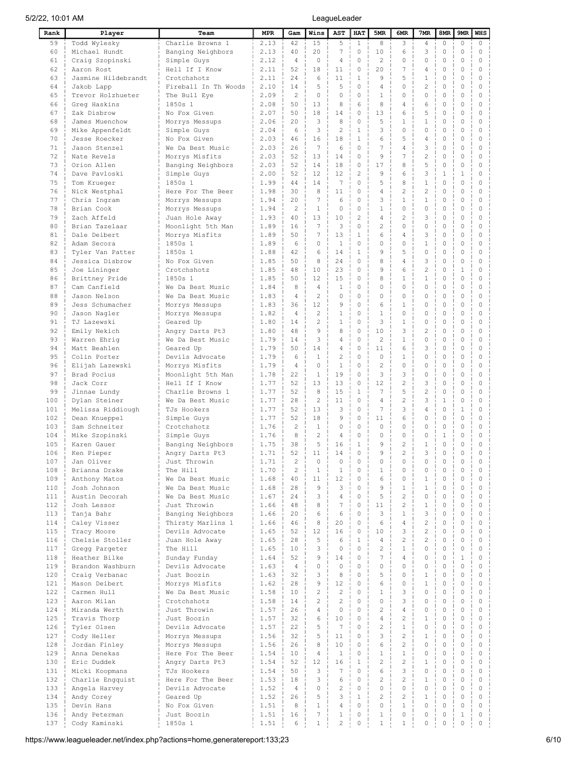| Rank       | Player                            | Team                                | <b>MPR</b>   | Gam                              | Wins              | <b>AST</b>              | <b>HAT</b>                    | 5MR                            | 6MR                            | 7MR                      | 8MR                    | 9MR                     | <b>WHS</b>                   |
|------------|-----------------------------------|-------------------------------------|--------------|----------------------------------|-------------------|-------------------------|-------------------------------|--------------------------------|--------------------------------|--------------------------|------------------------|-------------------------|------------------------------|
| 59         | Todd Wylesky                      | Charlie Browns 1                    | 2.13         | 42                               | 15                | 5                       | $\mathbf{1}$                  | 8                              | 3                              | $\overline{4}$           | 0                      | 0                       | $\circ$                      |
| 60         | Michael Hundt                     | Banging Neighbors                   | 2.13         | 40                               | 20                | 7                       | $\mathbf 0$                   | 10                             | 6                              | 3                        | $\mathbf 0$            | 0                       | $\mathbf 0$                  |
| 61         | Craiq Szopinski                   | Simple Guys                         | 2.12         | $\overline{4}$                   | $\circ$           | 4                       | $\circ$                       | $\overline{c}$                 | $\circ$                        | $\circ$                  | $\mathbf 0$            | 0                       | 0                            |
| 62         | Aaron Rost                        | Hell If I Know                      | 2.11         | 52                               | 18                | 11                      | 0                             | 20                             | 7                              | 4                        | $\Omega$               | 0                       | $\mathbf{0}$                 |
| 63<br>64   | Jasmine Hildebrandt               | Crotchshotz<br>Fireball In Th Woods | 2.11<br>2.10 | 24<br>14                         | 6<br>5            | 11<br>5                 | $\mathbf{1}$<br>$\circ$       | 9<br>4                         | 5<br>$\circ$                   | 1<br>$\overline{2}$      | 0<br>0                 | 0<br>0                  | 0<br>0                       |
| 65         | Jakob Lapp<br>Trevor Holzhueter   | The Bull Eye                        | 2.09         | $\overline{c}$                   | $\circ$           | $\circ$                 | $\circ$                       | $\mathbf{1}$                   | $\circ$                        | $\circ$                  | 0                      | 0                       | 0                            |
| 66         | Greg Haskins                      | 1850s 1                             | 2.08         | 50                               | 13                | 8                       | 6                             | 8                              | 4                              | 6                        | 0                      | 0                       | 0                            |
| 67         | Zak Disbrow                       | No Fox Given                        | 2.07         | 50                               | 18                | 14                      | 0                             | 13                             | 6                              | 5                        | 0                      | 0                       | 0                            |
| 68         | James Muenchow                    | Morrys Messups                      | 2.06         | 20                               | 3                 | 8                       | 0                             | 5                              | 1                              | $\mathbf{1}$             | 0                      | 0                       | 0                            |
| 69         | Mike Appenfeldt                   | Simple Guys                         | 2.04         | 6                                | 3                 | $\overline{c}$          | $\mathbf{1}$                  | 3                              | $\Omega$                       | 0                        | 0                      | 0                       | 0                            |
| 70         | Jesse Roecker                     | No Fox Given                        | 2.03         | 46                               | 16                | 18                      | $\mathbf{1}$                  | 6                              | 5                              | 4                        | 0                      | 0                       | $\mathbf{0}$                 |
| 71         | Jason Stenzel                     | We Da Best Music                    | 2.03         | 26                               | 7                 | 6                       | $\circ$                       | 7                              | 4                              | 3                        | 0                      | 0                       | $\mathbf{0}$                 |
| 72         | Nate Revels                       | Morrys Misfits                      | 2.03         | 52                               | 13                | 14                      | $\circ$                       | 9                              | 7                              | $\overline{2}$           | 0                      | 0                       | $\mathbf{0}$                 |
| 73         | Orion Allen                       | Banging Neighbors                   | 2.03         | 52                               | 14                | 18                      | $\mathbf 0$                   | 17                             | 8                              | 5                        | 0                      | 0                       | $\mathbf{0}$                 |
| 74<br>75   | Dave Pavloski                     | Simple Guys                         | 2.00         | 52<br>44                         | 12<br>14          | 12<br>7                 | $\overline{c}$<br>$\mathbf 0$ | 9<br>5                         | 6<br>8                         | 3<br>$\mathbf{1}$        | $\mathbf{1}$<br>0      | 1<br>0                  | $\mathbf{0}$<br>$\mathbf{0}$ |
| 76         | Tom Krueger<br>Nick Westphal      | 1850s 1<br>Here For The Beer        | 1.99<br>1.98 | 30                               | 8                 | 11                      | $\mathbf{0}$                  | $\overline{4}$                 | $\overline{c}$                 | $\overline{c}$           | 0                      | 0                       | $\mathbf{0}$                 |
| 77         | Chris Ingram                      | Morrys Messups                      | 1.94         | 20                               | 7                 | 6                       | 0                             | 3                              | $\mathbf{1}$                   | $\mathbf{1}$             | 0                      | 0                       | $\mathbf{0}$                 |
| 78         | Brian Cook                        | Morrys Messups                      | 1.94         | $\overline{c}$                   | $\mathbf{1}$      | $\circ$                 | $\mathbf 0$                   | $\mathbf{1}$                   | $\circ$                        | $\circ$                  | $\mathbf 0$            | 0                       | $\mathbf{0}$                 |
| 79         | Zach Affeld                       | Juan Hole Away                      | 1.93         | 40                               | 13                | 10                      | $\overline{c}$                | $\overline{4}$                 | $\overline{c}$                 | 3                        | $\mathbf 0$            | 0                       | $\mathbf{0}$                 |
| 80         | Brian Tazelaar                    | Moonlight 5th Man                   | 1.89         | 16                               | 7                 | 3                       | $\circ$                       | $\overline{2}$                 | $\circ$                        | 0                        | 0                      | 0                       | $\mathbf{0}$                 |
| 81         | Dale Deibert                      | Morrys Misfits                      | 1.89         | 50                               | 7                 | 13                      | $\mathbf{1}$                  | 6                              | $\overline{4}$                 | 3                        | 0                      | 0                       | $\mathbf{0}$                 |
| 82         | Adam Secora                       | 1850s 1                             | 1.89         | 6                                | $\circ$           | $\mathbf{1}$            | $\mathbf{0}$                  | $\Omega$                       | $\circ$                        | $\mathbf 1$              | 0                      | 0                       | $\mathbf{0}$                 |
| 83         | Tyler Van Patter                  | 1850s 1                             | 1.88         | 42                               | 6                 | 14                      | $\mathbf{1}$                  | 9                              | 5                              | $\circ$                  | 0                      | 0                       | $\mathbf{0}$                 |
| 84         | Jessica Disbrow                   | No Fox Given                        | 1.85         | 50                               | 8                 | 24                      | $\mathbf 0$                   | 8                              | 4                              | 3                        | 0                      | 0                       | $\mathbf{0}$                 |
| 85         | Joe Lininger                      | Crotchshotz                         | 1.85<br>1.85 | 48<br>50                         | 10<br>12          | 23<br>15                | 0<br>$\circ$                  | 9<br>8                         | 6<br>$\mathbf{1}$              | $\overline{c}$<br>1      | 0<br>0                 | 1<br>0                  | 0<br>0                       |
| 86<br>87   | Brittney Pride<br>Cam Canfield    | 1850s 1<br>We Da Best Music         | 1.84         | 8                                | $\overline{4}$    | $\mathbf{1}$            | $\circ$                       | 0                              | $\circ$                        | 0                        | 0                      | 0                       | 0                            |
| 88         | Jason Nelson                      | We Da Best Music                    | 1.83         | $\overline{4}$                   | 2                 | $\circ$                 | $\circ$                       | 0                              | $\circ$                        | 0                        | 0                      | 0                       | 0                            |
| 89         | Jess Schumacher                   | Morrys Messups                      | 1.83         | 36                               | 12                | 9                       | $\circ$                       | 6                              | 1                              | 0                        | 0                      | 0                       | 0                            |
| 90         | Jason Nagler                      | Morrys Messups                      | 1.82         | $\overline{4}$                   | 2                 | $\mathbf{1}$            | $\circ$                       | $\mathbf{1}$                   | $\circ$                        | 0                        | $\mathbf 0$            | 0                       | 0                            |
| 91         | TJ Lazewski                       | Geared Up                           | 1.80         | 14                               | $\overline{c}$    | $\mathbf{1}$            | $\circ$                       | 3                              | $\mathbf{1}$                   | 0                        | 0                      | 0                       | 0                            |
| 92         | Emily Nekich                      | Angry Darts Pt3                     | 1.80         | 48                               | $\circ$           | 8                       | $\circ$                       | 10                             | 3                              | $\overline{c}$           | 0                      | 0                       | 0                            |
| 93         | Warren Ehrig                      | We Da Best Music                    | 1.79         | 14                               | 3                 | 4                       | 0                             | $\overline{c}$                 | $\mathbf{1}$                   | 0                        | 0                      | 0                       | 0                            |
| 94         | Matt Beahlen                      | Geared Up                           | 1.79         | 50                               | 14                | 4                       | 0                             | 11                             | 6                              | 3                        | 0                      | 0                       | 0                            |
| 95         | Colin Porter                      | Devils Advocate                     | 1.79         | 6                                | $\mathbf{1}$      | $\overline{c}$          | 0                             | $\Omega$                       | $1\,$                          | $\circ$                  | 0                      | 0                       | 0                            |
| 96<br>97   | Elijah Lazewski                   | Morrys Misfits                      | 1.79<br>1.78 | $\overline{4}$<br>22             | $\Omega$<br>1     | $\mathbf{1}$<br>19      | 0<br>$\circ$                  | $\overline{c}$<br>3            | $\Omega$<br>3                  | 0<br>0                   | 0<br>0                 | 0<br>0                  | 0<br>0                       |
| 98         | Brad Pocius<br>Jack Corr          | Moonlight 5th Man<br>Hell If I Know | 1.77         | 52                               | 13                | 13                      | 0                             | 12                             | $\overline{c}$                 | 3                        | 0                      | 0                       | 0                            |
| 99         | Jinnae Lundy                      | Charlie Browns 1                    | 1.77         | 52                               | 8                 | 15                      | $\mathbf{1}$                  | 7                              | 5                              | $\overline{2}$           | 0                      | 0                       | 0                            |
| 100        | Dylan Steiner                     | We Da Best Music                    | 1.77         | 28                               | $\mathbf{2}$      | 11                      | $\mathbf 0$                   | $\overline{4}$                 | $\overline{c}$                 | 3                        | $1\,$                  | 0                       | 0                            |
| 101        | Melissa Riddiough                 | TJs Hookers                         | 1.77         | 52                               | 13                | 3                       | $\circ$                       | $7\phantom{.0}$                | 3                              | 4                        | 0                      | 1                       | $\mathbf{0}$                 |
| 102        | Dean Knueppel                     | Simple Guys                         | 1.77         | 52                               | 18                | 9                       | $\circ$                       | 11                             | 6                              | 0                        | 0                      | 0                       | $\mathbf{0}$                 |
| 103        | Sam Schneiter                     | Crotchshotz                         | 1.76         | $\overline{2}$                   | 1                 | $\circ$                 | $\circ$                       | $\mathbf 0$                    | $\circ$                        | 0                        | 0                      | 0                       | 0                            |
| 104        | Mike Szopinski                    | Simple Guys                         | 1.76         | 8                                | 2                 | 4                       | $\circ$                       | $\Omega$                       | $\circ$                        | 0                        | 1                      | 0                       | $\mathbf{0}$                 |
| 105        | Karen Gauer                       | Banging Neighbors                   | 1.75         | 38                               | 5                 | 16                      | $\mathbf{1}$                  | 9                              | $\overline{c}$                 | 1                        | 0                      | 0                       | $\mathbf 0$                  |
| 106        | Ken Pieper                        | Angry Darts Pt3                     | 1.71         | 52                               | 11                | 14                      | $\Omega$                      | 9                              | $\overline{c}$                 | 3                        | $\mathbf 0$            | 0                       | $\mathbf{0}$                 |
| 107<br>108 | Jan Oliver<br>Brianna Drake       | Just Throwin<br>The Hill            | 1.71<br>1.70 | $\overline{c}$<br>$\overline{c}$ | 0<br>$\mathbf{1}$ | $\circ$<br>$\mathbf{1}$ | $\mathbf 0$<br>$\circ$        | 0<br>$\mathbf{1}$              | $\circ$<br>$\circ$             | 0<br>$\circ$             | 0<br>$\circ$           | 0<br>$\circ$            | 0<br>$\mathbf 0$             |
| 109        | Anthony Matos                     | We Da Best Music                    | 1.68         | 40                               | 11                | 12                      | $\circ$                       | 6                              | $\mathbf 0$                    | $\mathbf{1}$             | $\circ$                | $\circ$                 | $\circ$                      |
| 110        | Josh Johnson                      | We Da Best Music                    | 1.68         | 28                               | 9                 | 3                       | $\Omega$                      | 9                              | $\mathbf{1}$                   | $\mathbf{1}$             | 0                      | $\circ$                 | $\mathbf 0$                  |
| 111        | Austin Decorah                    | We Da Best Music                    | 1.67         | 24                               | 3                 | $\overline{4}$          | $\circ$                       | 5                              | $\overline{c}$                 | 0                        | $\circ$                | $\circ$                 | $\mathbf 0$                  |
| 112        | Josh Lessor                       | Just Throwin                        | 1.66         | 48                               | 8                 | $\overline{7}$          | $\Omega$                      | 11                             | $\overline{c}$                 | $\mathbf{1}$             | $\Omega$               | $\Omega$                | $\mathbf 0$                  |
| 113        | Tanja Bahr                        | Banging Neighbors                   | 1.66         | 20                               | 6                 | 6                       | $\circ$                       | 3                              | $\mathbf{1}$                   | 3                        | $\circ$                | $\circ$                 | $\mathbf 0$                  |
| 114        | Caley Visser                      | Thirsty Marlins 1                   | 1.66         | 46                               | 8                 | 20                      | $\circ$                       | 6                              | $\overline{4}$                 | $\overline{c}$           | $\circ$                | $\circ$                 | $\mathbf 0$                  |
| 115        | Tracy Moore                       | Devils Advocate                     | 1.65         | 52                               | 12                | 16                      | $\circ$                       | 10                             | 3                              | $\overline{c}$           | $\circ$                | $\circ$                 | $\mathbf 0$                  |
| 116        | Chelsie Stoller                   | Juan Hole Away                      | 1.65         | 28                               | 5                 | 6                       | $\mathbf{1}$                  | $\overline{4}$                 | $\overline{c}$                 | $\overline{c}$           | $\circ$                | $\circ$                 | $\mathbf 0$                  |
| 117        | Gregg Pargeter                    | The Hill                            | 1.65         | 10                               | 3                 | $\mathbf 0$             | $\mathbf 0$                   | 2<br>$\overline{7}$            | $\mathbf{1}$                   | $\Omega$                 | $\mathbf 0$            | $\circ$                 | $\mathbf 0$                  |
| 118<br>119 | Heather Bilke<br>Brandon Washburn | Sunday Funday<br>Devils Advocate    | 1.64<br>1.63 | 52<br>$\overline{4}$             | 9<br>$\circ$      | 14<br>$\circ$           | $\Omega$<br>$\circ$           | 0                              | $\overline{4}$<br>$\mathbf 0$  | $\Omega$<br>0            | $\mathbf 0$<br>$\circ$ | $\mathbf{1}$<br>$\circ$ | $\mathbf 0$<br>$\mathbf 0$   |
| 120        | Craiq Verbanac                    | Just Boozin                         | 1.63         | 32                               | 3                 | 8                       | $\Omega$                      | 5                              | $\mathbf 0$                    | $\mathbf{1}$             | $\mathbf 0$            | $\circ$                 | 0                            |
| 121        | Mason Deibert                     | Morrys Misfits                      | 1.62         | 28                               | 9                 | 12                      | $\mathbf 0$                   | 6                              | $\mathbf 0$                    | $\mathbf{1}$             | $\mathbf 0$            | $\circ$                 | $\mathbf 0$                  |
| 122        | Carmen Hull                       | We Da Best Music                    | 1.58         | 10                               | $\overline{c}$    | $\overline{c}$          | $\circ$                       | $\mathbf{1}$                   | 3                              | $\Omega$                 | $\mathbf 0$            | $\circ$                 | $\mathbf 0$                  |
| 123        | Aaron Milan                       | Crotchshotz                         | 1.58         | 14                               | $\overline{c}$    | $\overline{c}$          | $\circ$                       | $\Omega$                       | 3                              | $\Omega$                 | $\circ$                | $\circ$                 | $\mathbf 0$                  |
| 124        | Miranda Werth                     | Just Throwin                        | 1.57         | 26                               | $\overline{4}$    | $\mathbf 0$             | $\Omega$                      | $\overline{c}$                 | $\overline{4}$                 | $\circ$                  | $\mathbf 0$            | $\circ$                 | $\mathbf 0$                  |
| 125        | Travis Thorp                      | Just Boozin                         | 1.57         | 32                               | 6                 | 10                      | $\circ$                       | $\overline{4}$                 | $\overline{c}$                 | $\mathbf{1}$             | $\mathbf 0$            | $\circ$                 | $\mathbf 0$                  |
| 126        | Tyler Olsen                       | Devils Advocate                     | 1.57         | 22                               | 5                 | $\overline{7}$          | $\circ$                       | $\overline{c}$                 | $\mathbf{1}$                   | $\Omega$                 | $\circ$                | $\circ$                 | $\mathbf 0$                  |
| 127        | Cody Heller                       | Morrys Messups                      | 1.56         | 32                               | 5                 | 11                      | $\Omega$                      | 3                              | $\overline{c}$                 | $\mathbf{1}$             | $\mathbf 0$            | $\Omega$                | $\mathbf 0$                  |
| 128        | Jordan Finley                     | Morrys Messups                      | 1.56         | 26                               | 8                 | 10                      | $\Omega$                      | 6                              | $\overline{c}$                 | $\Omega$                 | $\Omega$               | $\Omega$                | 0                            |
| 129        | Anna Denekas                      | Here For The Beer                   | 1.54         | 10                               | $\overline{4}$    | $\mathbf{1}$<br>16      | $\Omega$<br>$\mathbf{1}$      | $\mathbf{1}$<br>$\overline{c}$ | $\mathbf{1}$<br>$\overline{c}$ | $\Omega$<br>$\mathbf{1}$ | $\Omega$<br>$\Omega$   | $\Omega$<br>$\Omega$    | $\mathbf 0$<br>0             |
| 130<br>131 | Eric Duddek<br>Micki Koopmans     | Angry Darts Pt3<br>TJs Hookers      | 1.54<br>1.54 | 52<br>50                         | 12<br>3           | $7\phantom{.0}$         | $\Omega$                      | 6                              | 3                              | $\Omega$                 | $\Omega$               | $\circ$                 | $\circ$                      |
| 132        | Charlie Engquist                  | Here For The Beer                   | 1.53         | 18                               | 3                 | 6                       | $\Omega$                      | $\overline{c}$                 | $\overline{c}$                 | 1                        | $\mathbf 0$            | 0                       | $\mathbf 0$                  |
| 133        | Angela Harvey                     | Devils Advocate                     | 1.52         | $\overline{4}$                   | $\circ$           | $\overline{c}$          | $\Omega$                      | $\Omega$                       | $\circ$                        | $\Omega$                 | 0                      | 0                       | $\mathbf 0$                  |
| 134        | Andy Corey                        | Geared Up                           | 1.52         | 26                               | 5                 | 3                       | $\mathbf{1}$                  | $\overline{c}$                 | $\overline{c}$                 | $\mathbf{1}$             | 0                      | $\circ$                 | $\mathbf 0$                  |
| 135        | Devin Hans                        | No Fox Given                        | 1.51         | 8                                | $\mathbf 1$       | $\overline{4}$          | $\circ$                       | 0                              | $\mathbf{1}$                   | 0                        | 0                      | $\circ$                 | $\mathbf 0$                  |
| 136        | Andy Peterman                     | Just Boozin                         | 1.51         | 16                               | $\overline{7}$    | $\mathbf{1}$            | $\mathbb O$                   | $\mathbf{1}$                   | $\circ$                        | 0                        | $\circ$                | 1                       | $\mathbb O$                  |
| 137        | Cody Kaminski                     | 1850s 1                             | 1.51         | 6                                | $\mathbf 1$       | $\overline{c}$          | $\mathsf{O}\xspace$           | $\mathbf{1}$                   | $\mathbf{1}$                   | $\circ$                  | $\mathbb O$            | 0                       | $\mathbb O$                  |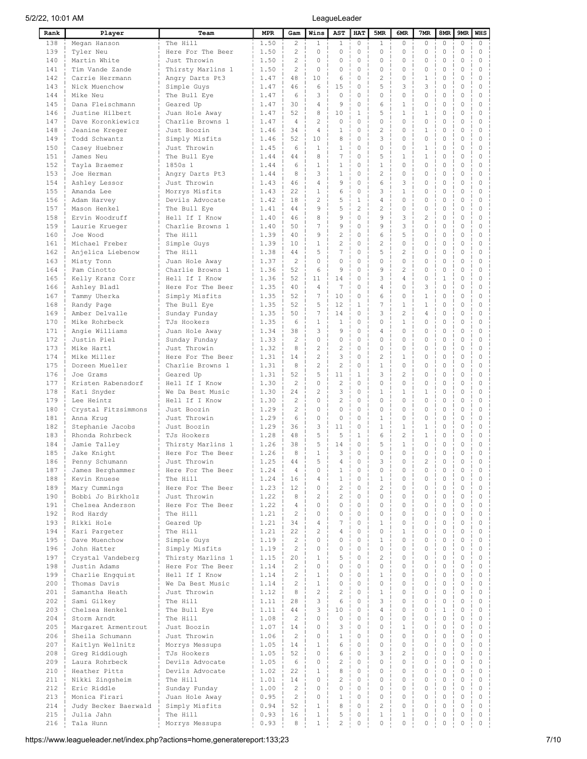| Rank       | Player                          | Team                             | <b>MPR</b>   | Gam                  | Wins                     | AST                 | <b>HAT</b>           | 5MR                | 6MR                        | 7 <sub>MR</sub>      | 8MR                 | 9MR                        | <b>WHS</b>              |
|------------|---------------------------------|----------------------------------|--------------|----------------------|--------------------------|---------------------|----------------------|--------------------|----------------------------|----------------------|---------------------|----------------------------|-------------------------|
| 138        | Megan Hanson                    | The Hill                         | 1.50         | $\overline{c}$       | $\mathbf{1}$             | $\mathbf{1}$        | 0                    | $\mathbf{1}$       | $\circ$                    | 0                    | $\circ$             | $\circ$                    | $\circ$                 |
| 139        | Tyler Neu                       | Here For The Beer                | 1.50         | $\overline{c}$       | $\circ$                  | $\mathbf 0$         | 0                    | $\circ$            | $\mathbf 0$                | $\circ$              | $\mathbf 0$         | $\mathbf 0$                | $\circ$                 |
| 140        | Martin White                    | Just Throwin                     | 1.50         | $\overline{c}$       | $\Omega$                 | $\circ$             | $\circ$              | $\circ$            | $\Omega$                   | $\Omega$             | 0                   | $\circ$                    | $\circ$                 |
| 141        | Tim Vande Zande                 | Thirsty Marlins 1                | 1.50         | $\overline{c}$       | $\Omega$                 | $\Omega$            | $\Omega$             | $\Omega$           | $\Omega$                   | $\Omega$             | $\Omega$            | $\Omega$                   | $\Omega$                |
| 142        | Carrie Herrmann                 | Angry Darts Pt3                  | 1.47         | 48                   | 1 <sub>0</sub>           | 6                   | $\Omega$             | 2                  | $\Omega$                   | $\mathbf{1}$         | 0                   | $\Omega$                   | $\Omega$                |
| 143        | Nick Muenchow                   | Simple Guys                      | 1.47         | 46                   | 6                        | 15                  | $\Omega$             | 5                  | 3                          | 3                    | 0                   | $\mathbf{0}$               | $\Omega$                |
| 144        | Mike Neu                        | The Bull Eye                     | 1.47         | 6                    | 3                        | $\Omega$            | $\Omega$             | $\Omega$           | $\Omega$                   | $\Omega$             | 0                   | $\circ$                    | $\Omega$                |
| 145        | Dana Fleischmann                | Geared Up                        | 1.47         | 30                   | 4                        | 9                   | 0                    | 6                  | $\mathbf{1}$               | 0                    | 0                   | $\circ$                    | $\Omega$                |
| 146        | Justine Hilbert                 | Juan Hole Away                   | 1.47         | 52                   | 8                        | 10                  | $\mathbf{1}$         | 5                  | $\mathbf{1}$               | $\mathbf{1}$         | 0                   | $\circ$                    | $\circ$                 |
| 147        | Dave Koronkiewicz               | Charlie Browns 1                 | 1.47         | $\overline{4}$       | $\overline{c}$           | $\Omega$            | 0                    | $\Omega$           | $\Omega$                   | $\Omega$             | 0                   | $\circ$                    | $\circ$                 |
| 148        | Jeanine Kreger                  | Just Boozin                      | 1.46         | 34                   | $\overline{4}$           | $\mathbf{1}$        | 0                    | $\overline{c}$     | $\Omega$                   | $\mathbf{1}$         | 0                   | $\circ$                    | $\circ$                 |
| 149        | Todd Schwantz                   | Simply Misfits                   | 1.46         | 52                   | 10                       | 8                   | 0                    | 3                  | $\Omega$                   | $\circ$              | $\mathbf 0$         | $\circ$                    | $\circ$                 |
| 150        | Casey Huebner                   | Just Throwin                     | 1.45         | 6                    | $\mathbf{1}$             | $\mathbf{1}$        | 0                    | $\circ$            | $\circ$                    | $\mathbf{1}$         | 0                   | $\circ$                    | $\circ$                 |
| 151        | James Neu                       | The Bull Eye                     | 1.44         | 44                   | 8                        | $\overline{7}$      | 0                    | 5                  | $\mathbf{1}$               | $\mathbf{1}$         | 0                   | $\circ$                    | $\circ$                 |
| 152        | Tayla Braemer                   | 1850s 1                          | 1.44         | 6                    | $\mathbf{1}$             | $\mathbf{1}$        | $\Omega$             | $\mathbf{1}$       | $\circ$                    | 0                    | 0                   | $\circ$                    | $\circ$                 |
| 153        | Joe Herman                      | Angry Darts Pt3                  | 1.44         | 8                    | 3                        | $\mathbf{1}$        | 0                    | $\overline{c}$     | $\Omega$                   | $\circ$              | 0                   | $\circ$                    | $\circ$                 |
| 154        | Ashley Lessor                   | Just Throwin                     | 1.43         | 46                   | $\overline{4}$           | 9                   | $\Omega$             | 6                  | 3                          | 0                    | $\mathbf 0$         | $\circ$                    | $\circ$                 |
| 155        | Amanda Lee                      | Morrys Misfits                   | 1.43         | 22                   | $\mathbf{1}$             | 6                   | 0                    | 3                  | $\mathbf{1}$               | $\Omega$             | 0                   | $\circ$                    | $\circ$                 |
| 156        | Adam Harvey                     | Devils Advocate                  | 1.42         | 18                   | $\overline{c}$           | 5                   | $\mathbf{1}$         | $\overline{4}$     | $\Omega$                   | 0                    | 0                   | $\circ$                    | $\Omega$                |
| 157        | Mason Henkel                    | The Bull Eye                     | 1.41         | 44                   | $\circ$                  | 5                   | $\overline{c}$       | $\overline{c}$     | $\mathbf{0}$               | $\circ$              | $\mathbf 0$         | $\circ$                    | $\mathbf{0}$            |
| 158        | Ervin Woodruff                  | Hell If I Know                   | 1.40         | 46                   | 8                        | 9                   | $\Omega$             | $\circ$            | 3                          | $\overline{2}$       | 0                   | $\circ$                    | $\Omega$                |
| 159        | Laurie Krueger                  | Charlie Browns 1                 | 1.40         | 50                   | $\overline{7}$           | 9                   | $\Omega$             | $\circ$            | 3                          | 0                    | 0                   | $\circ$                    | $\mathbf{0}$            |
| 160        | Joe Wood                        | The Hill                         | 1.39         | 40                   | 9                        | $\overline{c}$      | $\circ$              | 6                  | 5                          | 0                    | 0                   | $\circ$                    | $\Omega$                |
| 161        | Michael Freber                  | Simple Guys                      | 1.39         | 10                   | $\mathbf{1}$             | $\overline{c}$      | 0                    | $\overline{c}$     | $\mathbf{0}$               | 0                    | 0                   | 0                          | $\circ$                 |
| 162        | Anjelica Liebenow               | The Hill                         | 1.38         | 44                   | 5                        | 7                   | 0                    | 5                  | $\overline{c}$             | 0                    | 0                   | $\circ$                    | $\Omega$                |
| 163        | Misty Tonn                      | Juan Hole Away                   | 1.37         | $\overline{2}$       | $\Omega$                 | $\mathbf 0$         | 0                    | $\circ$            | $\mathbf{0}$               | 0                    | 0                   | 0                          | $\circ$                 |
| 164        | Pam Cinotto                     | Charlie Browns 1                 | 1.36         | 52                   | 6                        | 9<br>14             | 0<br>$\circ$         | 9<br>3             | $\overline{2}$             | 0                    | 0                   | $\circ$                    | $\mathbf{0}$            |
| 165        | Kelly Kranz Corr                | Hell If I Know                   | 1.36         | 52                   | 11                       | $\overline{7}$      | $\circ$              | $\overline{4}$     | $\overline{4}$             | 0<br>3               | $\mathbf{1}$        | $\circ$                    | $\circ$                 |
| 166        | Ashley Bladl                    | Here For The Beer                | 1.35         | 40<br>52             | $\overline{4}$<br>7      | 10                  | 0                    | 6                  | $\circ$<br>$\mathbf{0}$    | $\mathbf{1}$         | 0<br>0              | $\circ$<br>$\circ$         | $\mathbf{0}$<br>$\circ$ |
| 167<br>168 | Tammy Uherka                    | Simply Misfits                   | 1.35         | 52                   | 5                        | 12                  | $\mathbf 1$          | $\overline{7}$     | $\mathbf{1}$               | $\mathbf{1}$         | 0                   | $\mathbf{0}$               | $\Omega$                |
| 169        | Randy Page                      | The Bull Eye                     | 1.35<br>1.35 | 50                   | 7                        | 14                  | 0                    | 3                  | $\overline{c}$             | 4                    | 0                   | $\circ$                    | 0                       |
| 170        | Amber Delvalle<br>Mike Rohrbeck | Sunday Funday<br>TJs Hookers     | 1.35         | 6                    | $\mathbf{1}$             | $\mathbf{1}$        | $\Omega$             | $\Omega$           | $\mathbf{1}$               | 0                    | 0                   | $\mathbf{0}$               | $\Omega$                |
| 171        | Angie Williams                  | Juan Hole Away                   | 1.34         | 38                   | 3                        | 9                   | $\Omega$             | $\overline{4}$     | $\Omega$                   | 0                    | 0                   | $\circ$                    | $\Omega$                |
| 172        | Justin Piel                     | Sunday Funday                    | 1.33         | $\mathcal{P}$        | $\Omega$                 | $\Omega$            | $\Omega$             | $\Omega$           | $\Omega$                   | $\Omega$             | 0                   | $\Omega$                   | $\Omega$                |
| 173        | Mike Hartl                      | Just Throwin                     | 1.32         | 8                    | $\overline{c}$           | $\overline{c}$      | $\Omega$             | $\circ$            | $\Omega$                   | 0                    | 0                   | $\Omega$                   | $\Omega$                |
| 174        | Mike Miller                     | Here For The Beer                | 1.31         | 14                   | $\overline{c}$           | 3                   | $\Omega$             | $\overline{c}$     | $\mathbf{1}$               | $\Omega$             | 0                   | $\Omega$                   | $\Omega$                |
| 175        | Doreen Mueller                  | Charlie Browns 1                 | 1.31         | 8                    | $\overline{c}$           | $\overline{c}$      | 0                    | $\mathbf{1}$       | $\mathbf 0$                | 0                    | 0                   | $\circ$                    | $\circ$                 |
| 176        | Joe Grams                       | Geared Up                        | 1.31         | 52                   | 5                        | 11                  | $\mathbf{1}$         | 3                  | $\overline{c}$             | 0                    | 0                   | $\circ$                    | $\Omega$                |
| 177        | Kristen Rabensdorf              | Hell If I Know                   | 1.30         | $\overline{c}$       | 0                        | $\overline{c}$      | $\Omega$             | $\circ$            | $\Omega$                   | 0                    | 0                   | $\circ$                    | $\circ$                 |
| 178        | Kati Snyder                     | We Da Best Music                 | 1.30         | 24                   | $\mathbf{2}$             | 3                   | 0                    | $\mathbf{1}$       | $\mathbf{1}$               | $\mathbf{1}$         | 0                   | $\circ$                    | $\Omega$                |
| 179        | Lee Heintz                      | Hell If I Know                   | 1.30         | $\overline{c}$       | $\circ$                  | $\overline{c}$      | 0                    | $\circ$            | $\circ$                    | 0                    | 0                   | $\circ$                    | $\circ$                 |
| 180        | Crystal Fitzsimmons             | Just Boozin                      | 1.29         | $\overline{c}$       | $\circ$                  | $\mathbf 0$         | 0                    | $\circ$            | $\circ$                    | 0                    | 0                   | $\circ$                    | $\circ$                 |
| 181        | Anna Kruq                       | Just Throwin                     | 1.29         | 6                    | $\circ$                  | $\mathbf 0$         | 0                    | $\mathbf{1}$       | $\circ$                    | 0                    | 0                   | $\circ$                    | $\circ$                 |
| 182        | Stephanie Jacobs                | Just Boozin                      | 1.29         | 36                   | 3                        | 11                  | 0                    | $\mathbf{1}$       | $\mathbf{1}$               | $\mathbf{1}$         | $\mathbf 0$         | $\circ$                    | $\circ$                 |
| 183        | Rhonda Rohrbeck                 | TJs Hookers                      | 1.28         | 48                   | 5                        | 5                   | $\mathbf{1}$         | 6                  | $\overline{c}$             | $\mathbf{1}$         | 0                   | $\circ$                    | $\circ$                 |
| 184        | Jamie Talley                    | Thirsty Marlins 1                | 1.26         | 38                   | 5                        | 14                  | 0                    | 5                  | $\mathbf{1}$               | $\circ$              | $\mathbf 0$         | $\circ$                    | $\mathbf 0$             |
| 185        | Jake Knight                     | Here For The Beer                | 1.26         | 8                    | $\mathbf{1}$             | 3                   | $\Omega$             | $\Omega$           | $\Omega$                   | $\Omega$             | $\mathbf 0$         | $\Omega$                   | $\Omega$                |
| 186        | Penny Schumann                  | Just Throwin                     | 1.25         | 44                   | 5                        | 4                   | 0                    | 3                  | $\circ$                    | $\overline{c}$       | 0                   | $\mathbb O$                | $\circ$                 |
| 187        | James Berghammer                | Here For The Beer                | 1.24         | $\overline{4}$       | 0                        | $\mathbf{1}$        | $\Omega$             | $\mathbf 0$        | $\circ$                    | $\Omega$             | $\circ$             | $\circ$                    | $\circ$                 |
| 188        | Kevin Knuese                    | The Hill                         | 1.24         | 16                   | $\overline{4}$           | $\mathbf{1}$        | $\Omega$             | $\mathbf{1}$       | $\Omega$                   | $\Omega$             | $\circ$             | $\circ$                    | $\mathbf 0$             |
| 189        | Mary Cummings                   | Here For The Beer                | 1.23         | 12                   | $\Omega$                 | $\overline{c}$      | $\Omega$             | $\overline{c}$     | $\Omega$                   | $\Omega$             | $\circ$             | $\circ$                    | $\circ$                 |
| 190        | Bobbi Jo Birkholz               | Just Throwin                     | 1.22         | 8                    | $\mathfrak{D}$           | $\mathfrak{D}$      | $\Omega$             | $\circ$            | $\Omega$                   | $\Omega$             | $\circ$             | $\mathbf 0$                | $\circ$                 |
| 191        | Chelsea Anderson                | Here For The Beer                | 1.22         | $\overline{4}$       | $\Omega$                 | $\Omega$            | $\Omega$             | $\mathbf 0$        | $\Omega$                   | $\circ$              | $\circ$             | $\mathbf 0$                | $\mathbf 0$             |
| 192        | Rod Hardy                       | The Hill                         | 1.21         | $\overline{c}$       | $\Omega$                 | $\Omega$            | 0                    | $\mathbf 0$        | $\Omega$                   | 0                    | $\mathbf 0$         | $\mathbf 0$                | $\circ$                 |
| 193        | Rikki Hole                      | Geared Up                        | 1.21         | 34                   | $\overline{4}$           | $\overline{7}$      | $\Omega$             | $\mathbf{1}$       | $\Omega$                   | $\circ$              | 0                   | $\mathbf 0$                | $\circ$                 |
| 194        | Kari Pargeter                   | The Hill                         | 1.21         | 22                   | $\overline{c}$           | 4                   | $\circ$              | $\circ$            | $\mathbf{1}$               | $\circ$              | $\circ$             | $\mathbf 0$                | $\circ$                 |
| 195        | Dave Muenchow                   | Simple Guys                      | 1.19         | $\overline{c}$       | 0                        | $\Omega$            | $\Omega$             | $\mathbf{1}$       | $\Omega$                   | $\Omega$             | 0                   | $\mathbf 0$                | $\circ$                 |
| 196        | John Hatter                     | Simply Misfits                   | 1.19         | $\overline{c}$       | 0                        | $\circ$             | $\circ$              | $\mathbf 0$        | $\Omega$                   | $\circ$              | $\mathbf 0$         | $\mathbf 0$                | $\circ$                 |
| 197        | Crystal Vandeberg               | Thirsty Marlins 1                | 1.15         | 20                   | $\mathbf{1}$             | 5                   | $\Omega$             | $\overline{c}$     | $\Omega$                   | $\Omega$             | $\mathbf 0$         | $\mathbf 0$                | $\circ$                 |
| 198        | Justin Adams                    | Here For The Beer                | 1.14         | $\overline{c}$       | $\Omega$                 | $\Omega$            | $\Omega$             | $\mathbf 0$        | $\Omega$                   | $\Omega$             | $\circ$             | $\mathbf 0$                | $\circ$                 |
| 199        | Charlie Engquist                | Hell If I Know                   | 1.14         | $\overline{c}$       | $\mathbf{1}$             | $\Omega$            | $\Omega$             | $\mathbf{1}$       | $\Omega$                   | $\Omega$             | $\Omega$            | $\mathbf 0$                | $\mathbf 0$             |
| 200        | Thomas Davis                    | We Da Best Music                 | 1.14         | $\overline{c}$       | $\mathbf{1}$             | $\circ$             | $\Omega$             | $\mathbf 0$        | $\Omega$                   | $\Omega$             | $\mathbf 0$         | $\mathbf 0$                | $\mathbf 0$             |
| 201        | Samantha Heath                  | Just Throwin                     | 1.12         | 8                    | $\overline{c}$           | $\overline{c}$      | $\Omega$             | $\mathbf{1}$       | $\Omega$                   | $\Omega$             | $\circ$             | $\mathbf 0$                | $\Omega$                |
| 202        | Sami Gilkey                     | The Hill                         | 1.11         | 28                   | 3                        | 6                   | $\Omega$             | 3                  | $\Omega$                   | $\Omega$             | $\Omega$            | $\Omega$                   | $\Omega$                |
| 203        | Chelsea Henkel                  | The Bull Eye                     | 1.11         | 44                   | 3                        | 10                  | $\Omega$             | $\overline{4}$     | $\Omega$                   | $\Omega$             | $\mathbf{1}$        | $\Omega$                   | $\Omega$                |
| 204        | Storm Arndt                     | The Hill                         | 1.08         | $\overline{c}$       | $\Omega$                 | $\Omega$            | $\Omega$             | $\Omega$           | $\Omega$                   | $\Omega$             | $\Omega$            | $\Omega$                   | $\Omega$                |
| 205        | Margaret Armentrout             | Just Boozin                      | 1.07         | 14                   | $\Omega$                 | 3                   | $\Omega$             | $\Omega$           | $\mathbf{1}$               | $\Omega$             | $\Omega$            | $\Omega$                   | $\Omega$                |
| 206        | Sheila Schumann                 | Just Throwin                     | 1.06         | 2                    | $\circ$                  | $\mathbf{1}$        | $\Omega$             | $\circ$            | $\Omega$                   | $\Omega$             | $\mathbf 0$         | $\mathbf 0$                | $\circ$                 |
| 207        | Kaitlyn Wellnitz                | Morrys Messups                   | 1.05         | 14                   | $\mathbf{1}$             | 6                   | $\Omega$             | $\Omega$           | $\Omega$                   | $\Omega$             | $\Omega$            | $\mathbf 0$                | $\Omega$                |
| 208        | Greg Riddiough                  | TJs Hookers                      | 1.05         | 52                   | $\Omega$<br>$\Omega$     | 6<br>$\overline{c}$ | $\Omega$<br>$\Omega$ | 3<br>$\Omega$      | $\overline{c}$<br>$\Omega$ | $\Omega$<br>$\Omega$ | 0                   | $\mathbf 0$                | $\circ$                 |
| 209        | Laura Rohrbeck                  | Devils Advocate                  | 1.05         | 6                    |                          | 8                   | $\Omega$             |                    | $\Omega$                   |                      | $\mathbf 0$         | $\mathbf 0$                | $\circ$                 |
| 210        | Heather Pitts                   | Devils Advocate                  | 1.02         | 22                   | $\mathbf{1}$<br>$\Omega$ | $\overline{c}$      | $\Omega$             | $\circ$<br>$\circ$ | $\Omega$                   | 0<br>0               | 0<br>$\mathbf 0$    | $\mathbf 0$<br>$\mathbf 0$ | $\circ$<br>$\circ$      |
| 211        | Nikki Zingsheim                 | The Hill                         | 1.01         | 14<br>$\overline{c}$ | $\circ$                  | $\mathbf 0$         | $\Omega$             | $\circ$            | $\circ$                    | 0                    | 0                   | $\circ$                    | $\circ$                 |
| 212<br>213 | Eric Riddle<br>Monica Firari    | Sunday Funday                    | 1.00         | $\overline{c}$       | $\Omega$                 | $\mathbf{1}$        | $\Omega$             | $\mathbf 0$        | $\Omega$                   | $\Omega$             | $\mathbf 0$         | $\circ$                    | $\circ$                 |
| 214        | Judy Becker Baerwald            | Juan Hole Away<br>Simply Misfits | 0.95<br>0.94 | 52                   | $\mathbf{1}$             | 8                   | $\Omega$             | $\overline{c}$     | $\circ$                    | 0                    | $\circ$             | $\circ$                    | $\circ$                 |
| 215        | Julia Jahn                      | The Hill                         | 0.93         | 16                   | $\mathbf{1}$             | 5                   | 0                    | $\,1\,$            | $\mathbf{1}$               | 0                    | $\mathsf{O}\xspace$ | $\circ$                    | $\circ$                 |
| 216        | Tala Hunn                       | Morrys Messups                   | 0.93         | 8                    | $\mathbf{1}$             | $\overline{c}$      | $\overline{0}$       | $\circ$            | $\mathbf 0$                | 0                    | $\mathbb O$         | $\mathbb O$                | $\mathsf{O}\xspace$     |
|            |                                 |                                  |              |                      |                          |                     |                      |                    |                            |                      |                     |                            |                         |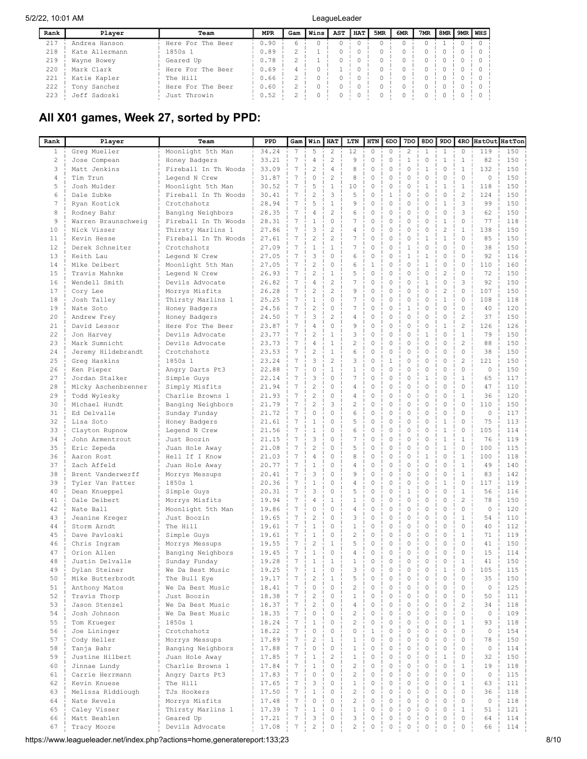| Rank | Plaver         | Team              | <b>MPR</b> | Gam | Wins | AST | <b>HAT</b> | 5MR | 6MR | 7MR | 8MR | 9MR WHS |  |
|------|----------------|-------------------|------------|-----|------|-----|------------|-----|-----|-----|-----|---------|--|
| 217  | Andrea Hanson  | Here For The Beer | 0.90       | h   |      |     |            |     |     |     |     |         |  |
| 218  | Kate Allermann | 1850s 1           | 0.89       |     |      |     |            |     |     |     |     |         |  |
| 219  | Wayne Bowey    | Geared Up         | 0.78       |     |      |     |            |     |     |     |     |         |  |
| 220  | Mark Clark     | Here For The Beer | 0.69       | 4   |      |     |            |     |     |     |     |         |  |
| 221  | Katie Kapler   | The Hill          | 0.66       |     |      |     |            |     |     |     |     |         |  |
| 222  | Tony Sanchez   | Here For The Beer | 0.60       |     |      |     |            |     |     |     |     |         |  |
| 223  | Jeff Sadoski   | Just Throwin      | 0.52       |     |      |     |            |     |     |     |     |         |  |

# All X01 games, Week 27, sorted by PPD:

| Rank           | Player                        | Team                               | PPD            | Gam                  | Win                       | HAT                      | LTN                            | HTN           | 6DO                     | 7DO               | 8DO                          | 9DO                | 4RO            | HstOut HstTon |            |
|----------------|-------------------------------|------------------------------------|----------------|----------------------|---------------------------|--------------------------|--------------------------------|---------------|-------------------------|-------------------|------------------------------|--------------------|----------------|---------------|------------|
| $\mathbf{1}$   | Greg Mueller                  | Moonlight 5th Man                  | 34.24          | $7\phantom{.0}$      | 5                         | 2                        | 12                             | 0             | 0                       | 2                 | $\mathbf{1}$                 | 1                  | 0              | 119           | 150        |
| $\overline{c}$ | Jose Compean                  | Honey Badgers                      | 33.21          | $\overline{7}$       | 4                         | $\overline{c}$           | 9                              | 0             | 0                       | $\mathbf{1}$      | 0                            | 1                  | 1              | 82            | 150        |
| 3              | Matt Jenkins                  | Fireball In Th Woods               | 33.09          | 7                    | $\overline{c}$            | $\overline{4}$           | 8                              | 0             | 0                       | $\mathbf 0$       | $\mathbf{1}$                 | $\circ$            | $\mathbf{1}$   | 132           | 150        |
| 4              | Tim Trun                      | Legend N Crew                      | 31.87          | 7                    | 0                         | $\overline{c}$           | 8                              | 0             | 0                       | 0                 | 0                            | 0                  | $\Omega$       | $\circ$       | 150        |
| 5              | Josh Mulder                   | Moonlight 5th Man                  | 30.52          | 7                    | 5                         | $1\,$                    | 10                             | 0             | 0                       | 0                 | $\mathbf{1}$                 | 1                  | $\mathbf{1}$   | 118           | 150        |
| 6              | Dale Zubke                    | Fireball In Th Woods               | 30.41          | 7                    | $\overline{c}$            | 3                        | 5                              | 0             | 1                       | 0                 | 0                            | 0                  | $\overline{2}$ | 124           | 150        |
| 7              | Ryan Kostick                  | Crotchshotz                        | 28.94          | 7                    | 5                         | 1                        | 9                              | 0             | 0                       | 0                 | $\mathbf{0}$                 | 1                  | 3              | 99            | 150        |
| 8              | Rodney Bahr                   | Banging Neighbors                  | 28.35          | 7                    | 4                         | $\overline{c}$           | 6                              | 0             | 0                       | 0                 | 0                            | 0                  | 3              | 62            | 150        |
| 9              | Warren Braunschweig           | Fireball In Th Woods               | 28.31          | 7                    | 1                         | 0                        | 7                              | 0             | 0                       | 0                 | $\mathbf{0}$                 | 1                  | 0              | 77            | 118        |
| 10             | Nick Visser                   | Thirsty Marlins 1                  | 27.86          | 7                    | 3                         | $\overline{2}$           | 4                              | 0             | 0                       | 0                 | $\mathbf{0}$                 | $\overline{2}$     | 1              | 138           | 150        |
| 11             | Kevin Hesse                   | Fireball In Th Woods               | 27.61          | 7                    | 2                         | $\overline{2}$           | $\boldsymbol{7}$               | 0             | 0                       | 0                 | $1\,$                        | $\mathbf{1}$       | $\Omega$       | 85            | 150        |
| 12             | Derek Schneiter               | Crotchshotz                        | 27.09          | 7                    | $\mathbf{1}$              | 1                        | 7                              | 0             | 0                       | $\mathbf{1}$      | $\mathbf{0}$                 | 0                  | $\Omega$       | 38            | 150        |
| 13             | Keith Lau                     | Legend N Crew                      | 27.05          | 7                    | 3                         | 0                        | 6                              | 0             | 0                       | $\mathbf{1}$      | 1                            | 0                  | 0              | 92            | 116        |
| 14             | Mike Deibert                  | Moonlight 5th Man                  | 27.05          | $7\phantom{.0}$      | $\overline{c}$            | 0                        | 6                              | $\mathbf{1}$  | 0                       | 0                 | $\mathbf{1}$                 | 0                  | 0              | 110           | 160        |
| 15             | Travis Mahnke                 | Legend N Crew                      | 26.93          | $7\phantom{.0}$      | $\overline{c}$            | $\mathbf{1}$             | 5                              | 0             | 0                       | $\mathbf 0$       | $\mathbf{0}$                 | $\overline{c}$     | 0              | 72            | 150        |
| 16             | Wendell Smith                 | Devils Advocate                    | 26.82          | 7                    | 4                         | $\overline{c}$           | 7                              | 0             | 0                       | 0                 | $\mathbf{1}$                 | 0                  | 3              | 92            | 150        |
| 17             | Cory Lee                      | Morrys Misfits                     | 26.28          | 7<br>$7\phantom{.0}$ | $\overline{c}$            | $\overline{c}$           | 9                              | 0             | 0                       | 0                 | $\mathbf{0}$                 | $\overline{c}$     | 0              | 107           | 150        |
| 18<br>19       | Josh Talley                   | Thirsty Marlins 1                  | 25.25          | $7\phantom{.0}$      | $1\,$<br>$\overline{c}$   | 0<br>0                   | 7<br>7                         | 0<br>0        | 0<br>0                  | 0<br>$\mathbf{1}$ | $\mathbf{0}$<br>$\mathbf{0}$ | $\mathbf{1}$<br>0  | 0<br>0         | 108<br>40     | 118        |
| 20             | Nate Soto<br>Andrew Frey      | Honey Badgers                      | 24.56<br>24.50 | $7\phantom{.0}$      | 3                         | $\overline{2}$           | 4                              | 0             | 0                       | $\mathbf 0$       | $\mathbf{0}$                 | 0                  | $\overline{2}$ | 37            | 120<br>150 |
| 21             | David Lessor                  | Honey Badgers<br>Here For The Beer | 23.87          | $7\phantom{.0}$      | 4                         | 0                        | 9                              | 0             | 0                       | 0                 | $\mathbf{0}$                 | $\mathbf{1}$       | $\overline{c}$ | 126           | 126        |
| 22             | Jon Harvey                    | Devils Advocate                    | 23.77          | $7\phantom{.0}$      | $\overline{c}$            | $\mathbf{1}$             | 3                              | 0             | 0                       | 0                 | $\mathbf{1}$                 | 0                  | $\mathbf{1}$   | 79            | 150        |
| 23             | Mark Sumnicht                 | Devils Advocate                    | 23.73          | $7\phantom{.0}$      | 4                         | $\mathbf{1}$             | 2                              | 0             | 0                       | 0                 | $\mathbf{0}$                 | 0                  | $\overline{c}$ | 88            | 150        |
| 24             | Jeremy Hildebrandt            | Crotchshotz                        | 23.53          | $\overline{7}$       | $\overline{c}$            | $\mathbf{1}$             | 6                              | 0             | 0                       | 0                 | $\mathbf{0}$                 | 0                  | $\Omega$       | 38            | 150        |
| 25             | Greg Haskins                  | 1850s 1                            | 23.24          | $7\phantom{.0}$      | 3                         | $\overline{c}$           | 3                              | 0             | $1\,$                   | 0                 | $\mathbf{0}$                 | 0                  | $\overline{c}$ | 121           | 150        |
| 26             | Ken Pieper                    | Angry Darts Pt3                    | 22.88          | $\overline{7}$       | 0                         | $\mathbf{1}$             | $\mathbf{1}$                   | 0             | 0                       | 0                 | $\mathbf{0}$                 | 0                  | $\Omega$       | 0             | 150        |
| 27             | Jordan Stalker                | Simple Guys                        | 22.14          | $7\phantom{.0}$      | 3                         | 0                        | $\boldsymbol{7}$               | 0             | 0                       | 0                 | $\mathbf{1}$                 | 0                  | $\mathbf{1}$   | 65            | 117        |
| 28             | Micky Aschenbrenner           | Simply Misfits                     | 21.94          | 7                    | $\overline{c}$            | 0                        | 4                              | 0             | 0                       | 0                 | $\mathbf{0}$                 | 0                  | $\Omega$       | 47            | 110        |
| 29             | Todd Wylesky                  | Charlie Browns 1                   | 21.93          | 7                    | $\overline{c}$            | 0                        | 4                              | 0             | 0                       | 0                 | 0                            | 0                  | 1              | 36            | 120        |
| 30             | Michael Hundt                 | Banging Neighbors                  | 21.79          | 7                    | $\overline{c}$            | 3                        | $\overline{c}$                 | 0             | 0                       | 0                 | $\mathbf{0}$                 | 0                  | 0              | 110           | 150        |
| 31             | Ed Delvalle                   | Sunday Funday                      | 21.72          | 7                    | 0                         | 0                        | 6                              | 0             | 0                       | 0                 | $\mathbf{0}$                 | 0                  | 0              | $\circ$       | 117        |
| 32             | Lisa Soto                     | Honey Badgers                      | 21.61          | 7                    | 1                         | 0                        | 5                              | 0             | 0                       | 0                 | $\mathbf{0}$                 | 1                  | $\Omega$       | 75            | 113        |
| 33             | Clayton Rupnow                | Legend N Crew                      | 21.56          | 7                    | $\mathbf{1}$              | 0                        | 6                              | 0             | 0                       | 0                 | $\Omega$                     | $\mathbf{1}$       | $\Omega$       | 105           | 114        |
| 34             | John Armentrout               | Just Boozin                        | 21.15          | 7                    | 3                         | 0                        | 7                              | 0             | 0                       | 0                 | $\Omega$                     | $\mathbf{1}$       | 1              | 76            | 119        |
| 35             | Eric Zepeda                   | Juan Hole Away                     | 21.08          | 7                    | $\overline{c}$            | 0                        | 5                              | 0             | 0                       | 0                 | $\Omega$                     | 1                  | 0              | 100           | 115        |
| 36             | Aaron Rost                    | Hell If I Know                     | 21.03          | 7                    | 4                         | $\Omega$                 | 8                              | 0             | 0                       | 0                 | 1                            | 0                  | 1              | 100           | 118        |
| 37             | Zach Affeld                   | Juan Hole Away                     | 20.77          | $\boldsymbol{7}$     | 1                         | 0                        | 4                              | 0             | 0                       | 0                 | 0                            | 0                  | 1              | 49            | 140        |
| 38             | Brent Vanderwerff             | Morrys Messups                     | 20.41          | 7                    | 3                         | $\Omega$                 | 9                              | 0             | 0                       | 0                 | $\mathbf{0}$                 | 0                  | $\mathbf{1}$   | 83            | 142        |
| 39             | Tyler Van Patter              | 1850s 1                            | 20.36          | 7                    | $\mathbf{1}$              | 0                        | 4                              | 0             | 0                       | 0                 | 0                            | $\mathbf{1}$       | $\Omega$       | 117           | 119        |
| 40             | Dean Knueppel                 | Simple Guys                        | 20.31          | 7                    | 3                         | 0                        | 5                              | 0             | 0                       | $\mathbf{1}$      | $\mathbf{0}$                 | 0                  | 1              | 56            | 116        |
| 41             | Dale Deibert                  | Morrys Misfits                     | 19.94          | 7                    | $\overline{4}$            | 1                        | $\mathbf{1}$                   | 0             | 0                       | 0                 | $\mathbf{0}$                 | 0                  | 2              | 78            | 150        |
| 42             | Nate Ball                     | Moonlight 5th Man                  | 19.86          | 7                    | 0                         | 0                        | 4                              | 0             | 0                       | 0                 | $\mathbf{0}$                 | 0                  | 0              | $\circ$       | 120        |
| 43             | Jeanine Kreger                | Just Boozin                        | 19.65          | 7                    | $\overline{c}$            | 0                        | 3                              | 0             | 0                       | 0                 | $\mathbf{0}$                 | 0                  | 1              | 54            | 110        |
| 44             | Storm Arndt                   | The Hill                           | 19.61          | $7\phantom{.0}$      | $\mathbf{1}$              | 0                        | 1                              | 0             | 0                       | 0                 | $\mathbf{0}$                 | 0                  | 0              | 40            | 112        |
| 45             | Dave Pavloski                 | Simple Guys                        | 19.61          | $7\phantom{.0}$      | $\mathbf{1}$              | 0                        | $\overline{c}$                 | 0             | 0                       | 0                 | $\mathbf{0}$                 | 0                  | 1              | 71            | 119        |
| 46             | Chris Ingram                  | Morrys Messups                     | 19.55          | 7                    | $\overline{c}$            | 1                        | 5                              | 0             | 0                       | 0                 | $\mathbf{0}$                 | 0                  | 0              | 41            | 150        |
| 47             | Orion Allen                   | Banging Neighbors                  | 19.45          | 7                    | $\mathbf{1}$              | 0                        | 4                              | 0             | 0                       | 0                 | $\mathbf{0}$                 | 0                  | 0              | 15            | 114        |
| 48             | Justin Delvalle               | Sunday Funday                      | 19.28          | 7                    | 1                         | $\mathbf{1}$             | $\mathbf{1}$                   | 0             | 0                       | $\mathbf 0$       | $\Omega$                     | 0                  | 1              | 41            | 150        |
| 49             | Dylan Steiner                 | We Da Best Music                   | 19.25          | $\overline{7}$       | 1                         | 0                        | 3                              |               |                         | 0<br>$\circ$      | 0                            |                    | 0              | 105           | 115        |
| 50             | Mike Butterbrodt              | The Bull Eye                       | 19.17          | $\overline{7}$       | $\overline{c}$<br>$\circ$ | $\mathbf{1}$<br>$\Omega$ | 5                              | 0<br>$\Omega$ | $\mathbf 0$<br>$\Omega$ | $\mathbf 0$       | $\mathbf 0$<br>$\mathbf 0$   | $\circ$<br>$\circ$ | 0<br>$\Omega$  | 35            | 150        |
| 51             | Anthony Matos                 | We Da Best Music<br>Just Boozin    | 18.41          | $\overline{7}$       | $\overline{c}$            | 0                        | $\overline{c}$<br>$\mathbf{1}$ | $\circ$       | 0                       | $\circ$           | $\mathbf 0$                  | $\circ$            | $\mathbf 0$    | $\circ$<br>50 | 125        |
| 52<br>53       | Travis Thorp<br>Jason Stenzel | We Da Best Music                   | 18.38<br>18.37 | $\overline{7}$       | $\overline{c}$            | $\Omega$                 | 4                              | 0             | $\Omega$                | $\circ$           | $\mathbf 0$                  | $\circ$            | $\overline{c}$ | 34            | 111<br>118 |
| 54             | Josh Johnson                  | We Da Best Music                   | 18.35          | $\overline{7}$       | 0                         | $\mathbf 0$              | $\overline{c}$                 | 0             | $\mathbf 0$             | $\circ$           | $\mathbf 0$                  | $\circ$            | $\Omega$       | $\circ$       | 109        |
| 55             | Tom Krueger                   | 1850s 1                            | 18.24          | $\overline{7}$       | $\mathbf{1}$              | $\Omega$                 | $\overline{c}$                 | $\Omega$      | $\Omega$                | $\mathbf 0$       | $\circ$                      | $\circ$            | $\mathbf{1}$   | 93            | 118        |
| 56             | Joe Lininger                  | Crotchshotz                        | 18.22          | $\overline{7}$       | 0                         | 0                        | $\mathbf 0$                    | $\mathbf{1}$  | 0                       | 0                 | $\Omega$                     | 0                  | $\Omega$       | $\circ$       | 154        |
| 57             | Cody Heller                   | Morrys Messups                     | 17.89          | $\overline{7}$       | $\overline{c}$            | $\mathbf{1}$             | $\mathbf{1}$                   | $\Omega$      | $\Omega$                | $\Omega$          | $\circ$                      | $\Omega$           | $\Omega$       | 78            | 150        |
| 58             | Tanja Bahr                    | Banging Neighbors                  | 17.88          | $\overline{7}$       | 0                         | 0                        | $\mathbf{1}$                   | $\Omega$      | 0                       | 0                 | $\mathbf 0$                  | $\circ$            | $\Omega$       | $\circ$       | 114        |
| 59             | Justine Hilbert               | Juan Hole Away                     | 17.85          | 7                    | $\mathbf{1}$              | $\overline{2}$           | $\mathbf{1}$                   | $\Omega$      | $\Omega$                | $\mathbf 0$       | $\circ$                      | $\mathbf{1}$       | $\Omega$       | 32            | 150        |
| 60             | Jinnae Lundy                  | Charlie Browns 1                   | 17.84          | $\overline{7}$       | $\mathbf{1}$              | $\mathbf 0$              | $\overline{c}$                 | 0             | 0                       | $\mathbf 0$       | $\mathbf 0$                  | $\mathbf 0$        | $\mathbf{1}$   | 19            | 118        |
| 61             | Carrie Herrmann               | Angry Darts Pt3                    | 17.83          | $\overline{7}$       | 0                         | $\Omega$                 | $\overline{c}$                 | $\Omega$      | $\Omega$                | $\mathbf 0$       | $\circ$                      | $\circ$            | $\Omega$       | $\circ$       | 115        |
| 62             | Kevin Knuese                  | The Hill                           | 17.65          | $\overline{7}$       | 3                         | $\mathbf 0$              | $\mathbf{1}$                   | 0             | 0                       | $\mathbf 0$       | $\mathbf 0$                  | $\circ$            | $\mathbf{1}$   | 63            | 111        |
| 63             | Melissa Riddiough             | TJs Hookers                        | 17.50          | $\overline{7}$       | $\mathbf{1}$              | $\Omega$                 | $\overline{c}$                 | $\Omega$      | $\Omega$                | $\circ$           | $\mathbf 0$                  | $\Omega$           | $\Omega$       | 36            | 118        |
| 64             | Nate Revels                   | Morrys Misfits                     | 17.48          | $\overline{7}$       | $\circ$                   | $\Omega$                 | $\overline{c}$                 | $\Omega$      | $\mathbf 0$             | $\mathbf 0$       | $\mathbf 0$                  | $\circ$            | $\Omega$       | $\circ$       | 118        |
| 65             | Caley Visser                  | Thirsty Marlins 1                  | 17.39          | 7                    | $\mathbf{1}$              | $\Omega$                 | $\mathbf{1}$                   | $\Omega$      | $\Omega$                | $\circ$           | $\mathbf 0$                  | $\circ$            |                | 51            | 121        |
| 66             | Matt Beahlen                  | Geared Up                          | 17.21          | $\sqrt{ }$           | 3                         | 0                        | 3                              | 0             | 0                       | $\mathbf 0$       | $\mathbf 0$                  | $\circ$            | $\Omega$       | 64            | 114        |
| 67             | Tracy Moore                   | Devils Advocate                    | 17.08          | $\overline{7}$       | $\overline{c}$            | $\Omega$                 | $\overline{c}$                 | 0             | $\Omega$                | $\mathbf 0$       | 0                            | $\circ$            | $\Omega$       | 66            | 114        |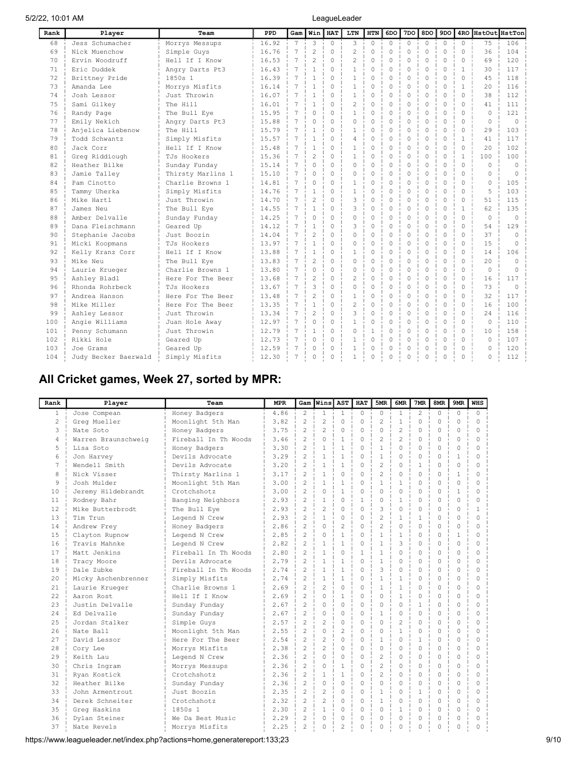| Rank | Player               | Team              | PPD   | Gam             | Winl                     | <b>HAT</b> | LTN            | <b>HTN</b> | 6DO         | 7 <sub>DO</sub> | 8DO      | 9 <sub>DO</sub> |              | 4RO HstOut HstTon |            |
|------|----------------------|-------------------|-------|-----------------|--------------------------|------------|----------------|------------|-------------|-----------------|----------|-----------------|--------------|-------------------|------------|
| 68   | Jess Schumacher      | Morrys Messups    | 16.92 | $7\phantom{.0}$ | 3                        | $\Omega$   | 3              | $\Omega$   | $\Omega$    | $\Omega$        | $\Omega$ | $\Omega$        | $\Omega$     | 75                | 106        |
| 69   | Nick Muenchow        | Simple Guys       | 16.76 | 7               | $\overline{c}$           | $\Omega$   | $\overline{c}$ | 0          | $\mathbf 0$ | $\Omega$        | $\Omega$ | $\Omega$        | $\Omega$     | 36                | 104        |
| 70   | Ervin Woodruff       | Hell If I Know    | 16.53 | $\overline{7}$  | $\overline{c}$           | $\Omega$   | $\overline{c}$ | $\Omega$   | $\Omega$    | $\Omega$        | $\Omega$ | $\Omega$        | $\Omega$     | 69                | 120        |
| 71   | Eric Duddek          | Angry Darts Pt3   | 16.43 | 7               | 1                        | $\Omega$   | $\mathbf{1}$   | 0          | 0           | 0               | $\Omega$ | $\Omega$        | $\mathbf{1}$ | 30                | 117        |
| 72   | Brittney Pride       | 1850s 1           | 16.39 | $\overline{7}$  | $\mathbf{1}$             | $\Omega$   | $\mathbf{1}$   | 0          | $\Omega$    | $\Omega$        | $\Omega$ | $\Omega$        | $\Omega$     | 4.5               | 118        |
| 73   | Amanda Lee           | Morrys Misfits    | 16.14 | $\overline{7}$  | $\mathbf{1}$             | $\Omega$   | $\mathbf{1}$   | $\cap$     | $\Omega$    | $\Omega$        | $\Omega$ | $\Omega$        | 1            | 20                | 116        |
| 74   | Josh Lessor          | Just Throwin      | 16.07 | $\overline{7}$  | 1                        | $\Omega$   | $\mathbf{1}$   | O.         | $\Omega$    | $\Omega$        | $\Omega$ | $\Omega$        | $\cap$       | 38                | 112        |
| 75   | Sami Gilkey          | The Hill          | 16.01 | $\overline{7}$  | $\mathbf{1}$             | $\Omega$   | $\overline{c}$ | 0          | $\Omega$    | $\Omega$        | $\Omega$ | $\Omega$        | $\cap$       | 41                | 111        |
| 76   | Randy Page           | The Bull Eye      | 15.95 | $\overline{7}$  | $\Omega$                 | $\Omega$   | $\mathbf{1}$   | 0          | $\Omega$    | $\Omega$        | $\Omega$ | $\Omega$        | $\cap$       | $\cap$            | 121        |
| 77   | Emily Nekich         | Angry Darts Pt3   | 15.88 | 7               | 0                        | $\Omega$   | 0              | 0          | $\Omega$    | $\Omega$        | $\Omega$ | $\Omega$        | 0            | $\Omega$          | $\Omega$   |
| 78   | Anjelica Liebenow    | The Hill          | 15.79 | 7               | $\mathbf{1}$             | $\Omega$   | $\mathbf{1}$   | 0          | $\Omega$    | $\Omega$        | $\Omega$ | $\Omega$        | 0            | 29                | 103        |
| 79   | Todd Schwantz        | Simply Misfits    | 15.57 | 7               | $\mathbf{1}$             | $\Omega$   | 4              | 0          | $\Omega$    | $\Omega$        | $\Omega$ | $\Omega$        | 1            | 41                | 117        |
| 80   | Jack Corr            | Hell If I Know    | 15.48 | 7               | $\mathbf{1}$             | $\Omega$   | $\mathbf{1}$   | 0          | $\Omega$    | $\Omega$        | $\Omega$ | $\Omega$        | $\Omega$     | 20                | 102        |
| 81   | Greg Riddiough       | TJs Hookers       | 15.36 | $\overline{7}$  | $\overline{\mathcal{L}}$ | $\Omega$   | $\mathbf{1}$   | $\Omega$   | $\Omega$    | $\Omega$        | $\Omega$ | $\Omega$        | $\mathbf{1}$ | 100               | 100        |
| 82   | Heather Bilke        | Sunday Funday     | 15.14 | $\overline{7}$  | 0                        | O          | $\Omega$       | $\Omega$   | $\Omega$    | $\Omega$        | $\Omega$ | $\Omega$        | $\cap$       | $\Omega$          | $\Omega$   |
| 83   | Jamie Talley         | Thirsty Marlins 1 | 15.10 | $\overline{7}$  | $\Omega$                 | $\Omega$   | $\Omega$       | $\Omega$   | $\Omega$    | $\Omega$        | $\cap$   | $\Omega$        |              | $\cap$            | $\sqrt{ }$ |
| 84   | Pam Cinotto          | Charlie Browns 1  | 14.81 | $\overline{7}$  | $\Omega$                 | $\Omega$   | $\mathbf{1}$   | $\Omega$   | $\Omega$    | $\Omega$        | $\Omega$ | $\Omega$        |              | $\Omega$          | 105        |
| 8.5  | Tammy Uherka         | Simply Misfits    | 14.76 | $\overline{7}$  | $\mathbf{1}$             | $\Omega$   | $\mathbf{1}$   | $\cap$     | $\Omega$    | $\Omega$        | $\cap$   | $\Omega$        | U            | 5                 | 103        |
| 86   | Mike Hartl           | Just Throwin      | 14.70 | $\overline{7}$  | 2                        | $\Omega$   | 3              | $\cap$     | $\Omega$    | $\Omega$        | $\cap$   | $\cap$          | $\cap$       | 51                | 115        |
| 87   | James Neu            | The Bull Eye      | 14.55 | $\overline{7}$  | 1                        | $\Omega$   | 3              | $\cap$     | $\Omega$    | $\Omega$        | $\cap$   | $\cap$          | $\mathbf{1}$ | 62                | 135        |
| 88   | Amber Delvalle       | Sunday Funday     | 14.25 | $\overline{7}$  | 0                        | $\Omega$   | $\circ$        | $\cap$     | $\Omega$    | $\Omega$        | $\cap$   | $\Omega$        | $\Omega$     | $\Omega$          | $\Omega$   |
| 89   | Dana Fleischmann     | Geared Up         | 14.12 | 7               | 1                        | $\Omega$   | 3              | 0          | $\Omega$    | $\Omega$        | $\Omega$ | $\Omega$        | $\Omega$     | 54                | 129        |
| 90   | Stephanie Jacobs     | Just Boozin       | 14.04 | 7               | $\overline{c}$           | $\Omega$   | $\circ$        | $\Omega$   | $\Omega$    | $\Omega$        | $\Omega$ | $\Omega$        | $\Omega$     | 37                | $\Omega$   |
| 91   | Micki Koopmans       | TJs Hookers       | 13.97 | $\overline{7}$  | $\mathbf{1}$             | $\Omega$   | 0              | $\Omega$   | $\Omega$    | $\Omega$        | $\Omega$ | $\Omega$        | $\Omega$     | 15                | $\Omega$   |
| 92   | Kelly Kranz Corr     | Hell If I Know    | 13.88 |                 | 1                        | $\Omega$   | 1              | 0          | 0           | 0               | $\Omega$ | $\Omega$        | $\Omega$     | 14                | 106        |
| 93   | Mike Neu             | The Bull Eye      | 13.83 |                 | $\overline{c}$           | 0          | 0              | 0          | $\Omega$    | 0               | $\Omega$ | $\Omega$        | $\Omega$     | 20                | $\Omega$   |
| 94   | Laurie Krueger       | Charlie Browns 1  | 13.80 |                 | 0                        | $\Omega$   | $\Omega$       | 0          | $\Omega$    | $\Omega$        | $\Omega$ | $\Omega$        | $\Omega$     | $\Omega$          | $\Omega$   |
| 95   | Ashley Bladl         | Here For The Beer | 13.68 | $\overline{7}$  | $\overline{c}$           | $\Omega$   | $\overline{c}$ | $\Omega$   | $\Omega$    | $\Omega$        | $\Omega$ | $\Omega$        | $\Omega$     | 16                | 117        |
| 96   | Rhonda Rohrbeck      | TJs Hookers       | 13.67 | $\overline{7}$  | 3                        | $\Omega$   | $\Omega$       | 0          | $\Omega$    | $\Omega$        | $\Omega$ | $\Omega$        | $\Omega$     | 73                | $\Omega$   |
| 97   | Andrea Hanson        | Here For The Beer | 13.48 | $\overline{7}$  | $\overline{2}$           | $\Omega$   | $\mathbf{1}$   | 0          | $\Omega$    | $\Omega$        | $\Omega$ | $\Omega$        | $\Omega$     | 32                | 117        |
| 98   | Mike Miller          | Here For The Beer | 13.35 | $\overline{7}$  | $\mathbf{1}$             | $\Omega$   | $\overline{c}$ | 0          | $\Omega$    | $\Omega$        | $\Omega$ | $\Omega$        | $\cap$       | 16                | 100        |
| 99   | Ashley Lessor        | Just Throwin      | 13.34 | $\overline{7}$  | $\mathfrak{D}$           | $\Omega$   | 3              | 0          | $\Omega$    | $\Omega$        | $\Omega$ | $\cap$          | $\cap$       | 2.4               | 116        |
| 100  | Angie Williams       | Juan Hole Away    | 12.97 | 7               | 0                        | $\Omega$   | 1              | 0          | $\Omega$    | $\Omega$        | $\Omega$ | $\Omega$        | $\cap$       | $\Omega$          | 110        |
| 101  | Penny Schumann       | Just Throwin      | 12.79 | 7               | 1                        | $\Omega$   | 0              | 1          | 0           | $\Omega$        | $\Omega$ | $\Omega$        | $\Omega$     | 10                | 158        |
| 102  | Rikki Hole           | Geared Up         | 12.73 | 7               | 0                        | 0          | 1              | 0          | 0           | $\Omega$        | $\Omega$ | $\Omega$        | $\Omega$     | $\Omega$          | 107        |
| 103  | Joe Grams            | Geared Up         | 12.59 | 7               | 0                        | $\Omega$   | 1              | 0          | 0           | $\Omega$        | $\Omega$ | $\Omega$        | 0            | $\Omega$          | 120        |
| 104  | Judy Becker Baerwald | Simply Misfits    | 12.30 | 7               | 0                        |            |                | 0          | $\Omega$    | O               | $\cap$   | $\Omega$        |              | $\cap$            | 112        |

# All Cricket games, Week 27, sorted by MPR:

| Rank           | Player              | Team                 | <b>MPR</b> | Gam                      | Wins                     | l AST          | <b>HAT</b>   | 5MR            | 6MR            | 7MR            | 8MR      | 9MR          | <b>WHS</b>   |
|----------------|---------------------|----------------------|------------|--------------------------|--------------------------|----------------|--------------|----------------|----------------|----------------|----------|--------------|--------------|
| $\mathbf{1}$   | Jose Compean        | Honey Badgers        | 4.86       | 2                        | $\mathbf{1}$             | $\mathbf{1}$   | $\Omega$     | $\Omega$       | $\mathbf{1}$   | $\overline{2}$ | $\Omega$ | 0            | $\Omega$     |
| $\overline{a}$ | Greg Mueller        | Moonlight 5th Man    | 3.82       | $\overline{c}$           | $\overline{c}$           | $\Omega$       | $\Omega$     | $\overline{c}$ | $\mathbf{1}$   | $\Omega$       | $\Omega$ | $\Omega$     | $\Omega$     |
| 3              | Nate Soto           | Honey Badgers        | 3.75       | $\overline{c}$           | $\overline{2}$           | $\Omega$       | $\Omega$     | $\Omega$       | $\overline{2}$ | $\Omega$       | $\Omega$ | $\Omega$     | $\Omega$     |
| 4              | Warren Braunschweig | Fireball In Th Woods | 3.46       | $\overline{c}$           | $\Omega$                 | $\mathbf{1}$   | 0            | 2              | $\mathfrak{D}$ | $\Omega$       | $\Omega$ | $\Omega$     | $\Omega$     |
| 5              | Lisa Soto           | Honey Badgers        | 3.30       | 2                        | $\mathbf{1}$             | $\mathbf{1}$   | $\Omega$     | $\mathbf{1}$   | $\Omega$       | $\Omega$       | $\Omega$ | $\Omega$     | $\Omega$     |
| 6              | Jon Harvey          | Devils Advocate      | 3.29       | $\mathfrak{D}$           | $\mathbf{1}$             | $\mathbf{1}$   | $\Omega$     | $\mathbf{1}$   | $\Omega$       | $\Omega$       | $\Omega$ | $\mathbf{1}$ | $\Omega$     |
| 7              | Wendell Smith       | Devils Advocate      | 3.20       | $\mathfrak{D}$           | $\mathbf{1}$             | $\mathbf{1}$   | $\Omega$     | 2              | $\Omega$       | $\mathbf{1}$   | $\Omega$ | $\Omega$     | $\Omega$     |
| 8              | Nick Visser         | Thirsty Marlins 1    | 3.17       | $\mathfrak{D}$           | $\mathbf{1}$             | $\Omega$       | $\Omega$     | $\overline{c}$ | $\Omega$       | $\Omega$       | $\Omega$ | 1            | $\Omega$     |
| 9              | Josh Mulder         | Moonlight 5th Man    | 3.00       | $\overline{c}$           | $\mathbf{1}$             | $\mathbf{1}$   | $\Omega$     | $\mathbf{1}$   | $\mathbf{1}$   | $\Omega$       | $\Omega$ | $\mathbf 0$  | $\Omega$     |
| 10             | Jeremy Hildebrandt  | Crotchshotz          | 3.00       | $\overline{c}$           | $\Omega$                 | $\mathbf{1}$   | $\Omega$     | $\Omega$       | $\Omega$       | $\Omega$       | $\Omega$ | $\mathbf{1}$ | $\Omega$     |
| 11             | Rodney Bahr         | Banging Neighbors    | 2.93       | $\overline{c}$           | $\mathbf{1}$             | $\Omega$       | $\mathbf{1}$ | $\Omega$       | $\mathbf{1}$   | $\Omega$       | $\Omega$ | $\Omega$     | $\Omega$     |
| 12             | Mike Butterbrodt    | The Bull Eye         | 2.93       | $\overline{c}$           | $\overline{c}$           | $\Omega$       | $\Omega$     | 3              | $\Omega$       | $\Omega$       | $\Omega$ | $\Omega$     | $\mathbf{1}$ |
| 13             | Tim Trun            | Legend N Crew        | 2.93       | 2                        | $\mathbf{1}$             | $\Omega$       | $\Omega$     | 2              | $\mathbf{1}$   | 1              | 0        | $\Omega$     | $\Omega$     |
| 14             | Andrew Frey         | Honey Badgers        | 2.86       | 2                        | $\Omega$                 | $\overline{2}$ | $\Omega$     | 2              | $\Omega$       | $\Omega$       | 0        | $\Omega$     | $\Omega$     |
| 15             | Clayton Rupnow      | Legend N Crew        | 2.85       | $\overline{2}$           | $\Omega$                 | $\mathbf{1}$   | $\Omega$     | $\mathbf{1}$   | $\mathbf{1}$   | $\Omega$       | $\Omega$ | 1            | $\Omega$     |
| 16             | Travis Mahnke       | Legend N Crew        | 2.82       | $\mathfrak{D}$           | $\mathbf{1}$             | $\mathbf{1}$   | $\Omega$     | $\mathbf{1}$   | 3              | $\Omega$       | $\Omega$ | $\Omega$     | $\Omega$     |
| 17             | Matt Jenkins        | Fireball In Th Woods | 2.80       | $\overline{2}$           | 1                        | $\Omega$       | $\mathbf{1}$ | $\mathbf{1}$   | $\Omega$       | $\Omega$       | $\Omega$ | $\Omega$     | $\Omega$     |
| 18             | Tracy Moore         | Devils Advocate      | 2.79       | $\overline{\mathcal{L}}$ | 1                        | $\mathbf{1}$   | $\Omega$     | $\mathbf{1}$   | $\Omega$       | $\Omega$       | 0        | $\Omega$     | $\Omega$     |
| 19             | Dale Zubke          | Fireball In Th Woods | 2.74       | $\overline{c}$           | 1                        | $\mathbf{1}$   | $\Omega$     | 3              | $\Omega$       | $\Omega$       | $\Omega$ | $\Omega$     | $\Omega$     |
| 20             | Micky Aschenbrenner | Simply Misfits       | 2.74       | $\overline{c}$           | $\mathbf{1}$             | $\mathbf{1}$   | $\Omega$     | $\mathbf{1}$   | $\mathbf{1}$   | $\Omega$       | $\Omega$ | $\Omega$     | $\Omega$     |
| 21             | Laurie Krueger      | Charlie Browns 1     | 2.69       | $\overline{c}$           | $\overline{a}$           | $\Omega$       | $\Omega$     | $\mathbf{1}$   | $\mathbf{1}$   | $\Omega$       | $\Omega$ | $\Omega$     | $\Omega$     |
| 22.2           | Aaron Rost          | Hell If I Know       | 2.69       | $\overline{2}$           | $\Omega$                 | $\mathbf{1}$   | $\Omega$     | $\Omega$       | $\mathbf{1}$   | $\Omega$       | $\Omega$ | $\Omega$     | $\Omega$     |
| 2.3            | Justin Delvalle     | Sunday Funday        | 2.67       | $\overline{2}$           | $\Omega$                 | $\Omega$       | $\Omega$     | $\Omega$       | $\Omega$       | $\mathbf{1}$   | $\Omega$ | $\Omega$     | $\Omega$     |
| 24             | Ed Delvalle         | Sunday Funday        | 2.67       | 2                        | $\Omega$                 | $\Omega$       | $\Omega$     | $\mathbf{1}$   | $\Omega$       | $\Omega$       | $\Omega$ | $\Omega$     | $\Omega$     |
| 25             | Jordan Stalker      | Simple Guys          | 2.57       | $\overline{c}$           | $\overline{c}$           | $\Omega$       | $\Omega$     | $\circ$        | $\overline{c}$ | $\Omega$       | $\Omega$ | $\Omega$     | $\Omega$     |
| 26             | Nate Ball           | Moonlight 5th Man    | 2.55       | $\overline{c}$           | $\Omega$                 | $\overline{c}$ | $\Omega$     | $\circ$        | $\mathbf{1}$   | $\Omega$       | $\Omega$ | $\mathbf 0$  | $\Omega$     |
| 27             | David Lessor        | Here For The Beer    | 2.54       | $\overline{c}$           | $\overline{c}$           | $\Omega$       | $\Omega$     | $\mathbf{1}$   | $\Omega$       | $\mathbf{1}$   | 0        | $\circ$      | $\Omega$     |
| 28             | Cory Lee            | Morrys Misfits       | 2.38       | $\overline{c}$           | $\overline{c}$           | $\Omega$       | $\Omega$     | $\mathbf 0$    | $\Omega$       | $\Omega$       | $\Omega$ | $\mathbf{0}$ | $\Omega$     |
| 29             | Keith Lau           | Legend N Crew        | 2.36       | $\overline{2}$           | $\Omega$                 | $\Omega$       | 0            | $\overline{c}$ | $\circ$        | $\circ$        | 0        | $\mathbf{0}$ | $\Omega$     |
| 30             | Chris Ingram        | Morrys Messups       | 2.36       | $\overline{c}$           | $\Omega$                 | $\mathbf{1}$   | 0            | $\overline{c}$ | $\Omega$       | $\Omega$       | 0        | $\circ$      | $\Omega$     |
| 31             | Ryan Kostick        | Crotchshotz          | 2.36       | $\mathfrak{D}$           | $\mathbf{1}$             | $\mathbf{1}$   | $\Omega$     | $\mathfrak{D}$ | $\Omega$       | $\Omega$       | $\Omega$ | $\Omega$     | $\Omega$     |
| 32             | Heather Bilke       | Sunday Funday        | 2.36       | $\mathfrak{D}$           | $\Omega$                 | $\Omega$       | $\Omega$     | $\Omega$       | $\Omega$       | $\Omega$       | 0        | $\Omega$     | $\Omega$     |
| 33             | John Armentrout     | Just Boozin          | 2.35       | $\mathfrak{D}$           | $\overline{\mathcal{L}}$ | $\Omega$       | $\Omega$     | $\mathbf{1}$   | $\Omega$       | $\mathbf{1}$   | 0        | $\Omega$     | $\Omega$     |
| 34             | Derek Schneiter     | Crotchshotz          | 2.32       | $\mathfrak{D}$           | $\overline{\mathcal{L}}$ | $\Omega$       | $\Omega$     | $\mathbf{1}$   | $\Omega$       | $\Omega$       | 0        | $\Omega$     | $\Omega$     |
| 35             | Greg Haskins        | 1850s 1              | 2.30       | 2                        | $\mathbf{1}$             | 0              | $\circ$      | $\circ$        | $\mathbf{1}$   | $\circ$        | 0        | $\circ$      | $\Omega$     |
| 36             | Dylan Steiner       | We Da Best Music     | 2.29       | $\overline{c}$           | $\Omega$                 | $\Omega$       | $\Omega$     | $\Omega$       | $\Omega$       | $\Omega$       | 0        | $\circ$      | $\Omega$     |
| 37             | Nate Revels         | Morrys Misfits       | 2.25       | $\overline{c}$           | $\Omega$                 | $\overline{c}$ | $\Omega$     | 0              | $\Omega$       |                | 0        | 0            | $\Omega$     |

https://www.leagueleader.net/index.php?actions=home,generatereport:133;23 9/10